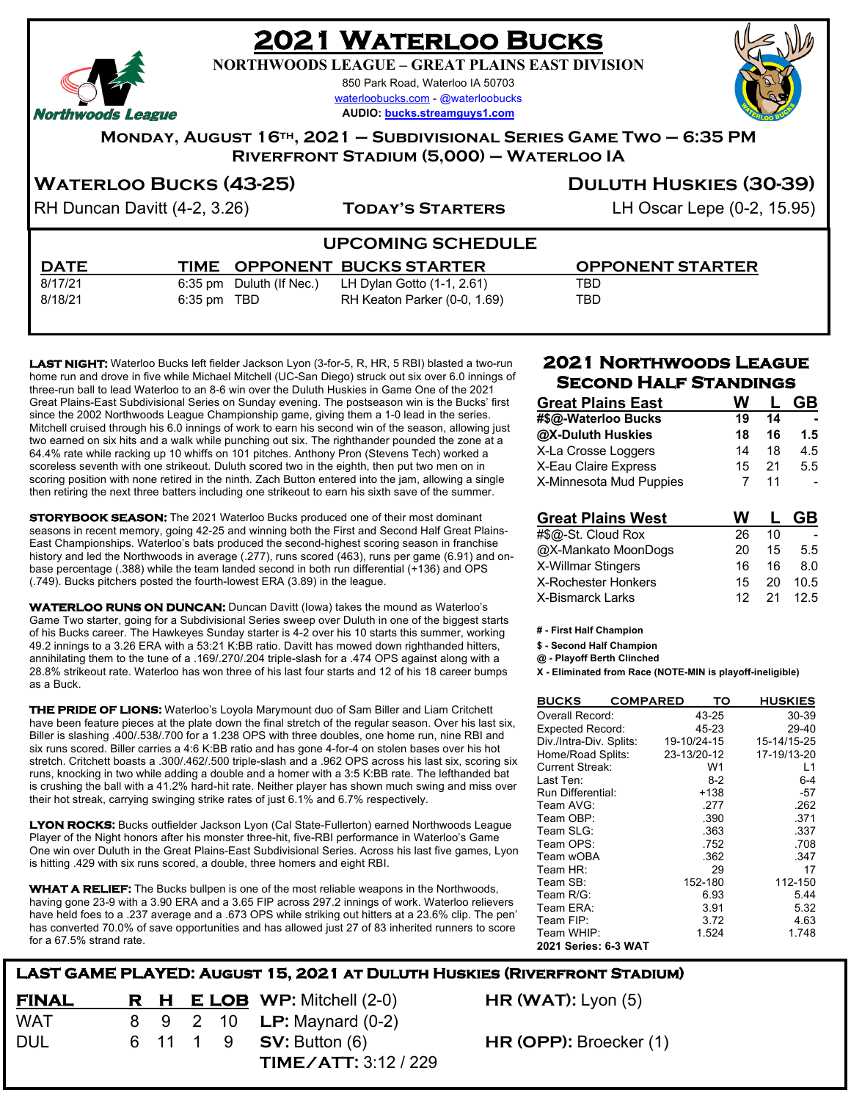## **2021 Waterloo Bucks**

**NORTHWOODS LEAGUE – GREAT PLAINS EAST DIVISION**

850 Park Road, Waterloo IA 50703 waterloobucks.com - @waterloobucks

**AUDIO: bucks.streamguys1.com**



Northwoods League

**Monday, August 16th, 2021 – Subdivisional Series Game Two – 6:35 PM Riverfront Stadium (5,000) – Waterloo IA**

#### **WATERLOO BUCKS** (43-25) **DULUTH HUSKIES** (30-39)

RH Duncan Davitt (4-2, 3.26) **TODAY'S STARTERS** LH Oscar Lepe (0-2, 15.95)

#### **UPCOMING SCHEDULE**

 8/17/21 6:35 pm Duluth (If Nec.) LH Dylan Gotto (1-1, 2.61) TBD 8/18/21 6:35 pm TBD RH Keaton Parker (0-0, 1.69) TBD

 **DATE TIME OPPONENT BUCKS STARTER OPPONENT STARTER**

**LAST NIGHT:** Waterloo Bucks left fielder Jackson Lyon (3-for-5, R, HR, 5 RBI) blasted a two-run home run and drove in five while Michael Mitchell (UC-San Diego) struck out six over 6.0 innings of three-run ball to lead Waterloo to an 8-6 win over the Duluth Huskies in Game One of the 2021 Great Plains-East Subdivisional Series on Sunday evening. The postseason win is the Bucks' first since the 2002 Northwoods League Championship game, giving them a 1-0 lead in the series. Mitchell cruised through his 6.0 innings of work to earn his second win of the season, allowing just two earned on six hits and a walk while punching out six. The righthander pounded the zone at a 64.4% rate while racking up 10 whiffs on 101 pitches. Anthony Pron (Stevens Tech) worked a scoreless seventh with one strikeout. Duluth scored two in the eighth, then put two men on in scoring position with none retired in the ninth. Zach Button entered into the jam, allowing a single then retiring the next three batters including one strikeout to earn his sixth save of the summer.

**STORYBOOK SEASON:** The 2021 Waterloo Bucks produced one of their most dominant seasons in recent memory, going 42-25 and winning both the First and Second Half Great Plains-East Championships. Waterloo's bats produced the second-highest scoring season in franchise history and led the Northwoods in average (.277), runs scored (463), runs per game (6.91) and onbase percentage (.388) while the team landed second in both run differential (+136) and OPS (.749). Bucks pitchers posted the fourth-lowest ERA (3.89) in the league.

**WATERLOO RUNS ON DUNCAN:** Duncan Davitt (Iowa) takes the mound as Waterloo's Game Two starter, going for a Subdivisional Series sweep over Duluth in one of the biggest starts of his Bucks career. The Hawkeyes Sunday starter is 4-2 over his 10 starts this summer, working 49.2 innings to a 3.26 ERA with a 53:21 K:BB ratio. Davitt has mowed down righthanded hitters, annihilating them to the tune of a .169/.270/.204 triple-slash for a .474 OPS against along with a 28.8% strikeout rate. Waterloo has won three of his last four starts and 12 of his 18 career bumps as a Buck.

**THE PRIDE OF LIONS:** Waterloo's Loyola Marymount duo of Sam Biller and Liam Critchett have been feature pieces at the plate down the final stretch of the regular season. Over his last six, Biller is slashing .400/.538/.700 for a 1.238 OPS with three doubles, one home run, nine RBI and six runs scored. Biller carries a 4:6 K:BB ratio and has gone 4-for-4 on stolen bases over his hot stretch. Critchett boasts a .300/.462/.500 triple-slash and a .962 OPS across his last six, scoring six runs, knocking in two while adding a double and a homer with a 3:5 K:BB rate. The lefthanded bat is crushing the ball with a 41.2% hard-hit rate. Neither player has shown much swing and miss over their hot streak, carrying swinging strike rates of just 6.1% and 6.7% respectively.

**LYON ROCKS:** Bucks outfielder Jackson Lyon (Cal State-Fullerton) earned Northwoods League Player of the Night honors after his monster three-hit, five-RBI performance in Waterloo's Game One win over Duluth in the Great Plains-East Subdivisional Series. Across his last five games, Lyon is hitting .429 with six runs scored, a double, three homers and eight RBI.

**WHAT A RELIEF:** The Bucks bullpen is one of the most reliable weapons in the Northwoods, having gone 23-9 with a 3.90 ERA and a 3.65 FIP across 297.2 innings of work. Waterloo relievers have held foes to a .237 average and a .673 OPS while striking out hitters at a 23.6% clip. The pen' has converted 70.0% of save opportunities and has allowed just 27 of 83 inherited runners to score for a 67.5% strand rate.

#### **FINAL**<br>WAT **LAST GAME PLAYED: August 15, 2021 at Duluth Huskies (Riverfront Stadium) E LOB WP:** Mitchell (2-0) **HR (WAT):** Lyon (5) WAT 8 9 2 10 **LP:** Maynard (0-2) DUL 6 11 1 9 **SV:** Button (6) **HR (OPP):** Broecker (1)

 **TIME/ATT:** 3:12 / 229

#### **2021 Northwoods League Second Half Standings**

| <b>Great Plains East</b>   | W  |    |      |
|----------------------------|----|----|------|
| #\$@-Waterloo Bucks        | 19 | 14 |      |
| @X-Duluth Huskies          | 18 | 16 | 1.5  |
| X-La Crosse Loggers        | 14 | 18 | 4.5  |
| X-Eau Claire Express       | 15 | 21 | 5.5  |
| X-Minnesota Mud Puppies    | 7  | 11 |      |
|                            |    |    |      |
|                            |    |    |      |
| <b>Great Plains West</b>   | w  |    | GB   |
| #\$@-St. Cloud Rox         | 26 | 10 |      |
| @X-Mankato MoonDogs        | 20 | 15 | 5.5  |
| X-Willmar Stingers         | 16 | 16 | 8.0  |
| <b>X-Rochester Honkers</b> | 15 | 20 | 10.5 |

**# - First Half Champion**

**\$ - Second Half Champion**

**@ - Playoff Berth Clinched**

**X - Eliminated from Race (NOTE-MIN is playoff-ineligible)**

| <b>BUCKS</b>            | <b>COMPARED</b> |             | то      | <b>HUSKIES</b> |
|-------------------------|-----------------|-------------|---------|----------------|
| Overall Record:         |                 |             | 43-25   | 30-39          |
| <b>Expected Record:</b> |                 |             | 45-23   | 29-40          |
| Div./Intra-Div. Splits: |                 | 19-10/24-15 |         | 15-14/15-25    |
| Home/Road Splits:       |                 | 23-13/20-12 |         | 17-19/13-20    |
| <b>Current Streak:</b>  |                 |             | W1      | L1             |
| Last Ten:               |                 |             | $8-2$   | $6 - 4$        |
| Run Differential:       |                 |             | +138    | -57            |
| Team AVG:               |                 |             | .277    | .262           |
| Team OBP:               |                 |             | .390    | .371           |
| Team SLG:               |                 |             | .363    | .337           |
| Team OPS:               |                 |             | .752    | .708           |
| Team wOBA               |                 |             | .362    | .347           |
| Team HR:                |                 |             | 29      | 17             |
| Team SB:                |                 |             | 152-180 | 112-150        |
| Team R/G:               |                 |             | 6.93    | 5.44           |
| Team ERA:               |                 |             | 3.91    | 5.32           |
| Team FIP:               |                 |             | 3.72    | 4.63           |
| Team WHIP:              |                 |             | 1.524   | 1.748          |
| 2021 Series: 6-3 WAT    |                 |             |         |                |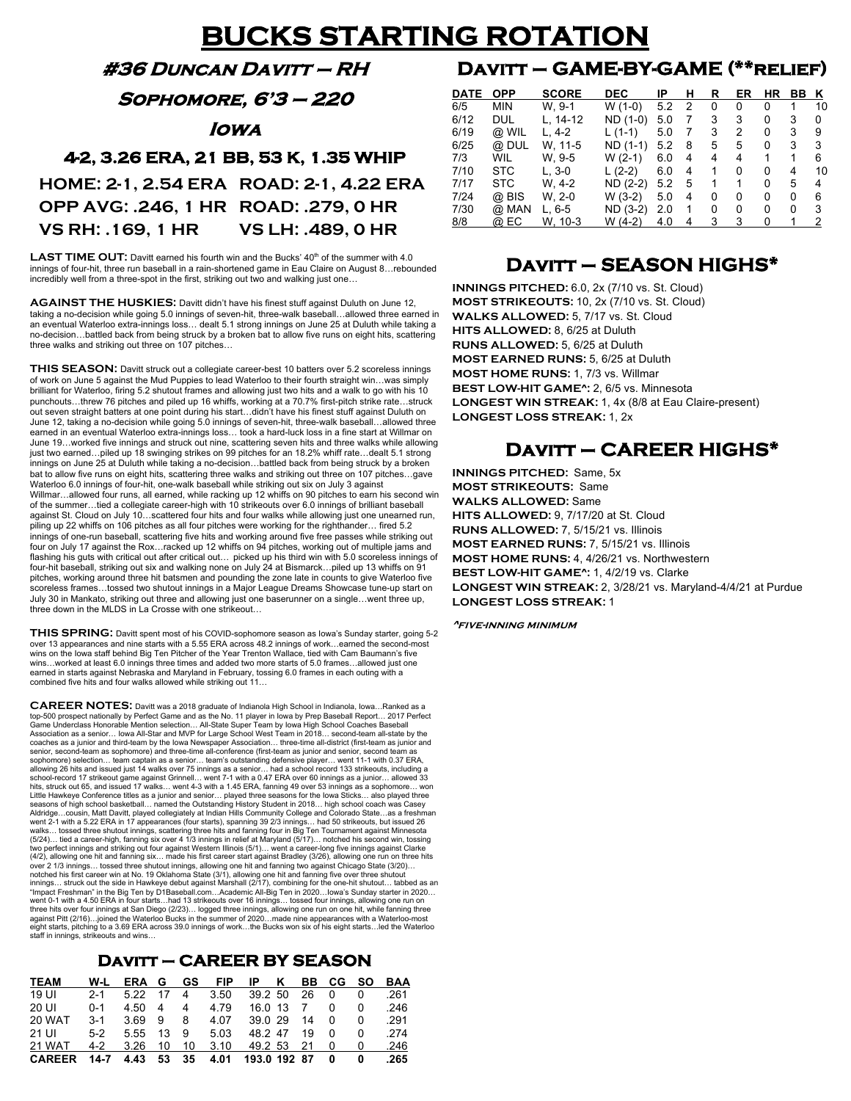## **BUCKS STARTING ROTATION**

**#36 Duncan Davitt – RH** 

**Sophomore, 6'3 – 220** 

**Iowa** 

#### **4-2, 3.26 ERA, 21 BB, 53 K, 1.35 WHIP**

**HOME: 2-1, 2.54 ERA ROAD: 2-1, 4.22 ERA OPP AVG: .246, 1 HR ROAD: .279, 0 HR VS RH: .169, 1 HR VS LH: .489, 0 HR**

**LAST TIME OUT:** Davitt earned his fourth win and the Bucks' 40<sup>th</sup> of the summer with 4.0 innings of four-hit, three run baseball in a rain-shortened game in Eau Claire on August 8…rebounded incredibly well from a three-spot in the first, striking out two and walking just one…

**AGAINST THE HUSKIES:** Davitt didn't have his finest stuff against Duluth on June 12, taking a no-decision while going 5.0 innings of seven-hit, three-walk baseball…allowed three earned in an eventual Waterloo extra-innings loss… dealt 5.1 strong innings on June 25 at Duluth while taking a no-decision…battled back from being struck by a broken bat to allow five runs on eight hits, scattering three walks and striking out three on 107 pitches…

**THIS SEASON:** Davitt struck out a collegiate career-best 10 batters over 5.2 scoreless innings of work on June 5 against the Mud Puppies to lead Waterloo to their fourth straight win…was simply brilliant for Waterloo, firing 5.2 shutout frames and allowing just two hits and a walk to go with his 10 punchouts…threw 76 pitches and piled up 16 whiffs, working at a 70.7% first-pitch strike rate…struck out seven straight batters at one point during his start…didn't have his finest stuff against Duluth on June 12, taking a no-decision while going 5.0 innings of seven-hit, three-walk baseball…allowed three earned in an eventual Waterloo extra-innings loss… took a hard-luck loss in a fine start at Willmar on June 19…worked five innings and struck out nine, scattering seven hits and three walks while allowing just two earned…piled up 18 swinging strikes on 99 pitches for an 18.2% whiff rate…dealt 5.1 strong innings on June 25 at Duluth while taking a no-decision…battled back from being struck by a broken bat to allow five runs on eight hits, scattering three walks and striking out three on 107 pitches…gave Waterloo 6.0 innings of four-hit, one-walk baseball while striking out six on July 3 against Willmar…allowed four runs, all earned, while racking up 12 whiffs on 90 pitches to earn his second win of the summer…tied a collegiate career-high with 10 strikeouts over 6.0 innings of brilliant baseball against St. Cloud on July 10…scattered four hits and four walks while allowing just one unearned run, piling up 22 whiffs on 106 pitches as all four pitches were working for the righthander… fired 5.2 innings of one-run baseball, scattering five hits and working around five free passes while striking out innings of one-run baseball, scattering five hits and working around five free passes while striking out four on July 17 against the Rox…racked up 12 whiffs on 94 pitches, working out of multiple jams and flashing his guts with critical out after critical out… picked up his third win with 5.0 scoreless innings of four-hit baseball, striking out six and walking none on July 24 at Bismarck…piled up 13 whiffs on 91 pitches, working around three hit batsmen and pounding the zone late in counts to give Waterloo five scoreless frames…tossed two shutout innings in a Major League Dreams Showcase tune-up start on July 30 in Mankato, striking out three and allowing just one baserunner on a single…went three up, three down in the MLDS in La Crosse with one strikeout…

**THIS SPRING:** Davitt spent most of his COVID-sophomore season as Iowa's Sunday starter, going 5-2 over 13 appearances and nine starts with a 5.55 ERA across 48.2 innings of work…earned the second-most wins on the Iowa staff behind Big Ten Pitcher of the Year Trenton Wallace, tied with Cam Baumann's five wins…worked at least 6.0 innings three times and added two more starts of 5.0 frames…allowed just one earned in starts against Nebraska and Maryland in February, tossing 6.0 frames in each outing with a combined five hits and four walks allowed while striking out 11…

**CAREER NOTES:** Davitt was a 2018 graduate of Indianola High School in Indianola, Iowa…Ranked as <sup>a</sup> top-500 prospect nationally by Perfect Game and as the No. 11 player in Iowa by Prep Baseball Report… 2017 Perfect Game Underclass Honorable Mention selection… All-State Super Team by Iowa High School Coaches Baseball Association as a senior… Iowa All-Star and MVP for Large School West Team in 2018… second-team all-state by the coaches as a junior and third-team by the Iowa Newspaper Association… three-time all-district (first-team as junior and senior, second-team as sophomore) and three-time all-conference (first-team as junior and senior, second team as<br>sophomore) selection… team captain as a senior… team's outstanding defensive player… went 11-1 with 0.37 ERA, Little Hawkeye Conference titles as a junior and senior… played three seasons for the lowa Sticks… also played three<br>seasons of high school basketball… named the Outstanding History Student in 2018… high school coach was C (5/24)… tied a career-high, fanning six over 4 1/3 innings in relief at Maryland (5/17)… notched his second win, tossing<br>two perfect innings and striking out four against Western Illinois (5/1)… went a career-long five inn over 2 1/3 innings… tossed three shutout innings, allowing one hit and fanning two against Chicago State (3/20)…<br>notched his first career win at No. 19 Oklahoma State (3/1), allowing one hit and fanning five over three shu innings… struck out the side in Hawkeye debut against Marshall (2/17), combining for the one-hit shutout… tabbed as an<br>"Impact Freshman" in the Big Ten by D1Baseball.com…Academic All-Big Ten in 2020…Iowa's Sunday starter i went 0-1 with a 4.50 ERA in four starts…had 13 strikeouts over 16 innings… tossed four innings, allowing one run on<br>three hits over four innings at San Diego (2/23)… logged three innings, allowing one run on one hit, while against Pitt (2/16)…joined the Waterloo Bucks in the summer of 2020…made nine appearances with a Waterloo-most eight starts, pitching to a 3.69 ERA across 39.0 innings of work…the Bucks won six of his eight starts…led the Waterloo staff in innings, strikeouts and wins…

#### **Davitt – CAREER BY SEASON**

| <b>TEAM</b>   | W-L     | ERA G |    | GS | <b>FIP</b> | IP           | ĸ | BB - |   | CG SO | BAA  |
|---------------|---------|-------|----|----|------------|--------------|---|------|---|-------|------|
| 19 UI         | $2 - 1$ | 5.22  | 17 | 4  | 3.50       | 39.2 50      |   | 26   |   |       | .261 |
| 20 UI         | $0 - 1$ | 4.50  | 4  | 4  | 4.79       | $16.0$ 13    |   |      |   |       | .246 |
| 20 WAT        | $3-1$   | 3.69  | 9  | 8  | 4.07       | 39.029       |   | 14   |   | 0     | .291 |
| 21 UI         | $5-2$   | 5.55  | 13 | 9  | 5.03       | 48.2.47      |   | 19   |   |       | .274 |
| <b>21 WAT</b> | $4-2$   | 3.26  | 10 | 10 | 3.10       | 49.2 53      |   | 21   |   | O     | .246 |
| <b>CAREER</b> | 14-7    | 4.43  | 53 | 35 | 4.01       | 193.0 192 87 |   |      | 0 |       | 265  |

## **Davitt – GAME-BY-GAME (\*\*relief)**

| <b>DEC</b><br>IP<br><b>DATE</b><br><b>OPP</b><br><b>SCORE</b><br>R<br>ER<br>н<br>ΗR<br>BВ<br>к<br>6/5<br>W. 9-1<br>$W(1-0)$<br><b>MIN</b><br>5.2<br>2<br>0<br>0<br>0<br>10<br>3<br>3<br>6/12<br><b>DUL</b><br>ND (1-0)<br>0<br>3<br>L, 14-12<br>5.0<br>7<br>0<br>6/19<br>3<br>2<br>0<br>3<br>9<br>@ WIL<br>L. 4-2<br>5.0<br>$L(1-1)$<br>7<br>3<br>5<br>3<br>6/25<br>0<br>5<br>@ DUL<br>ND (1-1)<br>W. 11-5<br>5.2<br>8<br>7/3<br>W. 9-5<br>1<br>6<br>WIL<br>W (2-1)<br>1<br>4<br>6.0<br>4<br>4<br>7/10<br><b>STC</b><br>$L(2-2)$<br>L. 3-0<br>0<br>0<br>6.0<br>4<br>4<br>1<br>10<br>7/17<br><b>STC</b><br>5<br>W. 4-2<br>$ND (2-2)$<br>0<br>5.2<br>5<br>1<br>1<br>4<br>7/24<br>6<br>@ BIS<br>W. 2-0<br>W (3-2)<br>5.0<br>0<br>0<br>0<br>0<br>4<br>3<br>7/30<br>$ND (3-2)$<br>@ Man<br>0<br>0<br>2.0<br>0<br>0<br>L. 6-5<br>1 |     |      |         |         |     |   |   |   |   |   |
|------------------------------------------------------------------------------------------------------------------------------------------------------------------------------------------------------------------------------------------------------------------------------------------------------------------------------------------------------------------------------------------------------------------------------------------------------------------------------------------------------------------------------------------------------------------------------------------------------------------------------------------------------------------------------------------------------------------------------------------------------------------------------------------------------------------------------|-----|------|---------|---------|-----|---|---|---|---|---|
|                                                                                                                                                                                                                                                                                                                                                                                                                                                                                                                                                                                                                                                                                                                                                                                                                              |     |      |         |         |     |   |   |   |   |   |
|                                                                                                                                                                                                                                                                                                                                                                                                                                                                                                                                                                                                                                                                                                                                                                                                                              |     |      |         |         |     |   |   |   |   |   |
|                                                                                                                                                                                                                                                                                                                                                                                                                                                                                                                                                                                                                                                                                                                                                                                                                              |     |      |         |         |     |   |   |   |   |   |
|                                                                                                                                                                                                                                                                                                                                                                                                                                                                                                                                                                                                                                                                                                                                                                                                                              |     |      |         |         |     |   |   |   |   |   |
|                                                                                                                                                                                                                                                                                                                                                                                                                                                                                                                                                                                                                                                                                                                                                                                                                              |     |      |         |         |     |   |   |   |   |   |
|                                                                                                                                                                                                                                                                                                                                                                                                                                                                                                                                                                                                                                                                                                                                                                                                                              |     |      |         |         |     |   |   |   |   |   |
|                                                                                                                                                                                                                                                                                                                                                                                                                                                                                                                                                                                                                                                                                                                                                                                                                              |     |      |         |         |     |   |   |   |   |   |
|                                                                                                                                                                                                                                                                                                                                                                                                                                                                                                                                                                                                                                                                                                                                                                                                                              |     |      |         |         |     |   |   |   |   |   |
|                                                                                                                                                                                                                                                                                                                                                                                                                                                                                                                                                                                                                                                                                                                                                                                                                              |     |      |         |         |     |   |   |   |   |   |
|                                                                                                                                                                                                                                                                                                                                                                                                                                                                                                                                                                                                                                                                                                                                                                                                                              |     |      |         |         |     |   |   |   |   |   |
|                                                                                                                                                                                                                                                                                                                                                                                                                                                                                                                                                                                                                                                                                                                                                                                                                              | 8/8 | @ EC | W. 10-3 | W (4-2) | 4.0 | 4 | 3 | 3 | 0 | 2 |

### **Davitt – SEASON HIGHS\***

**INNINGS PITCHED:** 6.0, 2x (7/10 vs. St. Cloud) **MOST STRIKEOUTS:** 10, 2x (7/10 vs. St. Cloud) **WALKS ALLOWED:** 5, 7/17 vs. St. Cloud **HITS ALLOWED:** 8, 6/25 at Duluth **RUNS ALLOWED:** 5, 6/25 at Duluth **MOST EARNED RUNS:** 5, 6/25 at Duluth **MOST HOME RUNS:** 1, 7/3 vs. Willmar **BEST LOW-HIT GAME^:** 2, 6/5 vs. Minnesota **LONGEST WIN STREAK:** 1, 4x (8/8 at Eau Claire-present) **LONGEST LOSS STREAK:** 1, 2x

### **Davitt – CAREER HIGHS\***

**INNINGS PITCHED:** Same, 5x **MOST STRIKEOUTS:** Same **WALKS ALLOWED:** Same **HITS ALLOWED:** 9, 7/17/20 at St. Cloud **RUNS ALLOWED:** 7, 5/15/21 vs. Illinois **MOST EARNED RUNS:** 7, 5/15/21 vs. Illinois **MOST HOME RUNS:** 4, 4/26/21 vs. Northwestern **BEST LOW-HIT GAME^:** 1, 4/2/19 vs. Clarke **LONGEST WIN STREAK:** 2, 3/28/21 vs. Maryland-4/4/21 at Purdue **LONGEST LOSS STREAK:** 1

**^five-inning minimum**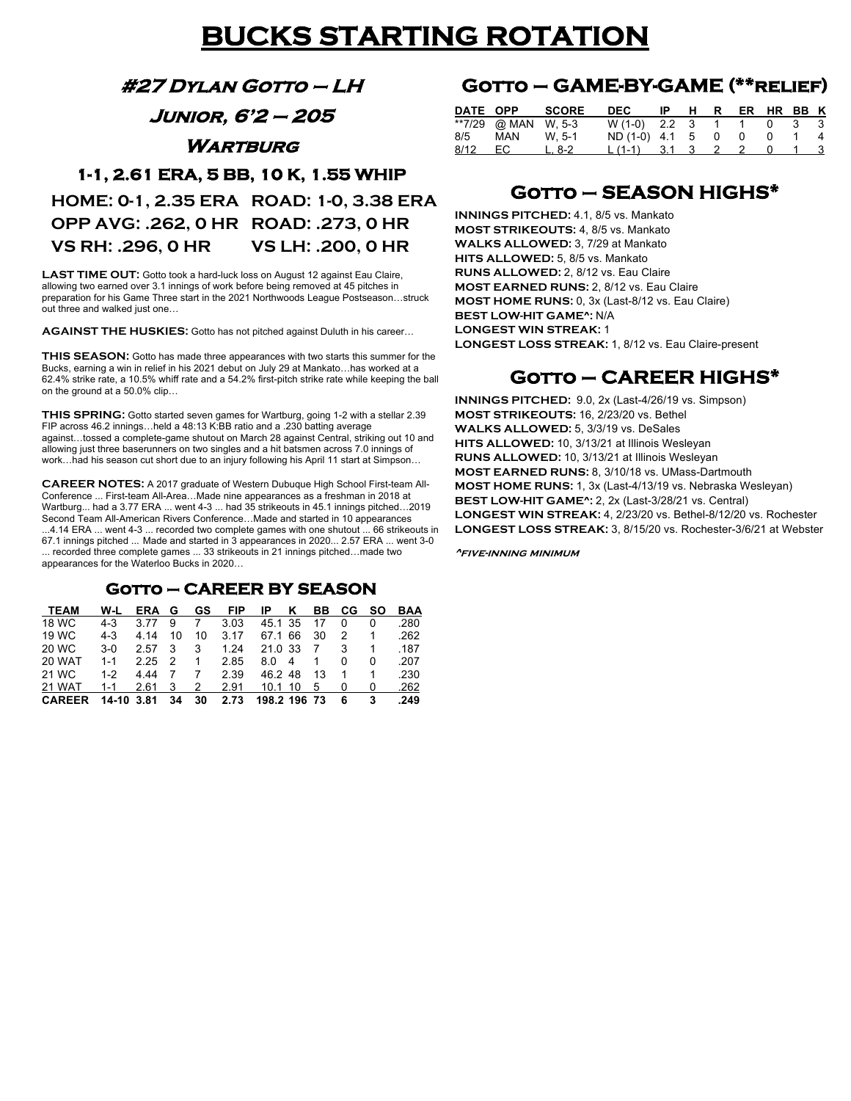## **BUCKS STARTING ROTATION**

**#27 Dylan Gotto – LH** 

**Junior, 6'2 – 205** 

**WARTBURG** 

#### **1-1, 2.61 ERA, 5 BB, 10 K, 1.55 WHIP**

**HOME: 0-1, 2.35 ERA ROAD: 1-0, 3.38 ERA OPP AVG: .262, 0 HR ROAD: .273, 0 HR VS RH: .296, 0 HR VS LH: .200, 0 HR**

**LAST TIME OUT:** Gotto took a hard-luck loss on August 12 against Eau Claire, allowing two earned over 3.1 innings of work before being removed at 45 pitches in preparation for his Game Three start in the 2021 Northwoods League Postseason…struck out three and walked just one…

**AGAINST THE HUSKIES:** Gotto has not pitched against Duluth in his career…

**THIS SEASON:** Gotto has made three appearances with two starts this summer for the Bucks, earning a win in relief in his 2021 debut on July 29 at Mankato…has worked at a 62.4% strike rate, a 10.5% whiff rate and a 54.2% first-pitch strike rate while keeping the ball on the ground at a 50.0% clip…

**THIS SPRING:** Gotto started seven games for Wartburg, going 1-2 with a stellar 2.39 FIP across 46.2 innings…held a 48:13 K:BB ratio and a .230 batting average against…tossed a complete-game shutout on March 28 against Central, striking out 10 and allowing just three baserunners on two singles and a hit batsmen across 7.0 innings of work…had his season cut short due to an injury following his April 11 start at Simpson…

**CAREER NOTES:** A 2017 graduate of Western Dubuque High School First-team All-Conference ... First-team All-Area…Made nine appearances as a freshman in 2018 at Wartburg... had a 3.77 ERA ... went 4-3 ... had 35 strikeouts in 45.1 innings pitched...2019 Second Team All-American Rivers Conference…Made and started in 10 appearances ...4.14 ERA ... went 4-3 ... recorded two complete games with one shutout ... 66 strikeouts in 67.1 innings pitched ... Made and started in 3 appearances in 2020... 2.57 ERA ... went 3-0 ... recorded three complete games ... 33 strikeouts in 21 innings pitched…made two appearances for the Waterloo Bucks in 2020…

#### **Gotto – CAREER BY SEASON**

| TEAM          | W-L        | ERA G |    | GS. | <b>FIP</b> | IP           | ĸ | BB. | CG SO |   | BAA  |
|---------------|------------|-------|----|-----|------------|--------------|---|-----|-------|---|------|
| 18 WC         | $4 - 3$    | 3.77  | 9  |     | 3.03       | 45.1 35      |   | 17  |       | 0 | .280 |
| 19 WC         | $4 - 3$    | 4.14  | 10 | 10  | 3.17       | 67.1 66      |   | 30  | 2     |   | .262 |
| 20 WC         | $3-0$      | 2.57  | 3  | 3   | 1.24       | 21.0 33      |   | -7  | 3     |   | .187 |
| 20 WAT        | $1 - 1$    | 2.25  | 2  | 1   | 2.85       | 8.0          | 4 | 1   | 0     | 0 | .207 |
| 21 WC         | $1 - 2$    | 4.44  |    |     | 2.39       | 46.248       |   | 13  |       |   | .230 |
| 21 WAT        | $1 - 1$    | 2.61  | 3  | 2   | 2.91       | $10.1$ 10    |   | 5   | 0     | 0 | .262 |
| <b>CAREER</b> | 14-10 3.81 |       | 34 | 30  | 2.73       | 198.2 196 73 |   |     | 6     | 3 | .249 |

### **Gotto – GAME-BY-GAME (\*\*relief)**

| DATE OPP |                     | <b>SCORE</b> | <b>DEC</b>             | $IP$ H | R | ER HR BB K |  |
|----------|---------------------|--------------|------------------------|--------|---|------------|--|
|          | **7/29 @ MAN W, 5-3 |              | W(1-0) 2.2 3 1 1 0 3 3 |        |   |            |  |
|          | 8/5 MAN W.5-1       |              | $ND(1-0)$ 4.1 5 0 0    |        |   |            |  |
| 8/12     | EC.                 | L. 8-2       | $L(1-1)$ 3.1 3 2 2     |        |   |            |  |

### **Gotto – SEASON HIGHS\***

**INNINGS PITCHED:** 4.1, 8/5 vs. Mankato **MOST STRIKEOUTS:** 4, 8/5 vs. Mankato **WALKS ALLOWED:** 3, 7/29 at Mankato **HITS ALLOWED:** 5, 8/5 vs. Mankato **RUNS ALLOWED:** 2, 8/12 vs. Eau Claire **MOST EARNED RUNS:** 2, 8/12 vs. Eau Claire **MOST HOME RUNS:** 0, 3x (Last-8/12 vs. Eau Claire) **BEST LOW-HIT GAME^:** N/A **LONGEST WIN STREAK:** 1 **LONGEST LOSS STREAK:** 1, 8/12 vs. Eau Claire-present

### **Gotto – CAREER HIGHS\***

**INNINGS PITCHED:** 9.0, 2x (Last-4/26/19 vs. Simpson) **MOST STRIKEOUTS:** 16, 2/23/20 vs. Bethel **WALKS ALLOWED:** 5, 3/3/19 vs. DeSales **HITS ALLOWED:** 10, 3/13/21 at Illinois Wesleyan **RUNS ALLOWED:** 10, 3/13/21 at Illinois Wesleyan **MOST EARNED RUNS:** 8, 3/10/18 vs. UMass-Dartmouth **MOST HOME RUNS:** 1, 3x (Last-4/13/19 vs. Nebraska Wesleyan) **BEST LOW-HIT GAME^:** 2, 2x (Last-3/28/21 vs. Central) **LONGEST WIN STREAK:** 4, 2/23/20 vs. Bethel-8/12/20 vs. Rochester **LONGEST LOSS STREAK:** 3, 8/15/20 vs. Rochester-3/6/21 at Webster

**^five-inning minimum**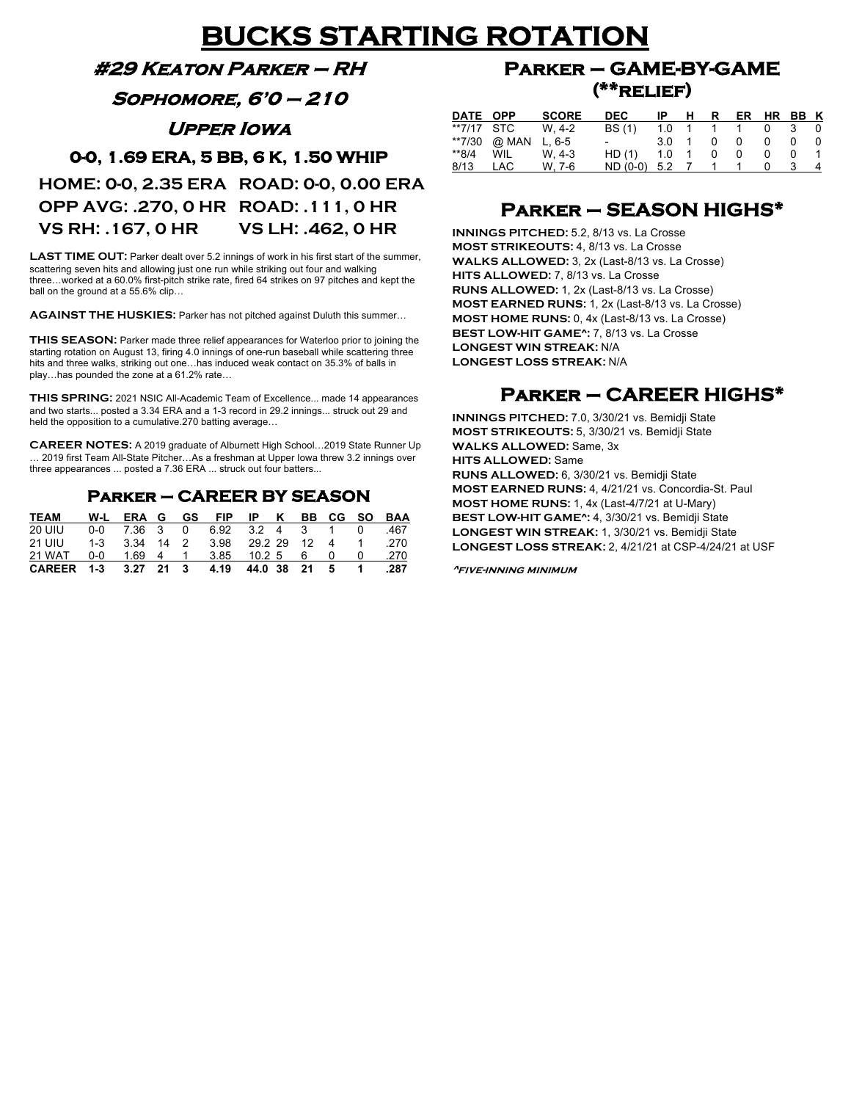# **BUCKS STARTING ROTATION**

#### **#29 Keaton Parker – RH**

**Sophomore, 6'0 – 210** 

**Upper Iowa** 

#### **0-0, 1.69 ERA, 5 BB, 6 K, 1.50 WHIP**

**HOME: 0-0, 2.35 ERA ROAD: 0-0, 0.00 ERA OPP AVG: .270, 0 HR ROAD: .111, 0 HR VS RH: .167, 0 HR VS LH: .462, 0 HR**

**LAST TIME OUT:** Parker dealt over 5.2 innings of work in his first start of the summer, scattering seven hits and allowing just one run while striking out four and walking three…worked at a 60.0% first-pitch strike rate, fired 64 strikes on 97 pitches and kept the ball on the ground at a 55.6% clip…

**AGAINST THE HUSKIES:** Parker has not pitched against Duluth this summer…

**THIS SEASON:** Parker made three relief appearances for Waterloo prior to joining the starting rotation on August 13, firing 4.0 innings of one-run baseball while scattering three hits and three walks, striking out one…has induced weak contact on 35.3% of balls in play…has pounded the zone at a 61.2% rate…

**THIS SPRING:** 2021 NSIC All-Academic Team of Excellence... made 14 appearances and two starts... posted a 3.34 ERA and a 1-3 record in 29.2 innings... struck out 29 and held the opposition to a cumulative.270 batting average…

**CAREER NOTES:** A 2019 graduate of Alburnett High School…2019 State Runner Up … 2019 first Team All-State Pitcher…As a freshman at Upper Iowa threw 3.2 innings over three appearances ... posted a 7.36 ERA ... struck out four batters...

#### **Parker – CAREER BY SEASON**

| <b>TEAM</b>                            |  |  | W-L ERA G GS FIP IP K BB CG SO BAA     |  |  |                |        |
|----------------------------------------|--|--|----------------------------------------|--|--|----------------|--------|
| <b>20 UIU</b>                          |  |  | 0-0 7.36 3 0 6.92 3.2 4 3 1 0          |  |  |                | $-467$ |
| 21 UIU                                 |  |  | 1-3 3.34 14 2 3.98 29.2.29 12 4 1 .270 |  |  |                |        |
| 21 WAT                                 |  |  | 0-0 1.69 4 1 3.85 10.2 5 6 0 0         |  |  |                | .270   |
| CAREER 1-3 3.27 21 3 4.19 44.0 38 21 5 |  |  |                                        |  |  | $\blacksquare$ | .287   |

### **Parker – GAME-BY-GAME (\*\*relief)**

| DATE OPP   |            | <b>SCORE</b> | DEC                      | IP  | н              | R. | ER. |   | HR BB K |   |
|------------|------------|--------------|--------------------------|-----|----------------|----|-----|---|---------|---|
| **7/17 STC |            | W. 4-2       | <b>BS</b> (1)            | 1.0 |                |    |     | 0 | 3       |   |
| **7/30     | @ MAN      | $L.6 - 5$    | $\overline{\phantom{0}}$ | 3.0 |                | 0  | 0   | 0 |         |   |
| $*$ $8/4$  | WIL        | W. 4-3       | HD (1)                   | 1.0 | $\overline{1}$ | 0  | 0   | 0 |         |   |
| 8/13       | <b>LAC</b> | W. 7-6       | $ND (0-0) 5.2 7$         |     |                |    |     |   |         | 4 |

### **Parker – SEASON HIGHS\***

**INNINGS PITCHED:** 5.2, 8/13 vs. La Crosse **MOST STRIKEOUTS:** 4, 8/13 vs. La Crosse **WALKS ALLOWED:** 3, 2x (Last-8/13 vs. La Crosse) **HITS ALLOWED:** 7, 8/13 vs. La Crosse **RUNS ALLOWED:** 1, 2x (Last-8/13 vs. La Crosse) **MOST EARNED RUNS:** 1, 2x (Last-8/13 vs. La Crosse) **MOST HOME RUNS:** 0, 4x (Last-8/13 vs. La Crosse) **BEST LOW-HIT GAME^:** 7, 8/13 vs. La Crosse **LONGEST WIN STREAK:** N/A **LONGEST LOSS STREAK:** N/A

### **Parker – CAREER HIGHS\***

**INNINGS PITCHED:** 7.0, 3/30/21 vs. Bemidji State **MOST STRIKEOUTS:** 5, 3/30/21 vs. Bemidji State **WALKS ALLOWED:** Same, 3x **HITS ALLOWED:** Same **RUNS ALLOWED:** 6, 3/30/21 vs. Bemidji State **MOST EARNED RUNS:** 4, 4/21/21 vs. Concordia-St. Paul **MOST HOME RUNS:** 1, 4x (Last-4/7/21 at U-Mary) **BEST LOW-HIT GAME^:** 4, 3/30/21 vs. Bemidji State **LONGEST WIN STREAK:** 1, 3/30/21 vs. Bemidji State **LONGEST LOSS STREAK:** 2, 4/21/21 at CSP-4/24/21 at USF

**^five-inning minimum**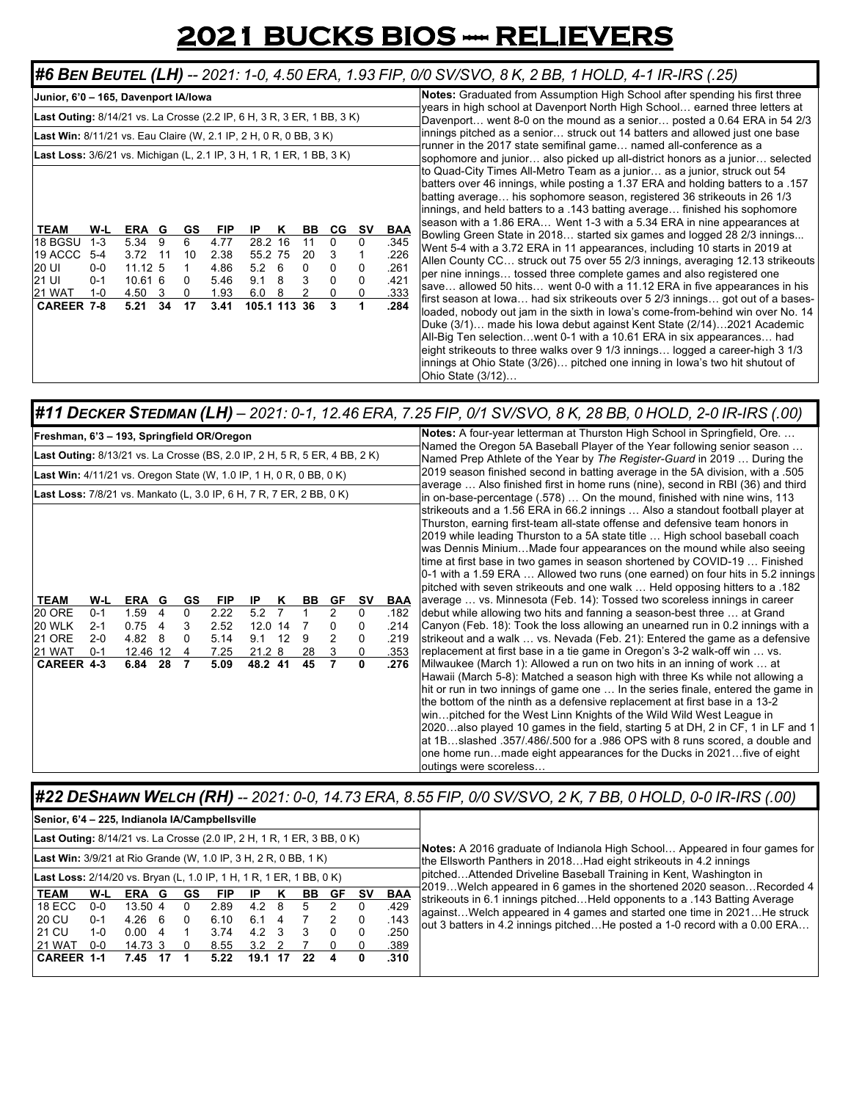# **2021 BUCKS BIOS --- RELIEVERS**

#### #6 BEN BEUTEL (LH) -- 2021: 1-0, 4.50 ERA, 1.93 FIP, 0/0 SV/SVO, 8 K, 2 BB, 1 HOLD, 4-1 IR-IRS (.25)

| Junior, 6'0 - 165, Davenport IA/lowa                                                                                                                                                                                                                                                                                                                                                                                                                                                                                                                                                                                                                                                            | <b>Notes:</b> Graduated from Assumption High School after spending his first three                                                                                                                                                                                                                                                                                                                                                                                                                                                                                                                                                                                                                                                                                                                                                                                                                                                                                                                                                                                                                                                                                                                                                                                                                                                                                                           |
|-------------------------------------------------------------------------------------------------------------------------------------------------------------------------------------------------------------------------------------------------------------------------------------------------------------------------------------------------------------------------------------------------------------------------------------------------------------------------------------------------------------------------------------------------------------------------------------------------------------------------------------------------------------------------------------------------|----------------------------------------------------------------------------------------------------------------------------------------------------------------------------------------------------------------------------------------------------------------------------------------------------------------------------------------------------------------------------------------------------------------------------------------------------------------------------------------------------------------------------------------------------------------------------------------------------------------------------------------------------------------------------------------------------------------------------------------------------------------------------------------------------------------------------------------------------------------------------------------------------------------------------------------------------------------------------------------------------------------------------------------------------------------------------------------------------------------------------------------------------------------------------------------------------------------------------------------------------------------------------------------------------------------------------------------------------------------------------------------------|
| Last Outing: 8/14/21 vs. La Crosse (2.2 IP, 6 H, 3 R, 3 ER, 1 BB, 3 K)                                                                                                                                                                                                                                                                                                                                                                                                                                                                                                                                                                                                                          | years in high school at Davenport North High School earned three letters at<br>Davenport went 8-0 on the mound as a senior posted a 0.64 ERA in 54 2/3                                                                                                                                                                                                                                                                                                                                                                                                                                                                                                                                                                                                                                                                                                                                                                                                                                                                                                                                                                                                                                                                                                                                                                                                                                       |
| <b>Last Win:</b> 8/11/21 vs. Eau Claire (W, 2.1 IP, 2 H, 0 R, 0 BB, 3 K)                                                                                                                                                                                                                                                                                                                                                                                                                                                                                                                                                                                                                        | innings pitched as a senior struck out 14 batters and allowed just one base<br>runner in the 2017 state semifinal game named all-conference as a                                                                                                                                                                                                                                                                                                                                                                                                                                                                                                                                                                                                                                                                                                                                                                                                                                                                                                                                                                                                                                                                                                                                                                                                                                             |
| Last Loss: 3/6/21 vs. Michigan (L, 2.1 IP, 3 H, 1 R, 1 ER, 1 BB, 3 K)<br>W-L<br><b>FIP</b><br><b>CG</b><br>S٧<br><b>TEAM</b><br>ERA G<br><b>GS</b><br>BB<br><b>BAA</b><br>IP<br>κ<br>18 BGSU<br>28.2 16<br>.345<br>$1 - 3$<br>5.34<br>6<br>4.77<br>11<br>- 9<br>$\mathbf{0}$<br>0<br>19 ACCC<br>55.2 75<br>.226<br>5-4<br>3.72 11<br>2.38<br>10<br>20<br>3<br>.261<br>11.125<br>$5.2 \quad 6$<br>20 UI<br>4.86<br>$0 - 0$<br>0<br>0<br>0<br>.421<br>3<br>21 UI<br>9.1<br>$\Omega$<br>10.61 6<br>5.46<br>8<br>$0 - 1$<br>0<br>0<br><u>.333</u><br><b>21 WAT</b><br>4.50<br>1.93<br>6.0<br>8<br>0<br>$1 - 0$<br>- 3<br><b>CAREER 7-8</b><br>105.1 113 36<br>.284<br>5.21<br>34<br>17<br>3.41<br>3 | sophomore and junior also picked up all-district honors as a junior selected<br>to Quad-City Times All-Metro Team as a junior as a junior, struck out 54<br>batters over 46 innings, while posting a 1.37 ERA and holding batters to a .157<br>batting average his sophomore season, registered 36 strikeouts in 26 1/3<br>innings, and held batters to a .143 batting average finished his sophomore<br>season with a 1.86 ERA Went 1-3 with a 5.34 ERA in nine appearances at<br>Bowling Green State in 2018 started six games and logged 28 2/3 innings<br>Went 5-4 with a 3.72 ERA in 11 appearances, including 10 starts in 2019 at<br>Allen County CC struck out 75 over 55 2/3 innings, averaging 12.13 strikeouts<br>per nine innings tossed three complete games and also registered one<br>Isave allowed 50 hits went 0-0 with a 11.12 ERA in five appearances in his<br>first season at lowa had six strikeouts over 5 2/3 innings got out of a bases-<br>loaded, nobody out jam in the sixth in lowa's come-from-behind win over No. 14<br>Duke (3/1) made his Iowa debut against Kent State (2/14)2021 Academic<br>All-Big Ten selectionwent 0-1 with a 10.61 ERA in six appearances had<br>eight strikeouts to three walks over 9 1/3 innings logged a career-high 3 1/3<br>linnings at Ohio State (3/26) pitched one inning in Iowa's two hit shutout of<br>Ohio State (3/12) |
| <b>#11 DECKER STEDMAN (LH)</b> – 2021: 0-1, 12.46 ERA, 7.25 FIP, 0/1 SV/SVO, 8 K, 28 BB, 0 HOLD, 2-0 IR-IRS (.00)                                                                                                                                                                                                                                                                                                                                                                                                                                                                                                                                                                               |                                                                                                                                                                                                                                                                                                                                                                                                                                                                                                                                                                                                                                                                                                                                                                                                                                                                                                                                                                                                                                                                                                                                                                                                                                                                                                                                                                                              |

| Freshman, 6'3 - 193, Springfield OR/Oregon                                                                                                              |                                                 |                                                   |                                              |                               |                                                    |                                                 |              |                     |                        |                                          |                                      | Notes: A four-year letterman at Thurston High School in Springfield, Ore                                                                                                                                                                                                                                                                                                                                                                                                                                                                                                                                                                                                                                                                                                                                                                                                                                                                                                                                                                                                                                                                                                                                                                                                                                                                                                                                                                                                                                                                                                                                                                                                                                                                  |
|---------------------------------------------------------------------------------------------------------------------------------------------------------|-------------------------------------------------|---------------------------------------------------|----------------------------------------------|-------------------------------|----------------------------------------------------|-------------------------------------------------|--------------|---------------------|------------------------|------------------------------------------|--------------------------------------|-------------------------------------------------------------------------------------------------------------------------------------------------------------------------------------------------------------------------------------------------------------------------------------------------------------------------------------------------------------------------------------------------------------------------------------------------------------------------------------------------------------------------------------------------------------------------------------------------------------------------------------------------------------------------------------------------------------------------------------------------------------------------------------------------------------------------------------------------------------------------------------------------------------------------------------------------------------------------------------------------------------------------------------------------------------------------------------------------------------------------------------------------------------------------------------------------------------------------------------------------------------------------------------------------------------------------------------------------------------------------------------------------------------------------------------------------------------------------------------------------------------------------------------------------------------------------------------------------------------------------------------------------------------------------------------------------------------------------------------------|
| Last Outing: 8/13/21 vs. La Crosse (BS, 2.0 IP, 2 H, 5 R, 5 ER, 4 BB, 2 K)                                                                              |                                                 |                                                   |                                              |                               |                                                    |                                                 |              |                     |                        |                                          |                                      | Named the Oregon 5A Baseball Player of the Year following senior season<br>Named Prep Athlete of the Year by The Register-Guard in 2019  During the                                                                                                                                                                                                                                                                                                                                                                                                                                                                                                                                                                                                                                                                                                                                                                                                                                                                                                                                                                                                                                                                                                                                                                                                                                                                                                                                                                                                                                                                                                                                                                                       |
| Last Win: 4/11/21 vs. Oregon State (W, 1.0 IP, 1 H, 0 R, 0 BB, 0 K)                                                                                     |                                                 |                                                   |                                              |                               |                                                    |                                                 |              |                     |                        |                                          |                                      | 2019 season finished second in batting average in the 5A division, with a .505<br>average  Also finished first in home runs (nine), second in RBI (36) and third                                                                                                                                                                                                                                                                                                                                                                                                                                                                                                                                                                                                                                                                                                                                                                                                                                                                                                                                                                                                                                                                                                                                                                                                                                                                                                                                                                                                                                                                                                                                                                          |
| Last Loss: 7/8/21 vs. Mankato (L, 3.0 IP, 6 H, 7 R, 7 ER, 2 BB, 0 K)<br><b>TEAM</b><br><b>20 ORE</b><br>20 WLK<br><b>21 ORE</b><br>21 WAT<br>CAREER 4-3 | W-L<br>$0 - 1$<br>$2 - 1$<br>$2 - 0$<br>$0 - 1$ | ERA G<br>1.59<br>0.75<br>4.82<br>12.46 12<br>6.84 | $\overline{4}$<br>$\overline{4}$<br>-8<br>28 | <b>GS</b><br>0<br>3<br>0<br>7 | <b>FIP</b><br>2.22<br>2.52<br>5.14<br>7.25<br>5.09 | IP<br>5.2<br>12.0 14<br>9.1<br>21.28<br>48.2 41 | Κ<br>7<br>12 | BB<br>9<br>28<br>45 | GF<br>2<br>0<br>2<br>3 | <b>SV</b><br>0<br>0<br>0<br>$\mathbf{0}$ | .182<br>.214<br>.219<br>.353<br>.276 | lin on-base-percentage (.578)  On the mound, finished with nine wins, 113<br>strikeouts and a 1.56 ERA in 66.2 innings  Also a standout football player at<br>Thurston, earning first-team all-state offense and defensive team honors in<br>2019 while leading Thurston to a 5A state title  High school baseball coach<br>was Dennis MiniumMade four appearances on the mound while also seeing<br>time at first base in two games in season shortened by COVID-19  Finished<br>0-1 with a 1.59 ERA  Allowed two runs (one earned) on four hits in 5.2 innings<br>pitched with seven strikeouts and one walk  Held opposing hitters to a .182<br><b>BAA</b> average  vs. Minnesota (Feb. 14): Tossed two scoreless innings in career<br>debut while allowing two hits and fanning a season-best three  at Grand<br>Canyon (Feb. 18): Took the loss allowing an unearned run in 0.2 innings with a<br>strikeout and a walk  vs. Nevada (Feb. 21): Entered the game as a defensive<br>replacement at first base in a tie game in Oregon's 3-2 walk-off win  vs.<br>Milwaukee (March 1): Allowed a run on two hits in an inning of work  at<br>Hawaii (March 5-8): Matched a season high with three Ks while not allowing a<br>hit or run in two innings of game one  In the series finale, entered the game in<br>the bottom of the ninth as a defensive replacement at first base in a 13-2<br>winpitched for the West Linn Knights of the Wild Wild West League in<br>2020also played 10 games in the field, starting 5 at DH, 2 in CF, 1 in LF and 1<br>at 1Bslashed .357/.486/.500 for a .986 OPS with 8 runs scored, a double and<br>one home runmade eight appearances for the Ducks in 2021five of eight<br>outings were scoreless |

#### #22 DESHAWN WELCH (RH) -- 2021: 0-0, 14.73 ERA, 8.55 FIP, 0/0 SV/SVO, 2K, 7 BB, 0 HOLD, 0-0 IR-IRS (.00)

|         |            |    |                             |      |     |                                                |                |    |                                                                                                                                                      |                                                                               | Notes: A 2016 graduate of Indianola High School Appeared in four games for                                                                 |
|---------|------------|----|-----------------------------|------|-----|------------------------------------------------|----------------|----|------------------------------------------------------------------------------------------------------------------------------------------------------|-------------------------------------------------------------------------------|--------------------------------------------------------------------------------------------------------------------------------------------|
|         |            |    |                             |      |     |                                                |                |    |                                                                                                                                                      |                                                                               | the Ellsworth Panthers in 2018Had eight strikeouts in 4.2 innings                                                                          |
|         |            |    |                             |      |     |                                                |                |    |                                                                                                                                                      |                                                                               | pitchedAttended Driveline Baseball Training in Kent, Washington in<br>2019Welch appeared in 6 games in the shortened 2020 seasonRecorded 4 |
| W-L     |            |    | GS                          | FIP  |     |                                                | BB.            | GF | sv                                                                                                                                                   | <b>BAA</b>                                                                    | strikeouts in 6.1 innings pitchedHeld opponents to a .143 Batting Average                                                                  |
| $0 - 0$ |            |    |                             | 2.89 | 4.2 | -8                                             | 5              |    |                                                                                                                                                      | .429                                                                          | lagainst Welch appeared in 4 games and started one time in 2021 He struck                                                                  |
| $0 - 1$ | 4.26       | -6 |                             | 6.10 | 6.1 | 4                                              |                |    | 0                                                                                                                                                    | .143                                                                          | out 3 batters in 4.2 innings pitchedHe posted a 1-0 record with a 0.00 ERA                                                                 |
| $1 - 0$ | 0.00       | 4  |                             | 3.74 | 4.2 |                                                | 3              |    |                                                                                                                                                      | .250                                                                          |                                                                                                                                            |
| $0-0$   |            |    |                             | 8.55 | 3.2 |                                                |                |    |                                                                                                                                                      | .389                                                                          |                                                                                                                                            |
|         | 7.45       | 17 |                             | 5.22 |     |                                                | 22             | 4  | 0                                                                                                                                                    | .310                                                                          |                                                                                                                                            |
|         | CAREER 1-1 |    | ERA G<br>13.50 4<br>14.73 3 |      |     | Senior, 6'4 - 225, Indianola IA/Campbellsville | - 3<br>19.1 17 |    | <b>Last Win:</b> 3/9/21 at Rio Grande (W, 1.0 IP, 3 H, 2 R, 0 BB, 1 K)<br><b>Last Loss:</b> 2/14/20 vs. Bryan (L, 1.0 IP, 1 H, 1 R, 1 ER, 1 BB, 0 K) | <b>Last Outing:</b> 8/14/21 vs. La Crosse (2.0 IP, 2 H, 1 R, 1 ER, 3 BB, 0 K) |                                                                                                                                            |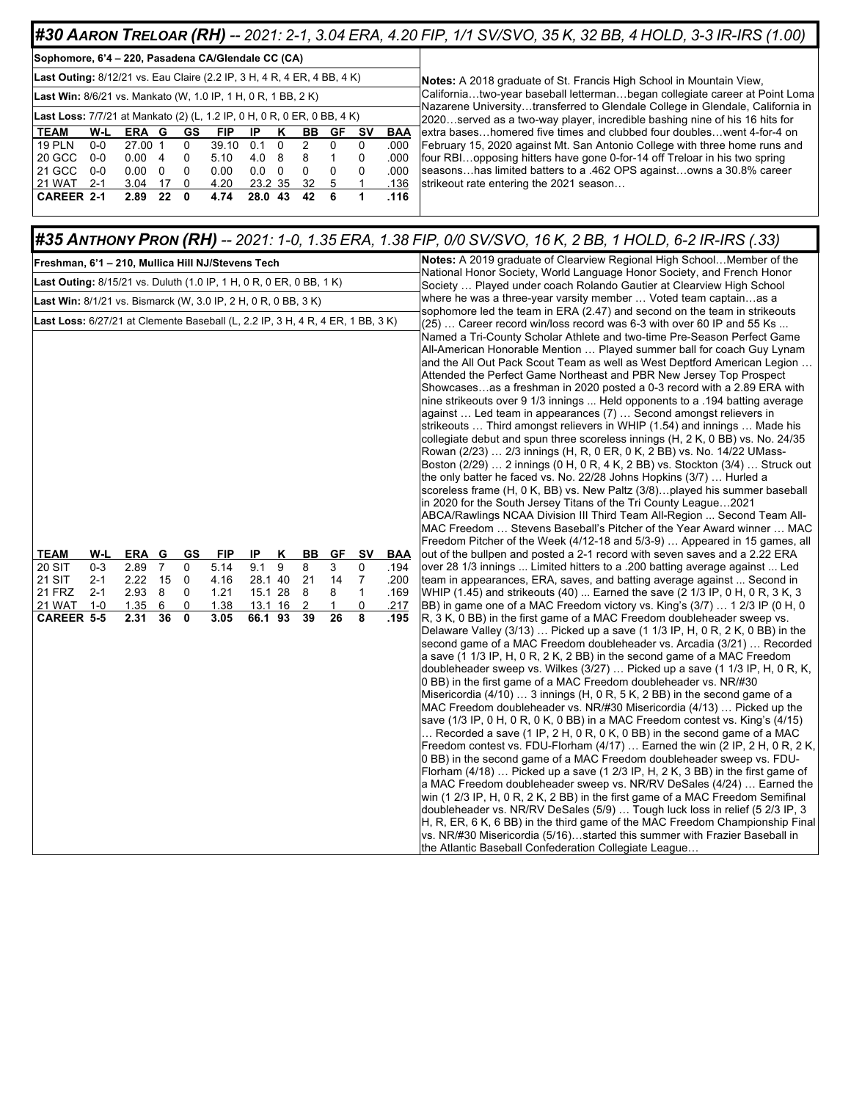#### #30 AARON TRELOAR (RH) -- 2021: 2-1, 3.04 ERA, 4.20 FIP, 1/1 SV/SVO, 35 K, 32 BB, 4 HOLD, 3-3 IR-IRS (1.00)

|  |  |  | Sophomore, 6'4 - 220, Pasadena CA/Glendale CC (CA) |  |
|--|--|--|----------------------------------------------------|--|
|--|--|--|----------------------------------------------------|--|

| Last Outing: 8/12/21 vs. Eau Claire (2.2 IP, 3 H, 4 R, 4 ER, 4 BB, 4 K) |                                                                         |       |    |   |       |         |    |    |   |    |      |  |  |  |  |
|-------------------------------------------------------------------------|-------------------------------------------------------------------------|-------|----|---|-------|---------|----|----|---|----|------|--|--|--|--|
| Last Win: 8/6/21 vs. Mankato (W, 1.0 IP, 1 H, 0 R, 1 BB, 2 K)           |                                                                         |       |    |   |       |         |    |    |   |    |      |  |  |  |  |
|                                                                         | Last Loss: 7/7/21 at Mankato (2) (L, 1.2 IP, 0 H, 0 R, 0 ER, 0 BB, 4 K) |       |    |   |       |         |    |    |   |    |      |  |  |  |  |
| <b>TEAM</b>                                                             | GS<br>W-L<br><b>FIP</b><br>BAA<br>ERA<br>GF<br>IP<br>κ<br>sv<br>BВ<br>G |       |    |   |       |         |    |    |   |    |      |  |  |  |  |
| <b>19 PLN</b>                                                           | $0 - 0$                                                                 | 27.00 | 1  | 0 | 39.10 | 0.1     | 0  | 2  | 0 | 0  | .000 |  |  |  |  |
| 20 GCC                                                                  | $0 - 0$                                                                 | 0.00  | 4  | 0 | 5.10  | 4.0     | 8  | 8  | 1 | 0  | .000 |  |  |  |  |
| 21 GCC                                                                  | $0 - 0$                                                                 | 0.00  | 0  | 0 | 0.00  | 0.0     | 0  | 0  | 0 | 0  | .000 |  |  |  |  |
| 21 WAT                                                                  | $2 - 1$                                                                 | 3.04  | 17 | 0 | 4.20  | 23.2 35 |    | 32 | 5 | -1 | .136 |  |  |  |  |
| <b>CAREER 2-1</b>                                                       |                                                                         | 2.89  | 22 | 0 | 4.74  | 28.0    | 43 | 42 | 6 | 1  | .116 |  |  |  |  |
|                                                                         |                                                                         |       |    |   |       |         |    |    |   |    |      |  |  |  |  |

**Notes:** A 2018 graduate of St. Francis High School in Mountain View, California…two-year baseball letterman…began collegiate career at Point Loma Nazarene University…transferred to Glendale College in Glendale, California in 2020…served as a two-way player, incredible bashing nine of his 16 hits for extra bases…homered five times and clubbed four doubles…went 4-for-4 on February 15, 2020 against Mt. San Antonio College with three home runs and four RBI…opposing hitters have gone 0-for-14 off Treloar in his two spring seasons…has limited batters to a .462 OPS against…owns a 30.8% career strikeout rate entering the 2021 season...

#### #35 ANTHONY PRON (RH) -- 2021: 1-0, 1.35 ERA, 1.38 FIP, 0/0 SV/SVO, 16 K, 2 BB, 1 HOLD, 6-2 IR-IRS (.33)

| Freshman, 6'1 – 210, Mullica Hill NJ/Stevens Tech                                      |                                                 |                                                    |                                |                                       |                                             |                                                       |        |                               |                               |                                               |                                                    | Notes: A 2019 graduate of Clearview Regional High SchoolMember of the                                                                                                                                                                                                                                                                                                                                                                                                                                                                                                                                                                                                                                                                                                                                                                                                                                                                                                                                                                                                                                                                                                                                                                                                                                                                                                                                                                                                                                                                                                                                                                                                                                                                                                                                                                                                                                                                                                                                                                                                                                                                                                                                                                                                                                                                                                                                                                                                                                                                                                                                                                                                                                                                                                                                                                                                                                                                                                                                                                                                                                                                                                                                                                                                                 |
|----------------------------------------------------------------------------------------|-------------------------------------------------|----------------------------------------------------|--------------------------------|---------------------------------------|---------------------------------------------|-------------------------------------------------------|--------|-------------------------------|-------------------------------|-----------------------------------------------|----------------------------------------------------|---------------------------------------------------------------------------------------------------------------------------------------------------------------------------------------------------------------------------------------------------------------------------------------------------------------------------------------------------------------------------------------------------------------------------------------------------------------------------------------------------------------------------------------------------------------------------------------------------------------------------------------------------------------------------------------------------------------------------------------------------------------------------------------------------------------------------------------------------------------------------------------------------------------------------------------------------------------------------------------------------------------------------------------------------------------------------------------------------------------------------------------------------------------------------------------------------------------------------------------------------------------------------------------------------------------------------------------------------------------------------------------------------------------------------------------------------------------------------------------------------------------------------------------------------------------------------------------------------------------------------------------------------------------------------------------------------------------------------------------------------------------------------------------------------------------------------------------------------------------------------------------------------------------------------------------------------------------------------------------------------------------------------------------------------------------------------------------------------------------------------------------------------------------------------------------------------------------------------------------------------------------------------------------------------------------------------------------------------------------------------------------------------------------------------------------------------------------------------------------------------------------------------------------------------------------------------------------------------------------------------------------------------------------------------------------------------------------------------------------------------------------------------------------------------------------------------------------------------------------------------------------------------------------------------------------------------------------------------------------------------------------------------------------------------------------------------------------------------------------------------------------------------------------------------------------------------------------------------------------------------------------------------------------|
| <b>Last Outing:</b> 8/15/21 vs. Duluth (1.0 IP, 1 H, 0 R, 0 ER, 0 BB, 1 K)             |                                                 |                                                    |                                |                                       |                                             |                                                       |        |                               |                               |                                               |                                                    | National Honor Society, World Language Honor Society, and French Honor<br>Society  Played under coach Rolando Gautier at Clearview High School                                                                                                                                                                                                                                                                                                                                                                                                                                                                                                                                                                                                                                                                                                                                                                                                                                                                                                                                                                                                                                                                                                                                                                                                                                                                                                                                                                                                                                                                                                                                                                                                                                                                                                                                                                                                                                                                                                                                                                                                                                                                                                                                                                                                                                                                                                                                                                                                                                                                                                                                                                                                                                                                                                                                                                                                                                                                                                                                                                                                                                                                                                                                        |
| <b>Last Win:</b> $8/1/21$ vs. Bismarck (W, 3.0 IP, 2 H, 0 R, 0 BB, 3 K)                |                                                 |                                                    |                                |                                       |                                             |                                                       |        |                               |                               |                                               |                                                    | where he was a three-year varsity member  Voted team captainas a                                                                                                                                                                                                                                                                                                                                                                                                                                                                                                                                                                                                                                                                                                                                                                                                                                                                                                                                                                                                                                                                                                                                                                                                                                                                                                                                                                                                                                                                                                                                                                                                                                                                                                                                                                                                                                                                                                                                                                                                                                                                                                                                                                                                                                                                                                                                                                                                                                                                                                                                                                                                                                                                                                                                                                                                                                                                                                                                                                                                                                                                                                                                                                                                                      |
| Last Loss: 6/27/21 at Clemente Baseball (L, 2.2 IP, 3 H, 4 R, 4 ER, 1 BB, 3 K)         |                                                 |                                                    |                                |                                       |                                             |                                                       |        |                               |                               |                                               |                                                    | sophomore led the team in ERA (2.47) and second on the team in strikeouts<br>(25)  Career record win/loss record was 6-3 with over 60 IP and 55 Ks                                                                                                                                                                                                                                                                                                                                                                                                                                                                                                                                                                                                                                                                                                                                                                                                                                                                                                                                                                                                                                                                                                                                                                                                                                                                                                                                                                                                                                                                                                                                                                                                                                                                                                                                                                                                                                                                                                                                                                                                                                                                                                                                                                                                                                                                                                                                                                                                                                                                                                                                                                                                                                                                                                                                                                                                                                                                                                                                                                                                                                                                                                                                    |
| <b>TEAM</b><br><b>20 SIT</b><br>21 SIT<br><b>21 FRZ</b><br>21 WAT<br><b>CAREER 5-5</b> | W-L<br>$0 - 3$<br>$2 - 1$<br>$2 - 1$<br>$1 - 0$ | ERA G<br>2.89<br>$2.22$ 15<br>2.93<br>1.35<br>2.31 | $\overline{7}$<br>8<br>6<br>36 | GS<br>0<br>0<br>0<br>0<br>$\mathbf 0$ | FIP<br>5.14<br>4.16<br>1.21<br>1.38<br>3.05 | IP<br>9.1<br>28.1 40<br>15.1 28<br>13.1 16<br>66.1 93 | Κ<br>9 | BВ<br>8<br>21<br>8<br>2<br>39 | GF<br>3<br>14<br>8<br>1<br>26 | S٧<br>$\Omega$<br>7<br>$\mathbf{1}$<br>0<br>8 | <b>BAA</b><br>.194<br>.200<br>.169<br>.217<br>.195 | Named a Tri-County Scholar Athlete and two-time Pre-Season Perfect Game<br>All-American Honorable Mention  Played summer ball for coach Guy Lynam<br>and the All Out Pack Scout Team as well as West Deptford American Legion<br>Attended the Perfect Game Northeast and PBR New Jersey Top Prospect<br>Showcasesas a freshman in 2020 posted a 0-3 record with a 2.89 ERA with<br>nine strikeouts over 9 1/3 innings  Held opponents to a .194 batting average<br>against  Led team in appearances (7)  Second amongst relievers in<br>strikeouts  Third amongst relievers in WHIP (1.54) and innings  Made his<br>collegiate debut and spun three scoreless innings (H, 2 K, 0 BB) vs. No. 24/35<br>Rowan (2/23)  2/3 innings (H, R, 0 ER, 0 K, 2 BB) vs. No. 14/22 UMass-<br>Boston (2/29)  2 innings (0 H, 0 R, 4 K, 2 BB) vs. Stockton (3/4)  Struck out<br>the only batter he faced vs. No. 22/28 Johns Hopkins (3/7)  Hurled a<br>scoreless frame (H, 0 K, BB) vs. New Paltz (3/8) played his summer baseball<br>in 2020 for the South Jersey Titans of the Tri County League2021<br>ABCA/Rawlings NCAA Division III Third Team All-Region  Second Team All-<br>MAC Freedom  Stevens Baseball's Pitcher of the Year Award winner  MAC<br>Freedom Pitcher of the Week (4/12-18 and 5/3-9)  Appeared in 15 games, all<br>out of the bullpen and posted a 2-1 record with seven saves and a 2.22 ERA<br>over 28 1/3 innings  Limited hitters to a .200 batting average against  Led<br>team in appearances, ERA, saves, and batting average against  Second in<br>WHIP (1.45) and strikeouts (40)  Earned the save (2 1/3 IP, 0 H, 0 R, 3 K, 3<br>BB) in game one of a MAC Freedom victory vs. King's (3/7)  1 2/3 IP (0 H, 0<br>R, 3 K, 0 BB) in the first game of a MAC Freedom doubleheader sweep vs.<br>Delaware Valley (3/13)  Picked up a save (1 1/3 IP, H, 0 R, 2 K, 0 BB) in the<br>second game of a MAC Freedom doubleheader vs. Arcadia (3/21)  Recorded<br>a save (1 1/3 IP, H, 0 R, 2 K, 2 BB) in the second game of a MAC Freedom<br>doubleheader sweep vs. Wilkes (3/27)  Picked up a save (1 1/3 IP, H, 0 R, K,<br>0 BB) in the first game of a MAC Freedom doubleheader vs. NR/#30<br>Misericordia (4/10)  3 innings (H, 0 R, 5 K, 2 BB) in the second game of a<br>MAC Freedom doubleheader vs. NR/#30 Misericordia (4/13)  Picked up the<br>save $(1/3 \text{ IP}, 0 \text{ H}, 0 \text{ R}, 0 \text{ K}, 0 \text{ BB})$ in a MAC Freedom contest vs. King's $(4/15)$<br>Recorded a save (1 IP, 2 H, 0 R, 0 K, 0 BB) in the second game of a MAC<br>Freedom contest vs. FDU-Florham (4/17)  Earned the win (2 IP, 2 H, 0 R, 2 K,<br>0 BB) in the second game of a MAC Freedom doubleheader sweep vs. FDU-<br>Florham $(4/18)$ Picked up a save (1 2/3 IP, H, 2 K, 3 BB) in the first game of<br>a MAC Freedom doubleheader sweep vs. NR/RV DeSales (4/24)  Earned the<br>win (1 2/3 IP, H, 0 R, 2 K, 2 BB) in the first game of a MAC Freedom Semifinal<br>doubleheader vs. NR/RV DeSales (5/9)  Tough luck loss in relief (5 2/3 IP, 3<br>H, R, ER, 6 K, 6 BB) in the third game of the MAC Freedom Championship Final<br>vs. NR/#30 Misericordia (5/16)started this summer with Frazier Baseball in<br>the Atlantic Baseball Confederation Collegiate League |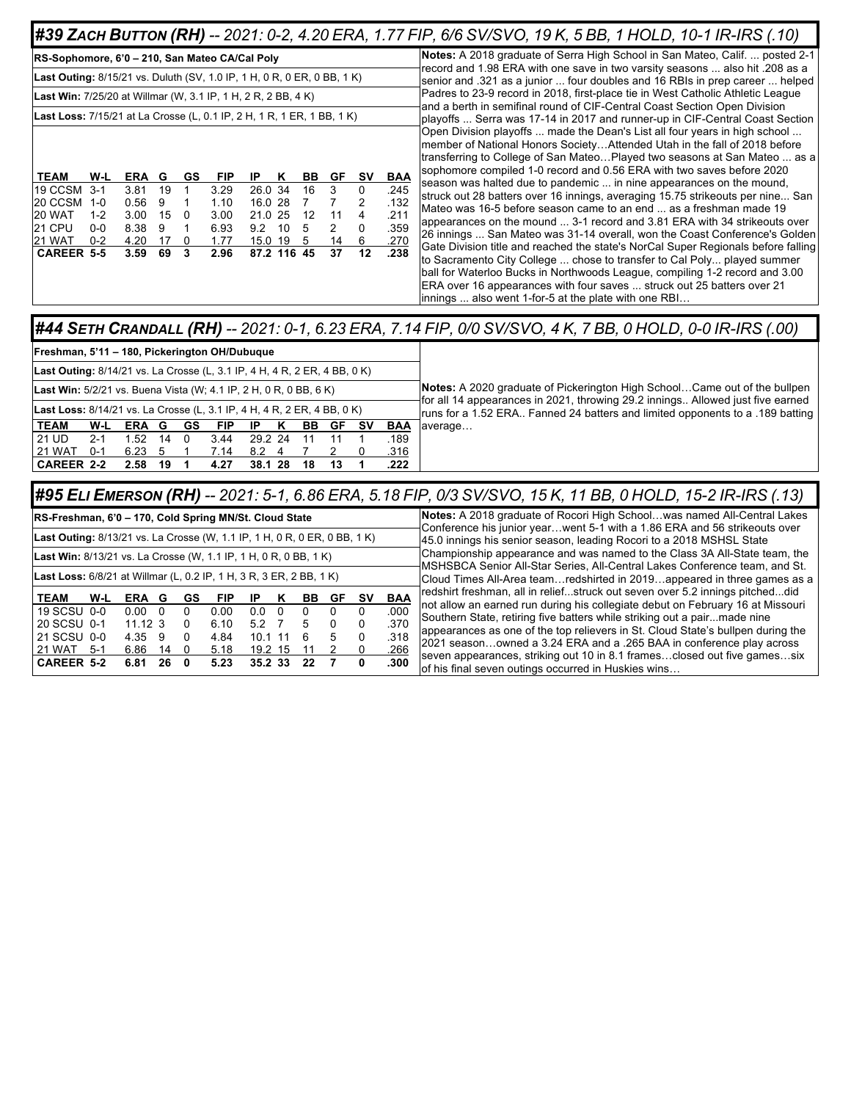#### **#39 ZACH BUTTON (RH) --** 2021: 0-2, 4.20 ERA, 1.77 FIP, 6/6 SV/SVO, 19 K, 5 BB, 1 HOLD, 10-1 IR-IRS (.10)

| RS-Sophomore, 6'0 – 210, San Mateo CA/Cal Poly                                 |         |      |    |    |            |             |    |    |    |    |      |
|--------------------------------------------------------------------------------|---------|------|----|----|------------|-------------|----|----|----|----|------|
| <b>Last Outing:</b> 8/15/21 vs. Duluth (SV, 1.0 IP, 1 H, 0 R, 0 ER, 0 BB, 1 K) |         |      |    |    |            |             |    |    |    |    |      |
| <b>Last Win:</b> 7/25/20 at Willmar (W, 3.1 IP, 1 H, 2 R, 2 BB, 4 K)           |         |      |    |    |            |             |    |    |    |    |      |
| Last Loss: 7/15/21 at La Crosse (L, 0.1 IP, 2 H, 1 R, 1 ER, 1 BB, 1 K)         |         |      |    |    |            |             |    |    |    |    |      |
|                                                                                |         |      |    |    |            |             |    |    |    |    |      |
|                                                                                |         |      |    |    |            |             |    |    |    |    |      |
| <b>TEAM</b>                                                                    | W-L     | ERA  | G  | GS | <b>FIP</b> | IP          | κ  | BВ | GF | S٧ | BAA  |
| 19 CCSM                                                                        | $3-1$   | 3.81 | 19 | 1  | 3.29       | 26.0 34     |    | 16 | 3  | 0  | .245 |
| 20 CCSM                                                                        | $1 - 0$ | 0.56 | 9  | 1  | 1.10       | 16.0 28     |    | 7  | 7  | 2  | .132 |
| 20 WAT                                                                         | $1 - 2$ | 3.00 | 15 | 0  | 3.00       | 21.0 25     |    | 12 | 11 | 4  | .211 |
| 21 CPU                                                                         | $0 - 0$ | 8.38 | 9  | 1  | 6.93       | 9.2         | 10 | 5  | 2  | 0  | .359 |
| 21 WAT                                                                         | $0 - 2$ | 4.20 | 17 | 0  | 1.77       | 15.0 19     |    | 5  | 14 | 6  | .270 |
| <b>CAREER 5-5</b>                                                              |         | 3.59 | 69 | 3  | 2.96       | 87.2 116 45 |    |    | 37 | 12 | .238 |
|                                                                                |         |      |    |    |            |             |    |    |    |    |      |
|                                                                                |         |      |    |    |            |             |    |    |    |    |      |

**Notes:** A 2018 graduate of Serra High School in San Mateo, Calif. ... posted 2-1 record and 1.98 ERA with one save in two varsity seasons ... also hit .208 as a senior and .321 as a junior ... four doubles and 16 RBIs in prep career ... helped Padres to 23-9 record in 2018, first-place tie in West Catholic Athletic League and a berth in semifinal round of CIF-Central Coast Section Open Division playoffs ... Serra was 17-14 in 2017 and runner-up in CIF-Central Coast Section Open Division playoffs ... made the Dean's List all four years in high school ... member of National Honors Society…Attended Utah in the fall of 2018 before transferring to College of San Mateo…Played two seasons at San Mateo ... as a sophomore compiled 1-0 record and 0.56 ERA with two saves before 2020 season was halted due to pandemic ... in nine appearances on the mound, struck out 28 batters over 16 innings, averaging 15.75 strikeouts per nine... San Mateo was 16-5 before season came to an end ... as a freshman made 19 appearances on the mound ... 3-1 record and 3.81 ERA with 34 strikeouts over 26 innings ... San Mateo was 31-14 overall, won the Coast Conference's Golden Gate Division title and reached the state's NorCal Super Regionals before falling to Sacramento City College ... chose to transfer to Cal Poly... played summer ball for Waterloo Bucks in Northwoods League, compiling 1-2 record and 3.00 ERA over 16 appearances with four saves ... struck out 25 batters over 21 innings ... also went 1-for-5 at the plate with one RBI…

#### #44 SETH CRANDALL (RH) -- 2021: 0-1, 6.23 ERA, 7.14 FIP, 0/0 SV/SVO, 4 K, 7 BB, 0 HOLD, 0-0 IR-IRS (.00)

| Freshman, 5'11 - 180, Pickerington OH/Dubuque                                    |                                                                                                                                                            |            |    |     |            |         |  |     |     |    |            |                                                                                                                                                                 |
|----------------------------------------------------------------------------------|------------------------------------------------------------------------------------------------------------------------------------------------------------|------------|----|-----|------------|---------|--|-----|-----|----|------------|-----------------------------------------------------------------------------------------------------------------------------------------------------------------|
| <b>Last Outing:</b> 8/14/21 vs. La Crosse (L, 3.1 IP, 4 H, 4 R, 2 ER, 4 BB, 0 K) |                                                                                                                                                            |            |    |     |            |         |  |     |     |    |            |                                                                                                                                                                 |
|                                                                                  |                                                                                                                                                            |            |    |     |            |         |  |     |     |    |            | Notes: A 2020 graduate of Pickerington High SchoolCame out of the bullpen                                                                                       |
|                                                                                  | <b>Last Win:</b> 5/2/21 vs. Buena Vista (W; 4.1 IP, 2 H, 0 R, 0 BB, 6 K)<br><b>Last Loss:</b> 8/14/21 vs. La Crosse (L, 3.1 IP, 4 H, 4 R, 2 ER, 4 BB, 0 K) |            |    |     |            |         |  |     |     |    |            | for all 14 appearances in 2021, throwing 29.2 innings Allowed just five earned<br>runs for a 1.52 ERA Fanned 24 batters and limited opponents to a .189 batting |
| <b>TEAM</b>                                                                      | W-L                                                                                                                                                        | <b>ERA</b> | G  | GS  | <b>FIP</b> | ΙP      |  | BB. | GF. | sv | <b>BAA</b> | average                                                                                                                                                         |
| 21 UD                                                                            | $2 - 1$                                                                                                                                                    | 1.52       | 14 | - 0 | 3.44       | 29.2 24 |  |     |     |    | .189       |                                                                                                                                                                 |
| <b>21 WAT</b>                                                                    | 0-1                                                                                                                                                        | 6.23       |    |     | 7.14       | 8.2     |  |     |     |    | .316       |                                                                                                                                                                 |
| CAREER 2-2                                                                       |                                                                                                                                                            | 2.58 19    |    |     | 4.27       | 38.1 28 |  | 18  | 13  |    | .222       |                                                                                                                                                                 |
|                                                                                  |                                                                                                                                                            |            |    |     |            |         |  |     |     |    |            |                                                                                                                                                                 |

#### (13) #**95 Eli Emerson (RH)** -- 2021: 5-1, 6.86 ERA, 5.18 FIP, 0/3 SV/SVO, 15 K, 11 BB, 0 HOLD, 15-2 IR-IRS

| RS-Freshman, 6'0 - 170, Cold Spring MN/St. Cloud State                    |       |                    |      |    |            |           |     |     |    |    |      | Notes: A 2018 graduate of Rocori High Schoolwas named All-Central Lakes                                                                                        |
|---------------------------------------------------------------------------|-------|--------------------|------|----|------------|-----------|-----|-----|----|----|------|----------------------------------------------------------------------------------------------------------------------------------------------------------------|
| Last Outing: 8/13/21 vs. La Crosse (W, 1.1 IP, 1 H, 0 R, 0 ER, 0 BB, 1 K) |       |                    |      |    |            |           |     |     |    |    |      | Conference his junior yearwent 5-1 with a 1.86 ERA and 56 strikeouts over<br>45.0 innings his senior season, leading Rocori to a 2018 MSHSL State              |
| <b>Last Win:</b> 8/13/21 vs. La Crosse (W, 1.1 IP, 1 H, 0 R, 0 BB, 1 K)   |       |                    |      |    |            |           |     |     |    |    |      | Championship appearance and was named to the Class 3A All-State team, the<br>MSHSBCA Senior All-Star Series, All-Central Lakes Conference team, and St.        |
| Last Loss: 6/8/21 at Willmar (L, 0.2 IP, 1 H, 3 R, 3 ER, 2 BB, 1 K)       |       |                    |      |    |            |           |     |     |    |    |      | Cloud Times All-Area teamredshirted in 2019appeared in three games as a                                                                                        |
| <b>TEAM</b>                                                               | W-L   | <b>ERA</b>         | G    | GS | <b>FIP</b> | IP        |     | BB. | GF | sv | BAA  | redshirt freshman, all in reliefstruck out seven over 5.2 innings pitcheddid<br>not allow an earned run during his collegiate debut on February 16 at Missouri |
| 19 SCSU 0-0                                                               |       | 0.00               | - 0  |    | 0.00       | 0.0       | - റ |     |    |    | .000 | Southern State, retiring five batters while striking out a pairmade nine                                                                                       |
| l 20 SCSU 0-1                                                             |       | $11.12 \text{ } 3$ |      |    | 6.10       | 5.2       |     |     |    |    | .370 |                                                                                                                                                                |
| 21 SCSU 0-0                                                               |       | 4.35 9             |      |    | 4.84       | $10.1$ 11 |     | ĥ   |    |    | .318 | appearances as one of the top relievers in St. Cloud State's bullpen during the                                                                                |
| 21 WAT                                                                    | $5-1$ | 6.86               | 14   | -0 | 5.18       | 19.2 15   |     |     |    |    | .266 | 2021 seasonowned a 3.24 ERA and a .265 BAA in conference play across                                                                                           |
| CAREER 5-2                                                                |       | 6.81               | 26 O |    | 5.23       | 35.2 33   |     | 22  |    | o  | .300 | seven appearances, striking out 10 in 8.1 framesclosed out five gamessix<br>of his final seven outings occurred in Huskies wins                                |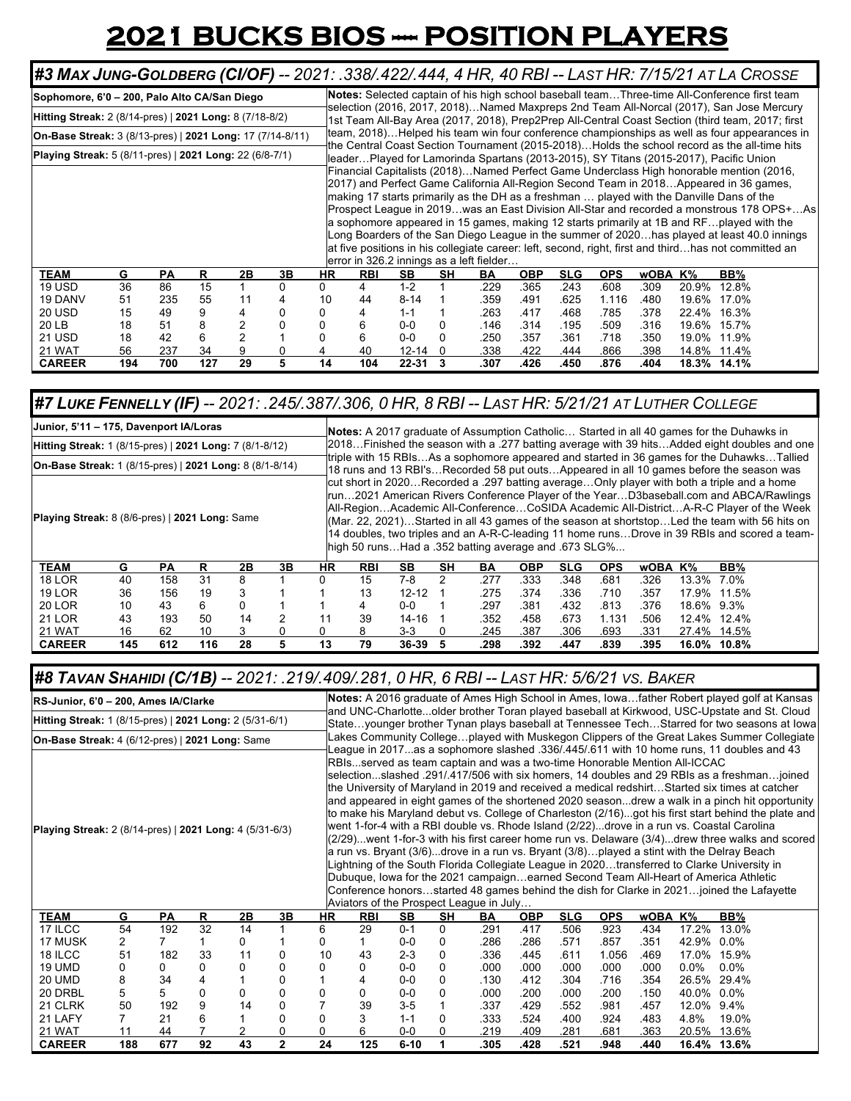## **2021 BUCKS BIOS -- POSITION PLAYERS**

| #3 Max Jung-Goldberg (CI/OF) -- 2021: .338/.422/.444, 4 HR, 40 RBI -- LAST HR: 7/15/21 AT LA CROSSE |     |     |     |                |    |           |            |                                          |    |      |            |            |            |         |       |                                                                                                                                                                                                                                                                                                                                                                                                                                                                                                                                                                                                                                                                              |  |
|-----------------------------------------------------------------------------------------------------|-----|-----|-----|----------------|----|-----------|------------|------------------------------------------|----|------|------------|------------|------------|---------|-------|------------------------------------------------------------------------------------------------------------------------------------------------------------------------------------------------------------------------------------------------------------------------------------------------------------------------------------------------------------------------------------------------------------------------------------------------------------------------------------------------------------------------------------------------------------------------------------------------------------------------------------------------------------------------------|--|
| Sophomore, 6'0 - 200, Palo Alto CA/San Diego                                                        |     |     |     |                |    |           |            |                                          |    |      |            |            |            |         |       | Notes: Selected captain of his high school baseball teamThree-time All-Conference first team                                                                                                                                                                                                                                                                                                                                                                                                                                                                                                                                                                                 |  |
| Hitting Streak: 2 (8/14-pres)   2021 Long: 8 (7/18-8/2)                                             |     |     |     |                |    |           |            |                                          |    |      |            |            |            |         |       | selection (2016, 2017, 2018)Named Maxpreps 2nd Team All-Norcal (2017), San Jose Mercury<br>1st Team All-Bay Area (2017, 2018), Prep2Prep All-Central Coast Section (third team, 2017; first                                                                                                                                                                                                                                                                                                                                                                                                                                                                                  |  |
| <b>On-Base Streak:</b> 3 (8/13-pres)   2021 Long: 17 (7/14-8/11)                                    |     |     |     |                |    |           |            |                                          |    |      |            |            |            |         |       | team, 2018)Helped his team win four conference championships as well as four appearances in<br>the Central Coast Section Tournament (2015-2018)Holds the school record as the all-time hits                                                                                                                                                                                                                                                                                                                                                                                                                                                                                  |  |
| <b>Playing Streak:</b> 5 (8/11-pres)   2021 Long: 22 (6/8-7/1)                                      |     |     |     |                |    |           |            |                                          |    |      |            |            |            |         |       | leaderPlayed for Lamorinda Spartans (2013-2015), SY Titans (2015-2017), Pacific Union                                                                                                                                                                                                                                                                                                                                                                                                                                                                                                                                                                                        |  |
|                                                                                                     |     |     |     |                |    |           |            | error in 326.2 innings as a left fielder |    |      |            |            |            |         |       | Financial Capitalists (2018)Named Perfect Game Underclass High honorable mention (2016,<br>(2017) and Perfect Game California All-Region Second Team in 2018Appeared in 36 games,<br>making 17 starts primarily as the DH as a freshman  played with the Danville Dans of the<br>Prospect League in 2019was an East Division All-Star and recorded a monstrous 178 OPS+As<br>a sophomore appeared in 15 games, making 12 starts primarily at 1B and RFplayed with the<br>Long Boarders of the San Diego League in the summer of 2020has played at least 40.0 innings<br>at five positions in his collegiate career: left, second, right, first and thirdhas not committed an |  |
| <b>TEAM</b>                                                                                         | G   | PA  | R   | 2Β             | 3B | <b>HR</b> | <b>RBI</b> | <b>SB</b>                                | SH | BA   | <b>OBP</b> | <b>SLG</b> | <b>OPS</b> | wOBA K% |       | BB%                                                                                                                                                                                                                                                                                                                                                                                                                                                                                                                                                                                                                                                                          |  |
| 19 USD                                                                                              | 36  | 86  | 15  |                |    | 0         | 4          | $1 - 2$                                  |    | .229 | .365       | .243       | .608       | .309    | 20.9% | 12.8%                                                                                                                                                                                                                                                                                                                                                                                                                                                                                                                                                                                                                                                                        |  |
| 19 DANV                                                                                             | 51  | 235 | 55  | 11             |    | 10        | 44         | $8 - 14$                                 |    | .359 | .491       | .625       | 1.116      | .480    | 19.6% | 17.0%                                                                                                                                                                                                                                                                                                                                                                                                                                                                                                                                                                                                                                                                        |  |
| <b>20 USD</b>                                                                                       | 15  | 49  | 9   | 4              |    |           | 4          | $1 - 1$                                  |    | .263 | .417       | .468       | .785       | .378    | 22.4% | 16.3%                                                                                                                                                                                                                                                                                                                                                                                                                                                                                                                                                                                                                                                                        |  |
| 20 LB                                                                                               | 18  | 51  | 8   | 2              |    |           | 6          | $0-0$                                    | 0  | .146 | .314       | .195       | .509       | .316    | 19.6% | 15.7%                                                                                                                                                                                                                                                                                                                                                                                                                                                                                                                                                                                                                                                                        |  |
| <b>21 USD</b>                                                                                       | 18  | 42  | 6   | $\overline{2}$ |    |           | 6          | $0-0$                                    | 0  | .250 | .357       | .361       | .718       | .350    | 19.0% | 11.9%                                                                                                                                                                                                                                                                                                                                                                                                                                                                                                                                                                                                                                                                        |  |
| 21 WAT                                                                                              | 56  | 237 | 34  | 9              |    |           | 40         | $12 - 14$                                | 0  | .338 | .422       | .444       | .866       | .398    |       | 14.8% 11.4%                                                                                                                                                                                                                                                                                                                                                                                                                                                                                                                                                                                                                                                                  |  |
| <b>CAREER</b>                                                                                       | 194 | 700 | 127 | 29             | 5  | 14        | 104        | $22 - 31$                                | 3  | .307 | .426       | .450       | .876       | .404    |       | 18.3% 14.1%                                                                                                                                                                                                                                                                                                                                                                                                                                                                                                                                                                                                                                                                  |  |

### *#7 LUKE FENNELLY (IF) -- 2021: .245/.387/.306, 0 HR, 8 RBI -- LAST HR: 5/21/21 AT LUTHER COLLEGE*

| Junior, 5'11 - 175, Davenport IA/Loras                  |     |           |     |    |               |           |            |                                                      |           |      |            |            |            |         |            | Notes: A 2017 graduate of Assumption Catholic Started in all 40 games for the Duhawks in                                                                                                                                                                                                                                                                                                                                                                                     |
|---------------------------------------------------------|-----|-----------|-----|----|---------------|-----------|------------|------------------------------------------------------|-----------|------|------------|------------|------------|---------|------------|------------------------------------------------------------------------------------------------------------------------------------------------------------------------------------------------------------------------------------------------------------------------------------------------------------------------------------------------------------------------------------------------------------------------------------------------------------------------------|
| Hitting Streak: 1 (8/15-pres)   2021 Long: 7 (8/1-8/12) |     |           |     |    |               |           |            |                                                      |           |      |            |            |            |         |            | [2018Finished the season with a .277 batting average with 39 hitsAdded eight doubles and one                                                                                                                                                                                                                                                                                                                                                                                 |
| On-Base Streak: 1 (8/15-pres)   2021 Long: 8 (8/1-8/14) |     |           |     |    |               |           |            |                                                      |           |      |            |            |            |         |            | triple with 15 RBIsAs a sophomore appeared and started in 36 games for the DuhawksTallied<br>18 runs and 13 RBI'sRecorded 58 put outsAppeared in all 10 games before the season was                                                                                                                                                                                                                                                                                          |
| Playing Streak: 8 (8/6-pres)   2021 Long: Same          |     |           |     |    |               |           |            | high 50 runsHad a .352 batting average and .673 SLG% |           |      |            |            |            |         |            | cut short in 2020Recorded a .297 batting averageOnly player with both a triple and a home<br>run2021 American Rivers Conference Player of the YearD3baseball.com and ABCA/Rawlings<br>All-RegionAcademic All-ConferenceCoSIDA Academic All-DistrictA-R-C Player of the Week<br>(Mar. 22, 2021)Started in all 43 games of the season at shortstopLed the team with 56 hits on<br>14 doubles, two triples and an A-R-C-leading 11 home runsDrove in 39 RBIs and scored a team- |
| <b>TEAM</b>                                             | G   | <b>PA</b> | R   | 2Β | 3В            | <b>HR</b> | <b>RBI</b> | SB.                                                  | <b>SH</b> | BA   | <b>OBP</b> | <b>SLG</b> | <b>OPS</b> | wOBA K% |            | BB%                                                                                                                                                                                                                                                                                                                                                                                                                                                                          |
| <b>18 LOR</b>                                           | 40  | 158       | 31  | 8  |               | $\Omega$  | 15         | 7-8                                                  | 2         | .277 | .333       | .348       | .681       | .326    | 13.3% 7.0% |                                                                                                                                                                                                                                                                                                                                                                                                                                                                              |
| <b>19 LOR</b>                                           | 36  | 156       | 19  | 3  |               |           | 13         | $12 - 12$                                            |           | .275 | .374       | .336       | .710       | .357    |            | 17.9% 11.5%                                                                                                                                                                                                                                                                                                                                                                                                                                                                  |
| <b>20 LOR</b>                                           | 10  | 43        | 6   | 0  |               |           |            | $0 - 0$                                              |           | .297 | .381       | .432       | .813       | .376    | 18.6% 9.3% |                                                                                                                                                                                                                                                                                                                                                                                                                                                                              |
| 21 LOR                                                  | 43  | 193       | 50  | 14 | $\mathcal{P}$ |           | 39         | 14-16                                                |           | .352 | .458       | .673       | 1.131      | .506    |            | 12.4% 12.4%                                                                                                                                                                                                                                                                                                                                                                                                                                                                  |
| 21 WAT                                                  | 16  | 62        | 10  | 3  |               |           | 8          | $3 - 3$                                              |           | .245 | .387       | .306       | .693       | .331    |            | 27.4% 14.5%                                                                                                                                                                                                                                                                                                                                                                                                                                                                  |
| <b>CAREER</b>                                           | 145 | 612       | 116 | 28 | 5.            | 13        | 79         | 36-39                                                | 5         | .298 | .392       | .447       | .839       | .395    |            | 16.0% 10.8%                                                                                                                                                                                                                                                                                                                                                                                                                                                                  |

#### *#8 TAVAN SHAHIDI (C/1B) -- 2021: .219/.409/.281, 0 HR, 6 RBI -- LAST HR: 5/6/21 VS. BAKER*

| RS-Junior, 6'0 - 200, Ames IA/Clarke                    |                |     |              |                |                |           |              |          |    |                                                                                                                      |            |            |            |         |            | Notes: A 2016 graduate of Ames High School in Ames, lowafather Robert played golf at Kansas                                                                                                                                                                                                                                                                                                                                                                                                                                                                                                                                                                                                                                                                                                                                                                                                                                                                                                                                                                                    |
|---------------------------------------------------------|----------------|-----|--------------|----------------|----------------|-----------|--------------|----------|----|----------------------------------------------------------------------------------------------------------------------|------------|------------|------------|---------|------------|--------------------------------------------------------------------------------------------------------------------------------------------------------------------------------------------------------------------------------------------------------------------------------------------------------------------------------------------------------------------------------------------------------------------------------------------------------------------------------------------------------------------------------------------------------------------------------------------------------------------------------------------------------------------------------------------------------------------------------------------------------------------------------------------------------------------------------------------------------------------------------------------------------------------------------------------------------------------------------------------------------------------------------------------------------------------------------|
| Hitting Streak: 1 (8/15-pres)   2021 Long: 2 (5/31-6/1) |                |     |              |                |                |           |              |          |    |                                                                                                                      |            |            |            |         |            | and UNC-Charlotteolder brother Toran played baseball at Kirkwood, USC-Upstate and St. Cloud<br>Stateyounger brother Tynan plays baseball at Tennessee TechStarred for two seasons at lowa                                                                                                                                                                                                                                                                                                                                                                                                                                                                                                                                                                                                                                                                                                                                                                                                                                                                                      |
| On-Base Streak: 4 (6/12-pres)   2021 Long: Same         |                |     |              |                |                |           |              |          |    |                                                                                                                      |            |            |            |         |            | Lakes Community Collegeplayed with Muskegon Clippers of the Great Lakes Summer Collegiate                                                                                                                                                                                                                                                                                                                                                                                                                                                                                                                                                                                                                                                                                                                                                                                                                                                                                                                                                                                      |
| Playing Streak: 2 (8/14-pres)   2021 Long: 4 (5/31-6/3) |                |     |              |                |                |           |              |          |    | RBIsserved as team captain and was a two-time Honorable Mention All-ICCAC<br>Aviators of the Prospect League in July |            |            |            |         |            | eague in 2017as a sophomore slashed .336/.445/.611 with 10 home runs, 11 doubles and 43<br>selectionslashed .291/.417/506 with six homers, 14 doubles and 29 RBIs as a freshmanjoined<br>the University of Maryland in 2019 and received a medical redshirtStarted six times at catcher<br>and appeared in eight games of the shortened 2020 seasondrew a walk in a pinch hit opportunity<br>to make his Maryland debut vs. College of Charleston (2/16)got his first start behind the plate and<br>went 1-for-4 with a RBI double vs. Rhode Island (2/22)drove in a run vs. Coastal Carolina<br>(2/29)went 1-for-3 with his first career home run vs. Delaware (3/4)drew three walks and scored<br>a run vs. Bryant (3/6)drove in a run vs. Bryant (3/8)played a stint with the Delray Beach<br>ightning of the South Florida Collegiate League in 2020transferred to Clarke University in<br>Dubuque, lowa for the 2021 campaignearned Second Team All-Heart of America Athletic<br>Conference honorsstarted 48 games behind the dish for Clarke in 2021joined the Lafayette |
| <b>TEAM</b>                                             | G              | PA  | R            | 2B             | 3В             | <b>HR</b> | <b>RBI</b>   | SB       | SH | BA                                                                                                                   | <b>OBP</b> | <b>SLG</b> | <b>OPS</b> | wOBA K% |            | BB%                                                                                                                                                                                                                                                                                                                                                                                                                                                                                                                                                                                                                                                                                                                                                                                                                                                                                                                                                                                                                                                                            |
| 17 ILCC                                                 | 54             | 192 | 32           | 14             |                | 6         | 29           | $0 - 1$  | 0  | .291                                                                                                                 | .417       | .506       | .923       | .434    | 17.2%      | 13.0%                                                                                                                                                                                                                                                                                                                                                                                                                                                                                                                                                                                                                                                                                                                                                                                                                                                                                                                                                                                                                                                                          |
| 17 MUSK                                                 | $\overline{2}$ |     |              | 0              |                | 0         |              | $0-0$    | 0  | .286                                                                                                                 | .286       | .571       | .857       | .351    | 42.9% 0.0% |                                                                                                                                                                                                                                                                                                                                                                                                                                                                                                                                                                                                                                                                                                                                                                                                                                                                                                                                                                                                                                                                                |
| 18 ILCC                                                 | 51             | 182 | 33           | 11             | 0              | 10        | 43           | $2 - 3$  | 0  | .336                                                                                                                 | .445       | .611       | 1.056      | .469    | 17.0%      | 15.9%                                                                                                                                                                                                                                                                                                                                                                                                                                                                                                                                                                                                                                                                                                                                                                                                                                                                                                                                                                                                                                                                          |
| 19 UMD                                                  | 0              | 0   | 0            | 0              | 0              | 0         | 0            | $0-0$    | 0  | .000                                                                                                                 | .000       | .000       | .000       | .000    | $0.0\%$    | $0.0\%$                                                                                                                                                                                                                                                                                                                                                                                                                                                                                                                                                                                                                                                                                                                                                                                                                                                                                                                                                                                                                                                                        |
| <b>20 UMD</b>                                           | 8              | 34  | 4            | 1              | 0              |           | 4            | $0-0$    | 0  | .130                                                                                                                 | .412       | .304       | .716       | .354    |            | 26.5% 29.4%                                                                                                                                                                                                                                                                                                                                                                                                                                                                                                                                                                                                                                                                                                                                                                                                                                                                                                                                                                                                                                                                    |
| 20 DRBL                                                 | 5              | 5.  | $\mathbf{0}$ | 0              | 0              | 0         | $\mathbf{0}$ | $0-0$    |    | .000                                                                                                                 | .200       | .000       | .200       | .150    | 40.0%      | $0.0\%$                                                                                                                                                                                                                                                                                                                                                                                                                                                                                                                                                                                                                                                                                                                                                                                                                                                                                                                                                                                                                                                                        |
| 21 CLRK                                                 | 50             | 192 | 9            | 14             | 0              |           | 39           | $3-5$    |    | .337                                                                                                                 | .429       | .552       | .981       | .457    | 12.0% 9.4% |                                                                                                                                                                                                                                                                                                                                                                                                                                                                                                                                                                                                                                                                                                                                                                                                                                                                                                                                                                                                                                                                                |
| 21 LAFY                                                 | 7              | 21  | 6            | 1              | 0              | 0         | 3            | $1 - 1$  | 0  | .333                                                                                                                 | .524       | .400       | .924       | .483    | 4.8%       | 19.0%                                                                                                                                                                                                                                                                                                                                                                                                                                                                                                                                                                                                                                                                                                                                                                                                                                                                                                                                                                                                                                                                          |
| 21 WAT                                                  | 11             | 44  |              | $\overline{2}$ |                |           | 6            | $0-0$    |    | 219                                                                                                                  | .409       | .281       | .681       | .363    |            | 20.5% 13.6%                                                                                                                                                                                                                                                                                                                                                                                                                                                                                                                                                                                                                                                                                                                                                                                                                                                                                                                                                                                                                                                                    |
| <b>CAREER</b>                                           | 188            | 677 | 92           | 43             | $\overline{2}$ | 24        | 125          | $6 - 10$ |    | .305                                                                                                                 | .428       | .521       | .948       | .440    |            | 16.4% 13.6%                                                                                                                                                                                                                                                                                                                                                                                                                                                                                                                                                                                                                                                                                                                                                                                                                                                                                                                                                                                                                                                                    |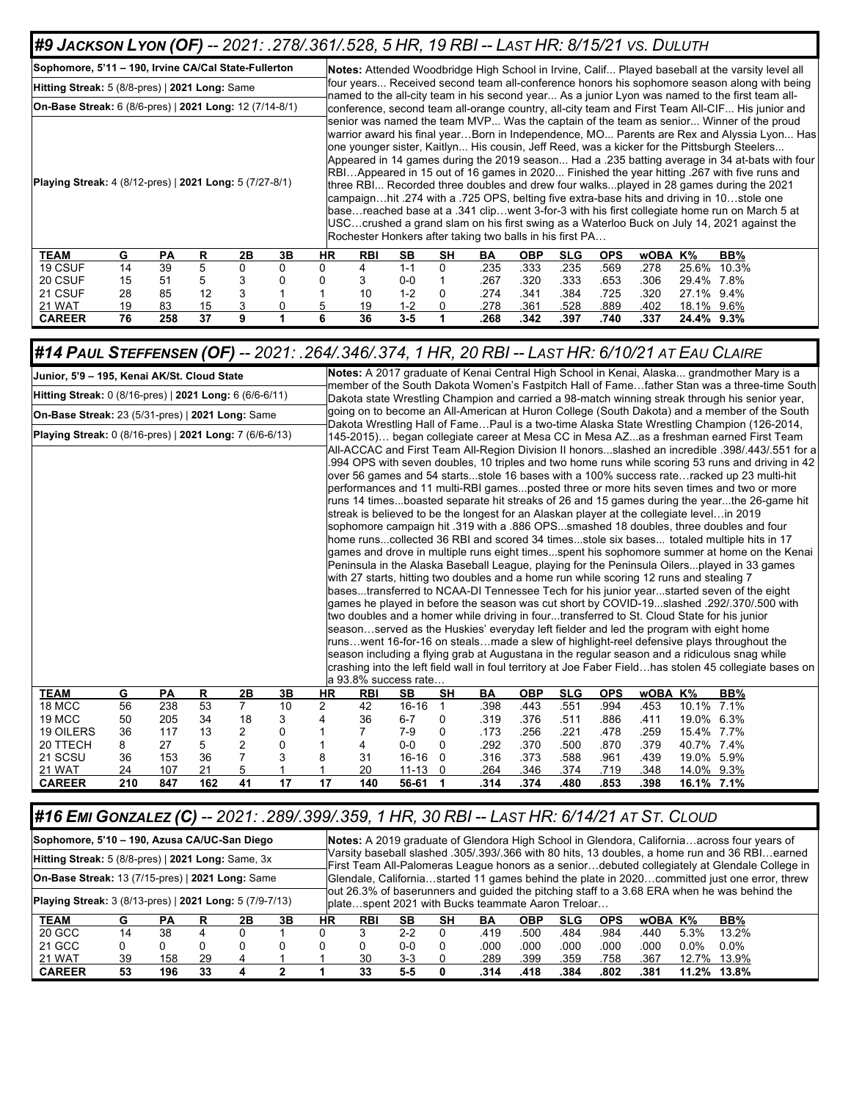### *#9 JACKSON LYON (OF) -- 2021: .278/.361/.528, 5 HR, 19 RBI -- LAST HR: 8/15/21 VS. DULUTH*

| Sophomore, 5'11 - 190, Irvine CA/Cal State-Fullerton           |    |    |    |    |    |     |                                                          |         |           |      |            |            |            |         |            | <b>Notes:</b> Attended Woodbridge High School in Irvine, Calif Played baseball at the varsity level all                                                                                                                                                                                                                                                                                                                                                                                                                                                                                                                                                                                                                                                                                                                                                                    |  |
|----------------------------------------------------------------|----|----|----|----|----|-----|----------------------------------------------------------|---------|-----------|------|------------|------------|------------|---------|------------|----------------------------------------------------------------------------------------------------------------------------------------------------------------------------------------------------------------------------------------------------------------------------------------------------------------------------------------------------------------------------------------------------------------------------------------------------------------------------------------------------------------------------------------------------------------------------------------------------------------------------------------------------------------------------------------------------------------------------------------------------------------------------------------------------------------------------------------------------------------------------|--|
| Hitting Streak: 5 (8/8-pres)   2021 Long: Same                 |    |    |    |    |    |     |                                                          |         |           |      |            |            |            |         |            | four years Received second team all-conference honors his sophomore season along with being<br>named to the all-city team in his second year As a junior Lyon was named to the first team all-                                                                                                                                                                                                                                                                                                                                                                                                                                                                                                                                                                                                                                                                             |  |
| <b>On-Base Streak:</b> 6 (8/6-pres)   2021 Long: 12 (7/14-8/1) |    |    |    |    |    |     |                                                          |         |           |      |            |            |            |         |            | conference, second team all-orange country, all-city team and First Team All-CIF His junior and                                                                                                                                                                                                                                                                                                                                                                                                                                                                                                                                                                                                                                                                                                                                                                            |  |
| <b>Playing Streak:</b> 4 (8/12-pres)   2021 Long: 5 (7/27-8/1) |    |    |    |    |    |     | Rochester Honkers after taking two balls in his first PA |         |           |      |            |            |            |         |            | senior was named the team MVP Was the captain of the team as senior Winner of the proud<br>warrior award his final yearBorn in Independence, MO Parents are Rex and Alyssia Lyon Has<br>lone younger sister, Kaitlyn His cousin, Jeff Reed, was a kicker for the Pittsburgh Steelers<br>Appeared in 14 games during the 2019 season Had a .235 batting average in 34 at-bats with four<br>RBIAppeared in 15 out of 16 games in 2020 Finished the year hitting .267 with five runs and<br>three RBI Recorded three doubles and drew four walksplayed in 28 games during the 2021<br>campaignhit .274 with a .725 OPS, belting five extra-base hits and driving in 10stole one<br>basereached base at a .341 clipwent 3-for-3 with his first collegiate home run on March 5 at<br>USCcrushed a grand slam on his first swing as a Waterloo Buck on July 14, 2021 against the |  |
| <b>TEAM</b>                                                    | G  | РA | R  | 2В | 3В | HR. | <b>RBI</b>                                               | SВ      | <b>SH</b> | BA   | <b>OBP</b> | <b>SLG</b> | <b>OPS</b> | wOBA K% |            | BB%                                                                                                                                                                                                                                                                                                                                                                                                                                                                                                                                                                                                                                                                                                                                                                                                                                                                        |  |
| 19 CSUF                                                        | 14 | 39 | 5  | 0  |    |     | 4                                                        | $1 - 1$ | 0         | .235 | .333       | .235       | .569       | .278    | 25.6%      | 10.3%                                                                                                                                                                                                                                                                                                                                                                                                                                                                                                                                                                                                                                                                                                                                                                                                                                                                      |  |
| 20 CSUF                                                        | 15 | 51 | 5  | 3  |    |     | 3                                                        | $0 - 0$ |           | .267 | .320       | .333       | .653       | .306    | 29.4% 7.8% |                                                                                                                                                                                                                                                                                                                                                                                                                                                                                                                                                                                                                                                                                                                                                                                                                                                                            |  |
| 21 CSUF                                                        | 28 | 85 | 12 | 3  |    |     | 10                                                       | $1 - 2$ |           | 274  | .341       | .384       | .725       | .320    | 27.1% 9.4% |                                                                                                                                                                                                                                                                                                                                                                                                                                                                                                                                                                                                                                                                                                                                                                                                                                                                            |  |

21 WAT 19 83 15 3 0 5 19 1-2 0 .278 .361 .528 .889 .402 18.1% 9.6% **CAREER 76 258 37 9 1 6 36 3-5 1 .268 .342 .397 .740 .337 24.4% 9.3%**

| #14 PAUL STEFFENSEN (OF) -- 2021: .264/.346/.374, 1 HR, 20 RBI -- LAST HR: 6/10/21 AT EAU CLAIRE |     |     |             |                |    |           |                |                      |              |                                                                                                                                                                                                                                                                                                                                                                                                                                                                                                                                                                                                                                                                                                                                                                                                                                                                                                                                                                                                                                                                                                                                                                                                                                                |            |            |            |                |            |     |                                                                                                                                                                                                                                                                                                                                                                                                                                                                                                                |
|--------------------------------------------------------------------------------------------------|-----|-----|-------------|----------------|----|-----------|----------------|----------------------|--------------|------------------------------------------------------------------------------------------------------------------------------------------------------------------------------------------------------------------------------------------------------------------------------------------------------------------------------------------------------------------------------------------------------------------------------------------------------------------------------------------------------------------------------------------------------------------------------------------------------------------------------------------------------------------------------------------------------------------------------------------------------------------------------------------------------------------------------------------------------------------------------------------------------------------------------------------------------------------------------------------------------------------------------------------------------------------------------------------------------------------------------------------------------------------------------------------------------------------------------------------------|------------|------------|------------|----------------|------------|-----|----------------------------------------------------------------------------------------------------------------------------------------------------------------------------------------------------------------------------------------------------------------------------------------------------------------------------------------------------------------------------------------------------------------------------------------------------------------------------------------------------------------|
| Junior, 5'9 - 195, Kenai AK/St. Cloud State                                                      |     |     |             |                |    |           |                |                      |              | Notes: A 2017 graduate of Kenai Central High School in Kenai, Alaska grandmother Mary is a                                                                                                                                                                                                                                                                                                                                                                                                                                                                                                                                                                                                                                                                                                                                                                                                                                                                                                                                                                                                                                                                                                                                                     |            |            |            |                |            |     |                                                                                                                                                                                                                                                                                                                                                                                                                                                                                                                |
| Hitting Streak: 0 (8/16-pres)   2021 Long: 6 (6/6-6/11)                                          |     |     |             |                |    |           |                |                      |              | Dakota state Wrestling Champion and carried a 98-match winning streak through his senior year,                                                                                                                                                                                                                                                                                                                                                                                                                                                                                                                                                                                                                                                                                                                                                                                                                                                                                                                                                                                                                                                                                                                                                 |            |            |            |                |            |     | member of the South Dakota Women's Fastpitch Hall of Famefather Stan was a three-time South                                                                                                                                                                                                                                                                                                                                                                                                                    |
| On-Base Streak: 23 (5/31-pres)   2021 Long: Same                                                 |     |     |             |                |    |           |                |                      |              |                                                                                                                                                                                                                                                                                                                                                                                                                                                                                                                                                                                                                                                                                                                                                                                                                                                                                                                                                                                                                                                                                                                                                                                                                                                |            |            |            |                |            |     | going on to become an All-American at Huron College (South Dakota) and a member of the South                                                                                                                                                                                                                                                                                                                                                                                                                   |
| Playing Streak: 0 (8/16-pres)   2021 Long: 7 (6/6-6/13)                                          |     |     |             |                |    |           |                |                      |              | Dakota Wrestling Hall of FamePaul is a two-time Alaska State Wrestling Champion (126-2014,<br>145-2015) began collegiate career at Mesa CC in Mesa AZas a freshman earned First Team                                                                                                                                                                                                                                                                                                                                                                                                                                                                                                                                                                                                                                                                                                                                                                                                                                                                                                                                                                                                                                                           |            |            |            |                |            |     |                                                                                                                                                                                                                                                                                                                                                                                                                                                                                                                |
|                                                                                                  |     |     |             |                |    |           |                | a 93.8% success rate |              | over 56 games and 54 startsstole 16 bases with a 100% success rateracked up 23 multi-hit<br>performances and 11 multi-RBI gamesposted three or more hits seven times and two or more<br>streak is believed to be the longest for an Alaskan player at the collegiate levelin 2019<br>sophomore campaign hit .319 with a .886 OPSsmashed 18 doubles, three doubles and four<br>home runscollected 36 RBI and scored 34 timesstole six bases totaled multiple hits in 17<br>Peninsula in the Alaska Baseball League, playing for the Peninsula Oilersplayed in 33 games<br>with 27 starts, hitting two doubles and a home run while scoring 12 runs and stealing 7<br>basestransferred to NCAA-DI Tennessee Tech for his junior yearstarted seven of the eight<br>games he played in before the season was cut short by COVID-19slashed .292/.370/.500 with<br>two doubles and a homer while driving in fourtransferred to St. Cloud State for his junior<br>seasonserved as the Huskies' everyday left fielder and led the program with eight home<br>runswent 16-for-16 on stealsmade a slew of highlight-reel defensive plays throughout the<br>season including a flying grab at Augustana in the regular season and a ridiculous snag while |            |            |            |                |            |     | All-ACCAC and First Team All-Region Division II honorsslashed an incredible .398/.443/.551 for a<br>.994 OPS with seven doubles, 10 triples and two home runs while scoring 53 runs and driving in 42<br>runs 14 timesboasted separate hit streaks of 26 and 15 games during the yearthe 26-game hit<br>games and drove in multiple runs eight timesspent his sophomore summer at home on the Kenai<br>crashing into the left field wall in foul territory at Joe Faber Fieldhas stolen 45 collegiate bases on |
| <b>TEAM</b>                                                                                      | G   | PA  | $\mathbf R$ | 2B             | 3В | <b>HR</b> | <b>RBI</b>     | <b>SB</b>            | <b>SH</b>    | <b>BA</b>                                                                                                                                                                                                                                                                                                                                                                                                                                                                                                                                                                                                                                                                                                                                                                                                                                                                                                                                                                                                                                                                                                                                                                                                                                      | <b>OBP</b> | <b>SLG</b> | <b>OPS</b> | <b>WOBA K%</b> |            | BB% |                                                                                                                                                                                                                                                                                                                                                                                                                                                                                                                |
| 18 MCC                                                                                           | 56  | 238 | 53          | $\overline{7}$ | 10 | 2         | 42             | $16 - 16$            | $\mathbf{1}$ | .398                                                                                                                                                                                                                                                                                                                                                                                                                                                                                                                                                                                                                                                                                                                                                                                                                                                                                                                                                                                                                                                                                                                                                                                                                                           | .443       | .551       | .994       | .453           | 10.1% 7.1% |     |                                                                                                                                                                                                                                                                                                                                                                                                                                                                                                                |
| 19 MCC                                                                                           | 50  | 205 | 34          | 18             | 3  | 4         | 36             | $6 - 7$              | 0            | .319                                                                                                                                                                                                                                                                                                                                                                                                                                                                                                                                                                                                                                                                                                                                                                                                                                                                                                                                                                                                                                                                                                                                                                                                                                           | .376       | .511       | .886       | .411           | 19.0% 6.3% |     |                                                                                                                                                                                                                                                                                                                                                                                                                                                                                                                |
| 19 OILERS                                                                                        | 36  | 117 | 13          | 2              | 0  |           | $\overline{7}$ | $7-9$                | 0            | .173                                                                                                                                                                                                                                                                                                                                                                                                                                                                                                                                                                                                                                                                                                                                                                                                                                                                                                                                                                                                                                                                                                                                                                                                                                           | .256       | .221       | .478       | .259           | 15.4% 7.7% |     |                                                                                                                                                                                                                                                                                                                                                                                                                                                                                                                |
| 20 TTECH                                                                                         | 8   | 27  | 5           | $\overline{c}$ | 0  |           | 4              | $0-0$                | $\Omega$     | .292                                                                                                                                                                                                                                                                                                                                                                                                                                                                                                                                                                                                                                                                                                                                                                                                                                                                                                                                                                                                                                                                                                                                                                                                                                           | .370       | .500       | .870       | .379           | 40.7% 7.4% |     |                                                                                                                                                                                                                                                                                                                                                                                                                                                                                                                |
| 21 SCSU                                                                                          | 36  | 153 | 36          | $\overline{7}$ | 3  | 8         | 31             | $16 - 16$            | $\Omega$     | .316                                                                                                                                                                                                                                                                                                                                                                                                                                                                                                                                                                                                                                                                                                                                                                                                                                                                                                                                                                                                                                                                                                                                                                                                                                           | .373       | .588       | .961       | .439           | 19.0% 5.9% |     |                                                                                                                                                                                                                                                                                                                                                                                                                                                                                                                |
| 21 WAT                                                                                           | 24  | 107 | 21          | 5              |    |           | 20             | $11 - 13$            | $\Omega$     | .264                                                                                                                                                                                                                                                                                                                                                                                                                                                                                                                                                                                                                                                                                                                                                                                                                                                                                                                                                                                                                                                                                                                                                                                                                                           | .346       | .374       | .719       | .348           | 14.0% 9.3% |     |                                                                                                                                                                                                                                                                                                                                                                                                                                                                                                                |
| <b>CAREER</b>                                                                                    | 210 | 847 | 162         | 41             | 17 | 17        | 140            | 56-61 1              |              | .314                                                                                                                                                                                                                                                                                                                                                                                                                                                                                                                                                                                                                                                                                                                                                                                                                                                                                                                                                                                                                                                                                                                                                                                                                                           | .374       | .480       | .853       | .398           | 16.1% 7.1% |     |                                                                                                                                                                                                                                                                                                                                                                                                                                                                                                                |

### *#16 EMI GONZALEZ (C) -- 2021: .289/.399/.359, 1 HR, 30 RBI -- LAST HR: 6/14/21 AT ST. CLOUD*

| Sophomore, 5'10 - 190, Azusa CA/UC-San Diego            |    |     |    |    |    |    |            |         |    |                                                   |            |            |            |         |         | Notes: A 2019 graduate of Glendora High School in Glendora, Californiaacross four years of                                                                                                     |
|---------------------------------------------------------|----|-----|----|----|----|----|------------|---------|----|---------------------------------------------------|------------|------------|------------|---------|---------|------------------------------------------------------------------------------------------------------------------------------------------------------------------------------------------------|
| Hitting Streak: 5 (8/8-pres)   2021 Long: Same, 3x      |    |     |    |    |    |    |            |         |    |                                                   |            |            |            |         |         | Varsity baseball slashed .305/.393/.366 with 80 hits, 13 doubles, a home run and 36 RBIearned<br>First Team All-Palomeras League honors as a seniordebuted collegiately at Glendale College in |
| On-Base Streak: 13 (7/15-pres)   2021 Long: Same        |    |     |    |    |    |    |            |         |    |                                                   |            |            |            |         |         | Glendale, Californiastarted 11 games behind the plate in 2020committed just one error, threw                                                                                                   |
| Playing Streak: 3 (8/13-pres)   2021 Long: 5 (7/9-7/13) |    |     |    |    |    |    |            |         |    | platespent 2021 with Bucks teammate Aaron Treloar |            |            |            |         |         | out 26.3% of baserunners and guided the pitching staff to a 3.68 ERA when he was behind the                                                                                                    |
| <b>TEAM</b>                                             | G  | PА  | R  | 2Β | 3Β | HR | <b>RBI</b> | SB      | SН | BA                                                | <b>OBP</b> | <b>SLG</b> | <b>OPS</b> | wOBA K% |         | BB%                                                                                                                                                                                            |
| 20 GCC                                                  | 14 | 38  | 4  |    |    |    |            | $2 - 2$ |    | .419                                              | .500       | .484       | .984       | .440    | 5.3%    | 13.2%                                                                                                                                                                                          |
| 21 GCC                                                  | 0  |     |    |    |    |    |            | ი-ი     |    | .000                                              | .000       | .000       | .000       | .000    | $0.0\%$ | $0.0\%$                                                                                                                                                                                        |
| 21 WAT                                                  | 39 | 158 | 29 |    |    |    | 30         | $3-3$   |    | .289                                              | .399       | .359       | 758        | .367    | 12.7%   | 13.9%                                                                                                                                                                                          |
| <b>CAREER</b>                                           | 53 | 196 | 33 |    |    |    | 33         | 5-5     |    | .314                                              | 418        | .384       | .802       | .381    |         | 11.2% 13.8%                                                                                                                                                                                    |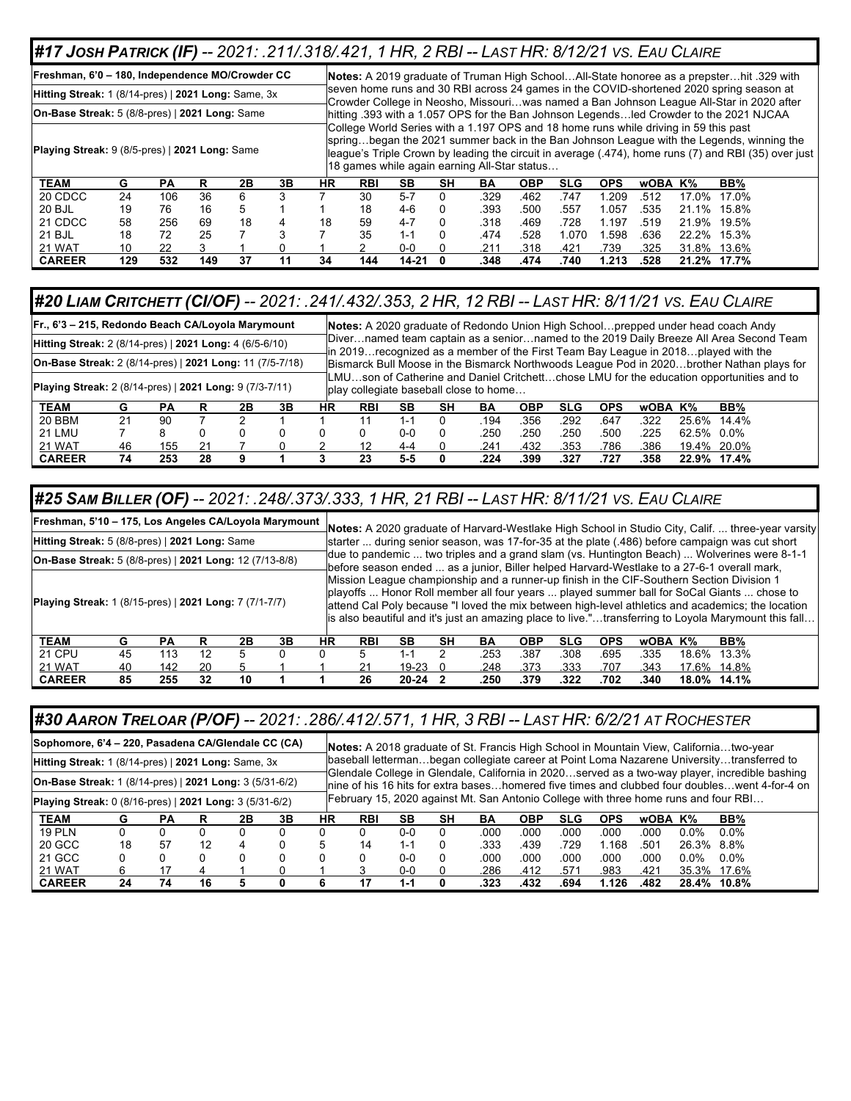#### *#17 JOSH PATRICK (IF) -- 2021: .211/.318/.421, 1 HR, 2 RBI -- LAST HR: 8/12/21 VS. EAU CLAIRE*

**Freshman, 6'0 – 180, Independence MO/Crowder CC Notes:** A 2019 graduate of Truman High School…All-State honoree as a prepster…hit .329 with seven home runs and 30 RBI across 24 games in the COVID-shortened 2020 spring season at Crowder College in Neosho, Missouri…was named a Ban Johnson League All-Star in 2020 after hitting .393 with a 1.057 OPS for the Ban Johnson Legends…led Crowder to the 2021 NJCAA College World Series with a 1.197 OPS and 18 home runs while driving in 59 this past spring…began the 2021 summer back in the Ban Johnson League with the Legends, winning the league's Triple Crown by leading the circuit in average (.474), home runs (7) and RBI (35) over just 18 games while again earning All-Star status… **Hitting Streak:** 1 (8/14-pres) | **2021 Long:** Same, 3x **On-Base Streak:** 5 (8/8-pres) | **2021 Long:** Same **Playing Streak:** 9 (8/5-pres) | **2021 Long:** Same **TEAM G PA R 2B 3B HR RBI SB SH BA OBP SLG OPS wOBA K% BB%** 20 CDCC 24 106 36 6 3 7 30 5-7 0 .329 .462 .747 1.209 .512 17.0% 17.0% 20 BJL 19 76 16 5 1 1 18 4-6 0 .393 .500 .557 1.057 .535 21.1% 15.8% 21 CDCC 58 256 69 18 4 18 59 4-7 0 .318 .469 .728 1.197 .519 21.9% 19.5% 21 BJL 18 72 25 7 3 7 35 1-1 0 .474 .528 1.070 1.598 .636 22.2% 15.3% 21 WAT 10 22 3 1 0 1 2 0-0 0 .211 .318 .421 .739 .325 31.8% 13.6% **CAREER 129 532 149 37 11 34 144 14-21 0 .348 .474 .740 1.213 .528 21.2% 17.7%**

#### *#20 LIAM CRITCHETT (CI/OF) -- 2021: .241/.432/.353, 2 HR, 12 RBI -- LAST HR: 8/11/21 VS. EAU CLAIRE*

| Fr., 6'3 – 215, Redondo Beach CA/Loyola Marymount               |    |     |    |    |    |    |                                        |           |    |      |      |            |            |         |            | Notes: A 2020 graduate of Redondo Union High Schoolprepped under head coach Andy                                                                                               |  |
|-----------------------------------------------------------------|----|-----|----|----|----|----|----------------------------------------|-----------|----|------|------|------------|------------|---------|------------|--------------------------------------------------------------------------------------------------------------------------------------------------------------------------------|--|
| Hitting Streak: 2 (8/14-pres)   2021 Long: 4 (6/5-6/10)         |    |     |    |    |    |    |                                        |           |    |      |      |            |            |         |            | TDivernamed team captain as a seniornamed to the 2019 Daily Breeze All Area Second Team<br>In 2019 recognized as a member of the First Team Bay League in 2018 played with the |  |
| <b>On-Base Streak:</b> 2 (8/14-pres)   2021 Long: 11 (7/5-7/18) |    |     |    |    |    |    |                                        |           |    |      |      |            |            |         |            | Bismarck Bull Moose in the Bismarck Northwoods League Pod in 2020brother Nathan plays for                                                                                      |  |
| <b>Playing Streak:</b> 2 (8/14-pres)   2021 Long: 9 (7/3-7/11)  |    |     |    |    |    |    | play collegiate baseball close to home |           |    |      |      |            |            |         |            | LMUson of Catherine and Daniel Critchettchose LMU for the education opportunities and to                                                                                       |  |
| <b>TEAM</b>                                                     | G  | РA  | R  | 2Β | 3Β | НR | <b>RBI</b>                             | <b>SB</b> | SН | BА   | OBP  | <b>SLG</b> | <b>OPS</b> | wOBA K% |            | BB%                                                                                                                                                                            |  |
| 20 BBM                                                          | 21 | 90  |    |    |    |    | 11                                     | 1-1       |    | .194 | .356 | .292       | .647       | .322    | 25.6%      | 14.4%                                                                                                                                                                          |  |
| 21 LMU                                                          |    | 8   | 0  |    |    |    |                                        | $0 - 0$   |    | .250 | .250 | .250       | .500       | .225    | 62.5% 0.0% |                                                                                                                                                                                |  |
| 21 WAT                                                          | 46 | 155 | 21 |    |    |    | 12                                     | 4-4       |    | .241 | .432 | .353       | .786       | .386    |            | 19.4% 20.0%                                                                                                                                                                    |  |
| <b>CAREER</b>                                                   | 74 | 253 | 28 | g  |    |    | 23                                     | 5-5       |    | .224 | .399 | .327       | .727       | .358    |            | 22.9% 17.4%                                                                                                                                                                    |  |

#### *#25 SAM BILLER (OF) -- 2021: .248/.373/.333, 1 HR, 21 RBI -- LAST HR: 8/11/21 VS. EAU CLAIRE*

|                                                         | Freshman, 5'10 - 175, Los Angeles CA/Loyola Marymount |           |    |    |    |    | Notes: A 2020 graduate of Harvard-Westlake High School in Studio City, Calif.  three-year varsity |           |    |      |            |            |            |         |       |                                                                                                                                                                                                                                                                                                                                                                                                      |
|---------------------------------------------------------|-------------------------------------------------------|-----------|----|----|----|----|---------------------------------------------------------------------------------------------------|-----------|----|------|------------|------------|------------|---------|-------|------------------------------------------------------------------------------------------------------------------------------------------------------------------------------------------------------------------------------------------------------------------------------------------------------------------------------------------------------------------------------------------------------|
| Hitting Streak: 5 (8/8-pres)   2021 Long: Same          |                                                       |           |    |    |    |    |                                                                                                   |           |    |      |            |            |            |         |       | starter  during senior season, was 17-for-35 at the plate (.486) before campaign was cut short                                                                                                                                                                                                                                                                                                       |
| On-Base Streak: 5 (8/8-pres)   2021 Long: 12 (7/13-8/8) |                                                       |           |    |    |    |    |                                                                                                   |           |    |      |            |            |            |         |       | 1due to pandemic  two triples and a grand slam (vs. Huntington Beach)  Wolverines were 8-1-1<br>before season ended  as a junior, Biller helped Harvard-Westlake to a 27-6-1 overall mark,                                                                                                                                                                                                           |
| Playing Streak: 1 (8/15-pres)   2021 Long: 7 (7/1-7/7)  |                                                       |           |    |    |    |    |                                                                                                   |           |    |      |            |            |            |         |       | Mission League championship and a runner-up finish in the CIF-Southern Section Division 1<br>playoffs  Honor Roll member all four years  played summer ball for SoCal Giants  chose to<br>attend Cal Poly because "I loved the mix between high-level athletics and academics; the location<br>lis also beautiful and it's just an amazing place to live."transferring to Loyola Marymount this fall |
| <b>TEAM</b>                                             | G                                                     | <b>PA</b> | R  | 2Β | 3В | НR | <b>RBI</b>                                                                                        | SВ        | SН | BA   | <b>OBP</b> | <b>SLG</b> | <b>OPS</b> | wOBA K% |       | BB%                                                                                                                                                                                                                                                                                                                                                                                                  |
| <b>21 CPU</b>                                           | 45                                                    | 113       | 12 | 5. |    |    |                                                                                                   | $1 - 1$   | 2  | .253 | .387       | .308       | .695       | .335    | 18.6% | 13.3%                                                                                                                                                                                                                                                                                                                                                                                                |
| 21 WAT                                                  | 40                                                    | 142       | 20 | 5  |    |    | 21                                                                                                | $19 - 23$ |    | .248 | .373       | .333       | .707       | .343    |       | 17.6% 14.8%                                                                                                                                                                                                                                                                                                                                                                                          |
| <b>CAREER</b>                                           | 85                                                    | 255       | 32 | 10 |    |    | 26                                                                                                | 20-24     |    | .250 | .379       | .322       | .702       | .340    |       | 18.0% 14.1%                                                                                                                                                                                                                                                                                                                                                                                          |

#### *#30 AARON TRELOAR (P/OF) -- 2021: .286/.412/.571, 1 HR, 3 RBI -- LAST HR: 6/2/21 AT ROCHESTER*

|                                                                                                                                  | Sophomore, 6'4 – 220, Pasadena CA/Glendale CC (CA) |           |    |    |    |    |            |         |    |      |            |            |            |         |            | Notes: A 2018 graduate of St. Francis High School in Mountain View, Californiatwo-year                                                                                                                                                                                                  |
|----------------------------------------------------------------------------------------------------------------------------------|----------------------------------------------------|-----------|----|----|----|----|------------|---------|----|------|------------|------------|------------|---------|------------|-----------------------------------------------------------------------------------------------------------------------------------------------------------------------------------------------------------------------------------------------------------------------------------------|
| Hitting Streak: 1 (8/14-pres)   2021 Long: Same, 3x                                                                              |                                                    |           |    |    |    |    |            |         |    |      |            |            |            |         |            | baseball lettermanbegan collegiate career at Point Loma Nazarene Universitytransferred to                                                                                                                                                                                               |
| <b>On-Base Streak: 1 (8/14-pres)   2021 Long: 3 (5/31-6/2)</b><br><b>Playing Streak:</b> 0 (8/16-pres)   2021 Long: 3 (5/31-6/2) |                                                    |           |    |    |    |    |            |         |    |      |            |            |            |         |            | Glendale College in Glendale, California in 2020served as a two-way player, incredible bashing<br>lnine of his 16 hits for extra baseshomered five times and clubbed four doubleswent 4-for-4 on<br>February 15, 2020 against Mt. San Antonio College with three home runs and four RBI |
| <b>TEAM</b>                                                                                                                      | G                                                  | <b>PA</b> |    | 2Β | 3В | НR | <b>RBI</b> | SВ      | SН | BA   | <b>OBP</b> | <b>SLG</b> | <b>OPS</b> | wOBA K% |            | BB%                                                                                                                                                                                                                                                                                     |
| <b>19 PLN</b>                                                                                                                    |                                                    |           |    |    |    |    |            | $0 - 0$ |    | .000 | .000       | .000       | .000       | .000    | $0.0\%$    | $0.0\%$                                                                                                                                                                                                                                                                                 |
| 20 GCC                                                                                                                           | 18                                                 | 57        | 12 |    |    |    | 14         | 1-1     |    | .333 | .439       | .729       | 1.168      | .501    | 26.3% 8.8% |                                                                                                                                                                                                                                                                                         |
| 21 GCC                                                                                                                           |                                                    |           |    |    |    |    |            | ი-ი     |    | .000 | .000       | .000       | .000       | .000    | $0.0\%$    | $0.0\%$                                                                                                                                                                                                                                                                                 |
| 21 WAT                                                                                                                           | 6                                                  |           |    |    |    |    |            | 0-0     |    | .286 | .412       | .571       | .983       | .421    |            | 35.3% 17.6%                                                                                                                                                                                                                                                                             |
| <b>CAREER</b>                                                                                                                    | 24                                                 | 74        | 16 |    |    |    |            | 1-1     |    | .323 | .432       | .694       | 1.126      | .482    |            | 28.4% 10.8%                                                                                                                                                                                                                                                                             |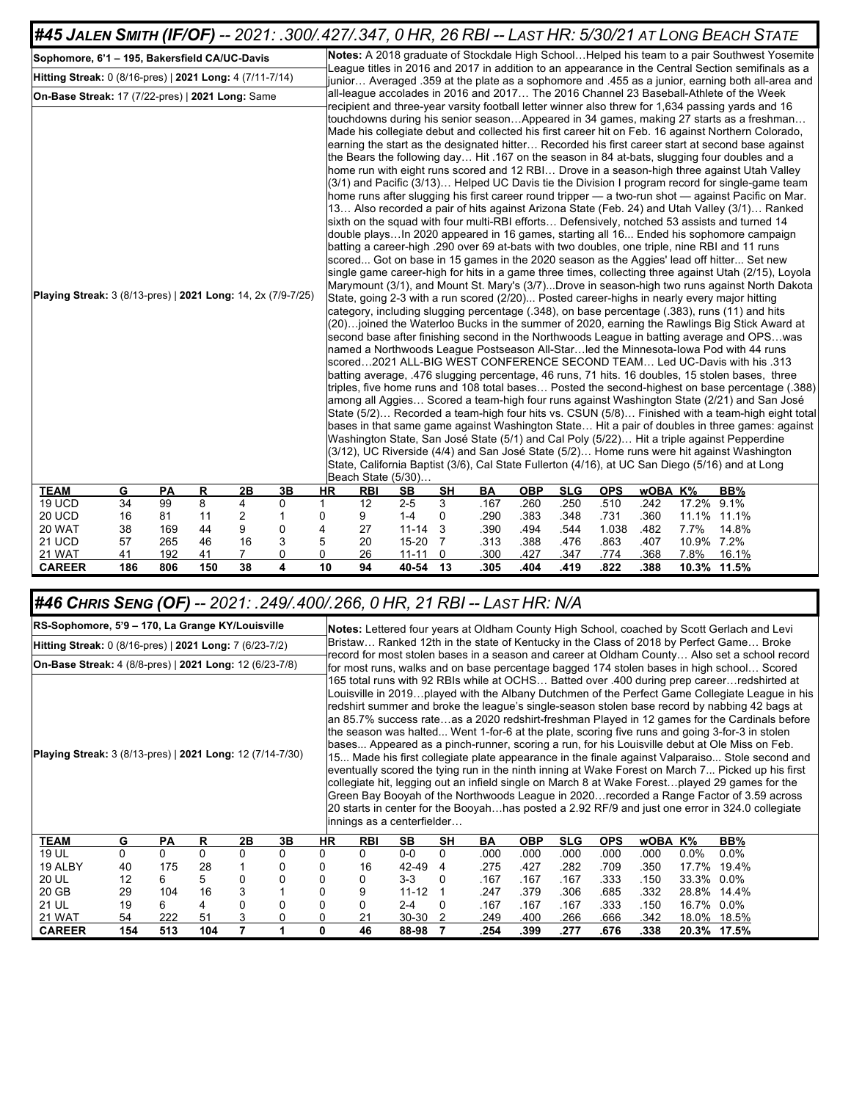| #45 JALEN SMITH (IF/OF) -- 2021: .300/.427/.347, 0 HR, 26 RBI -- LAST HR: 5/30/21 AT LONG BEACH STATE |    |     |    |    |          |    |            |                                                                                                                                                                                                                                                                                                                                                                                                                                                                                                                                                                                                                                                                                                                                                                                                                                                                                                                                                                                                                                                                                                                                                                                                                                                                                                                                                                                                                                                                                     |           |      |            |            |            |         |            |             |                                                                                                                                                                                                                                                                                                                                                                                                                                                                                                                                                                                                                                                                                                                                                                                                                                                                                                                                                                                                                                                                                                                                                                                                                                                                                                                                                                                                                         |
|-------------------------------------------------------------------------------------------------------|----|-----|----|----|----------|----|------------|-------------------------------------------------------------------------------------------------------------------------------------------------------------------------------------------------------------------------------------------------------------------------------------------------------------------------------------------------------------------------------------------------------------------------------------------------------------------------------------------------------------------------------------------------------------------------------------------------------------------------------------------------------------------------------------------------------------------------------------------------------------------------------------------------------------------------------------------------------------------------------------------------------------------------------------------------------------------------------------------------------------------------------------------------------------------------------------------------------------------------------------------------------------------------------------------------------------------------------------------------------------------------------------------------------------------------------------------------------------------------------------------------------------------------------------------------------------------------------------|-----------|------|------------|------------|------------|---------|------------|-------------|-------------------------------------------------------------------------------------------------------------------------------------------------------------------------------------------------------------------------------------------------------------------------------------------------------------------------------------------------------------------------------------------------------------------------------------------------------------------------------------------------------------------------------------------------------------------------------------------------------------------------------------------------------------------------------------------------------------------------------------------------------------------------------------------------------------------------------------------------------------------------------------------------------------------------------------------------------------------------------------------------------------------------------------------------------------------------------------------------------------------------------------------------------------------------------------------------------------------------------------------------------------------------------------------------------------------------------------------------------------------------------------------------------------------------|
| Sophomore, 6'1 - 195, Bakersfield CA/UC-Davis                                                         |    |     |    |    |          |    |            |                                                                                                                                                                                                                                                                                                                                                                                                                                                                                                                                                                                                                                                                                                                                                                                                                                                                                                                                                                                                                                                                                                                                                                                                                                                                                                                                                                                                                                                                                     |           |      |            |            |            |         |            |             | Notes: A 2018 graduate of Stockdale High SchoolHelped his team to a pair Southwest Yosemite                                                                                                                                                                                                                                                                                                                                                                                                                                                                                                                                                                                                                                                                                                                                                                                                                                                                                                                                                                                                                                                                                                                                                                                                                                                                                                                             |
| Hitting Streak: 0 (8/16-pres)   2021 Long: 4 (7/11-7/14)                                              |    |     |    |    |          |    |            |                                                                                                                                                                                                                                                                                                                                                                                                                                                                                                                                                                                                                                                                                                                                                                                                                                                                                                                                                                                                                                                                                                                                                                                                                                                                                                                                                                                                                                                                                     |           |      |            |            |            |         |            |             | eague titles in 2016 and 2017 in addition to an appearance in the Central Section semifinals as a<br>junior Averaged .359 at the plate as a sophomore and .455 as a junior, earning both all-area and                                                                                                                                                                                                                                                                                                                                                                                                                                                                                                                                                                                                                                                                                                                                                                                                                                                                                                                                                                                                                                                                                                                                                                                                                   |
| On-Base Streak: 17 (7/22-pres)   2021 Long: Same                                                      |    |     |    |    |          |    |            | all-league accolades in 2016 and 2017 The 2016 Channel 23 Baseball-Athlete of the Week                                                                                                                                                                                                                                                                                                                                                                                                                                                                                                                                                                                                                                                                                                                                                                                                                                                                                                                                                                                                                                                                                                                                                                                                                                                                                                                                                                                              |           |      |            |            |            |         |            |             |                                                                                                                                                                                                                                                                                                                                                                                                                                                                                                                                                                                                                                                                                                                                                                                                                                                                                                                                                                                                                                                                                                                                                                                                                                                                                                                                                                                                                         |
| Playing Streak: 3 (8/13-pres)   2021 Long: 14, 2x (7/9-7/25)                                          |    |     |    |    |          |    |            | recipient and three-year varsity football letter winner also threw for 1,634 passing yards and 16<br>the Bears the following day Hit .167 on the season in 84 at-bats, slugging four doubles and a<br>home run with eight runs scored and 12 RBI Drove in a season-high three against Utah Valley<br>sixth on the squad with four multi-RBI efforts Defensively, notched 53 assists and turned 14<br>double playsIn 2020 appeared in 16 games, starting all 16 Ended his sophomore campaign<br>batting a career-high .290 over 69 at-bats with two doubles, one triple, nine RBI and 11 runs<br>scored Got on base in 15 games in the 2020 season as the Aggies' lead off hitter Set new<br>State, going 2-3 with a run scored (2/20) Posted career-highs in nearly every major hitting<br>category, including slugging percentage (.348), on base percentage (.383), runs (11) and hits<br>named a Northwoods League Postseason All-Starled the Minnesota-lowa Pod with 44 runs<br>scored2021 ALL-BIG WEST CONFERENCE SECOND TEAM Led UC-Davis with his .313<br>batting average, 476 slugging percentage, 46 runs, 71 hits. 16 doubles, 15 stolen bases, three<br>Washington State, San José State (5/1) and Cal Poly (5/22) Hit a triple against Pepperdine<br>(3/12), UC Riverside (4/4) and San José State (5/2) Home runs were hit against Washington<br>State, California Baptist (3/6), Cal State Fullerton (4/16), at UC San Diego (5/16) and at Long<br>Beach State (5/30) |           |      |            |            |            |         |            |             | touchdowns during his senior seasonAppeared in 34 games, making 27 starts as a freshman<br>Made his collegiate debut and collected his first career hit on Feb. 16 against Northern Colorado,<br>earning the start as the designated hitter Recorded his first career start at second base against<br>(3/1) and Pacific (3/13) Helped UC Davis tie the Division I program record for single-game team<br>home runs after slugging his first career round tripper - a two-run shot - against Pacific on Mar.<br>13 Also recorded a pair of hits against Arizona State (Feb. 24) and Utah Valley (3/1) Ranked<br>single game career-high for hits in a game three times, collecting three against Utah (2/15), Loyola<br>Marymount (3/1), and Mount St. Mary's (3/7)Drove in season-high two runs against North Dakota<br>(20)joined the Waterloo Bucks in the summer of 2020, earning the Rawlings Big Stick Award at<br>second base after finishing second in the Northwoods League in batting average and OPSwas<br>triples, five home runs and 108 total bases Posted the second-highest on base percentage (.388)<br>among all Aggies Scored a team-high four runs against Washington State (2/21) and San José<br>State (5/2) Recorded a team-high four hits vs. CSUN (5/8) Finished with a team-high eight total<br>bases in that same game against Washington State Hit a pair of doubles in three games: against |
| <b>TEAM</b>                                                                                           | G  | PA  | R  | 2B | 3B       | HR | <b>RBI</b> | SB                                                                                                                                                                                                                                                                                                                                                                                                                                                                                                                                                                                                                                                                                                                                                                                                                                                                                                                                                                                                                                                                                                                                                                                                                                                                                                                                                                                                                                                                                  | <b>SH</b> | BA   | <b>OBP</b> | <b>SLG</b> | <b>OPS</b> | wOBA K% |            | BB%         |                                                                                                                                                                                                                                                                                                                                                                                                                                                                                                                                                                                                                                                                                                                                                                                                                                                                                                                                                                                                                                                                                                                                                                                                                                                                                                                                                                                                                         |
| 19 UCD                                                                                                | 34 | 99  | 8  | 4  | 0        | 1  | 12         | $2 - 5$                                                                                                                                                                                                                                                                                                                                                                                                                                                                                                                                                                                                                                                                                                                                                                                                                                                                                                                                                                                                                                                                                                                                                                                                                                                                                                                                                                                                                                                                             | 3         | .167 | .260       | .250       | .510       | .242    | 17.2% 9.1% |             |                                                                                                                                                                                                                                                                                                                                                                                                                                                                                                                                                                                                                                                                                                                                                                                                                                                                                                                                                                                                                                                                                                                                                                                                                                                                                                                                                                                                                         |
| 20 UCD                                                                                                | 16 | 81  | 11 | 2  | 1        | 0  | 9          | $1 - 4$                                                                                                                                                                                                                                                                                                                                                                                                                                                                                                                                                                                                                                                                                                                                                                                                                                                                                                                                                                                                                                                                                                                                                                                                                                                                                                                                                                                                                                                                             | 0         | .290 | .383       | .348       | .731       | .360    |            | 11.1% 11.1% |                                                                                                                                                                                                                                                                                                                                                                                                                                                                                                                                                                                                                                                                                                                                                                                                                                                                                                                                                                                                                                                                                                                                                                                                                                                                                                                                                                                                                         |
| 20 WAT                                                                                                | 38 | 169 | 44 | 9  | 0        | 4  | 27         | $11 - 14$                                                                                                                                                                                                                                                                                                                                                                                                                                                                                                                                                                                                                                                                                                                                                                                                                                                                                                                                                                                                                                                                                                                                                                                                                                                                                                                                                                                                                                                                           | 3         | .390 | .494       | .544       | 1.038      | .482    | 7.7%       | 14.8%       |                                                                                                                                                                                                                                                                                                                                                                                                                                                                                                                                                                                                                                                                                                                                                                                                                                                                                                                                                                                                                                                                                                                                                                                                                                                                                                                                                                                                                         |
| <b>21 UCD</b>                                                                                         | 57 | 265 | 46 | 16 | 3        | 5  | 20         | 15-20                                                                                                                                                                                                                                                                                                                                                                                                                                                                                                                                                                                                                                                                                                                                                                                                                                                                                                                                                                                                                                                                                                                                                                                                                                                                                                                                                                                                                                                                               | 7         | .313 | .388       | .476       | .863       | .407    | 10.9% 7.2% |             |                                                                                                                                                                                                                                                                                                                                                                                                                                                                                                                                                                                                                                                                                                                                                                                                                                                                                                                                                                                                                                                                                                                                                                                                                                                                                                                                                                                                                         |
| 21 WAT                                                                                                | 41 | 192 | 41 | 7  | $\Omega$ | 0  | 26         | $11 - 11$                                                                                                                                                                                                                                                                                                                                                                                                                                                                                                                                                                                                                                                                                                                                                                                                                                                                                                                                                                                                                                                                                                                                                                                                                                                                                                                                                                                                                                                                           | $\Omega$  | .300 | .427       | .347       | .774       | .368    | 7.8%       | 16.1%       |                                                                                                                                                                                                                                                                                                                                                                                                                                                                                                                                                                                                                                                                                                                                                                                                                                                                                                                                                                                                                                                                                                                                                                                                                                                                                                                                                                                                                         |

## *#46 CHRIS SENG (OF) -- 2021: .249/.400/.266, 0 HR, 21 RBI -- LAST HR: N/A*

|                                                           | RS-Sophomore, 5'9 - 170, La Grange KY/Louisville |                             |          |    |          |           | Notes: Lettered four years at Oldham County High School, coached by Scott Gerlach and Levi |           |           |      |                                                                                                                                                                                                                                                                                                                                                                                                                                                                                                                                                                                                                                                                                                                                                                                                                                                                                                                                                                                                                                                                                                           |            |            |         |            |                                                                                                                                                                                            |
|-----------------------------------------------------------|--------------------------------------------------|-----------------------------|----------|----|----------|-----------|--------------------------------------------------------------------------------------------|-----------|-----------|------|-----------------------------------------------------------------------------------------------------------------------------------------------------------------------------------------------------------------------------------------------------------------------------------------------------------------------------------------------------------------------------------------------------------------------------------------------------------------------------------------------------------------------------------------------------------------------------------------------------------------------------------------------------------------------------------------------------------------------------------------------------------------------------------------------------------------------------------------------------------------------------------------------------------------------------------------------------------------------------------------------------------------------------------------------------------------------------------------------------------|------------|------------|---------|------------|--------------------------------------------------------------------------------------------------------------------------------------------------------------------------------------------|
| Hitting Streak: 0 (8/16-pres)   2021 Long: 7 (6/23-7/2)   |                                                  |                             |          |    |          |           |                                                                                            |           |           |      |                                                                                                                                                                                                                                                                                                                                                                                                                                                                                                                                                                                                                                                                                                                                                                                                                                                                                                                                                                                                                                                                                                           |            |            |         |            | Bristaw Ranked 12th in the state of Kentucky in the Class of 2018 by Perfect Game Broke                                                                                                    |
| On-Base Streak: 4 (8/8-pres)   2021 Long: 12 (6/23-7/8)   |                                                  |                             |          |    |          |           |                                                                                            |           |           |      |                                                                                                                                                                                                                                                                                                                                                                                                                                                                                                                                                                                                                                                                                                                                                                                                                                                                                                                                                                                                                                                                                                           |            |            |         |            | record for most stolen bases in a season and career at Oldham County Also set a school record<br>for most runs, walks and on base percentage bagged 174 stolen bases in high school Scored |
| Playing Streak: 3 (8/13-pres)   2021 Long: 12 (7/14-7/30) |                                                  | linnings as a centerfielder |          |    |          |           |                                                                                            |           |           |      | 165 total runs with 92 RBIs while at OCHS Batted over .400 during prep careerredshirted at<br>Louisville in 2019played with the Albany Dutchmen of the Perfect Game Collegiate League in his<br>redshirt summer and broke the league's single-season stolen base record by nabbing 42 bags at<br>lan 85.7% success rateas a 2020 redshirt-freshman Played in 12 games for the Cardinals before<br>the season was halted Went 1-for-6 at the plate, scoring five runs and going 3-for-3 in stolen<br>bases Appeared as a pinch-runner, scoring a run, for his Louisville debut at Ole Miss on Feb.<br>15 Made his first collegiate plate appearance in the finale against Valparaiso Stole second and<br>eventually scored the tying run in the ninth inning at Wake Forest on March 7 Picked up his first<br>collegiate hit, legging out an infield single on March 8 at Wake Forestplayed 29 games for the<br>Green Bay Booyah of the Northwoods League in 2020recorded a Range Factor of 3.59 across<br>20 starts in center for the Booyahhas posted a 2.92 RF/9 and just one error in 324.0 collegiate |            |            |         |            |                                                                                                                                                                                            |
| TEAM                                                      | G                                                | <b>PA</b>                   | R        | 2B | 3Β       | <b>HR</b> | <b>RBI</b>                                                                                 | <b>SB</b> | <b>SH</b> | BA   | <b>OBP</b>                                                                                                                                                                                                                                                                                                                                                                                                                                                                                                                                                                                                                                                                                                                                                                                                                                                                                                                                                                                                                                                                                                | <b>SLG</b> | <b>OPS</b> | wOBA K% |            | BB%                                                                                                                                                                                        |
| 19 UL                                                     | 0                                                | 0                           | $\Omega$ | 0  | $\Omega$ | 0         | 0                                                                                          | $0-0$     | 0         | .000 | .000                                                                                                                                                                                                                                                                                                                                                                                                                                                                                                                                                                                                                                                                                                                                                                                                                                                                                                                                                                                                                                                                                                      | .000       | .000       | .000    | $0.0\%$    | $0.0\%$                                                                                                                                                                                    |
| 19 ALBY                                                   | 40                                               | 175                         | 28       |    |          | 0         | 16                                                                                         | 42-49     | 4         | .275 | .427                                                                                                                                                                                                                                                                                                                                                                                                                                                                                                                                                                                                                                                                                                                                                                                                                                                                                                                                                                                                                                                                                                      | .282       | .709       | .350    | 17.7%      | 19.4%                                                                                                                                                                                      |
| 20 UL                                                     | 12                                               | 6                           | 5        | 0  |          | 0         | 0                                                                                          | $3-3$     | 0         | .167 | .167                                                                                                                                                                                                                                                                                                                                                                                                                                                                                                                                                                                                                                                                                                                                                                                                                                                                                                                                                                                                                                                                                                      | .167       | .333       | .150    | 33.3%      | $0.0\%$                                                                                                                                                                                    |
| 20 GB                                                     | 29                                               | 104                         | 16       | 3  |          |           | 9                                                                                          | $11 - 12$ |           | .247 | .379                                                                                                                                                                                                                                                                                                                                                                                                                                                                                                                                                                                                                                                                                                                                                                                                                                                                                                                                                                                                                                                                                                      | .306       | .685       | .332    | 28.8%      | 14.4%                                                                                                                                                                                      |
| 21 UL                                                     | 19                                               | 6                           | 4        | 0  |          | 0         | 0                                                                                          | $2 - 4$   | $\Omega$  | .167 | .167                                                                                                                                                                                                                                                                                                                                                                                                                                                                                                                                                                                                                                                                                                                                                                                                                                                                                                                                                                                                                                                                                                      | .167       | .333       | .150    | 16.7% 0.0% |                                                                                                                                                                                            |
| 21 WAT                                                    | 54                                               | 222                         | 51       | 3  |          | 0         | 21                                                                                         | $30 - 30$ | 2         | .249 | .400                                                                                                                                                                                                                                                                                                                                                                                                                                                                                                                                                                                                                                                                                                                                                                                                                                                                                                                                                                                                                                                                                                      | .266       | .666       | .342    | 18.0%      | 18.5%                                                                                                                                                                                      |
| <b>CAREER</b>                                             | 154                                              | 513                         | 104      | 7  |          | 0         | 46                                                                                         | 88-98     | 7         | .254 | .399                                                                                                                                                                                                                                                                                                                                                                                                                                                                                                                                                                                                                                                                                                                                                                                                                                                                                                                                                                                                                                                                                                      | .277       | .676       | .338    |            | 20.3% 17.5%                                                                                                                                                                                |

**CAREER 186 806 150 38 4 10 94 40-54 13 .305 .404 .419 .822 .388 10.3% 11.5%**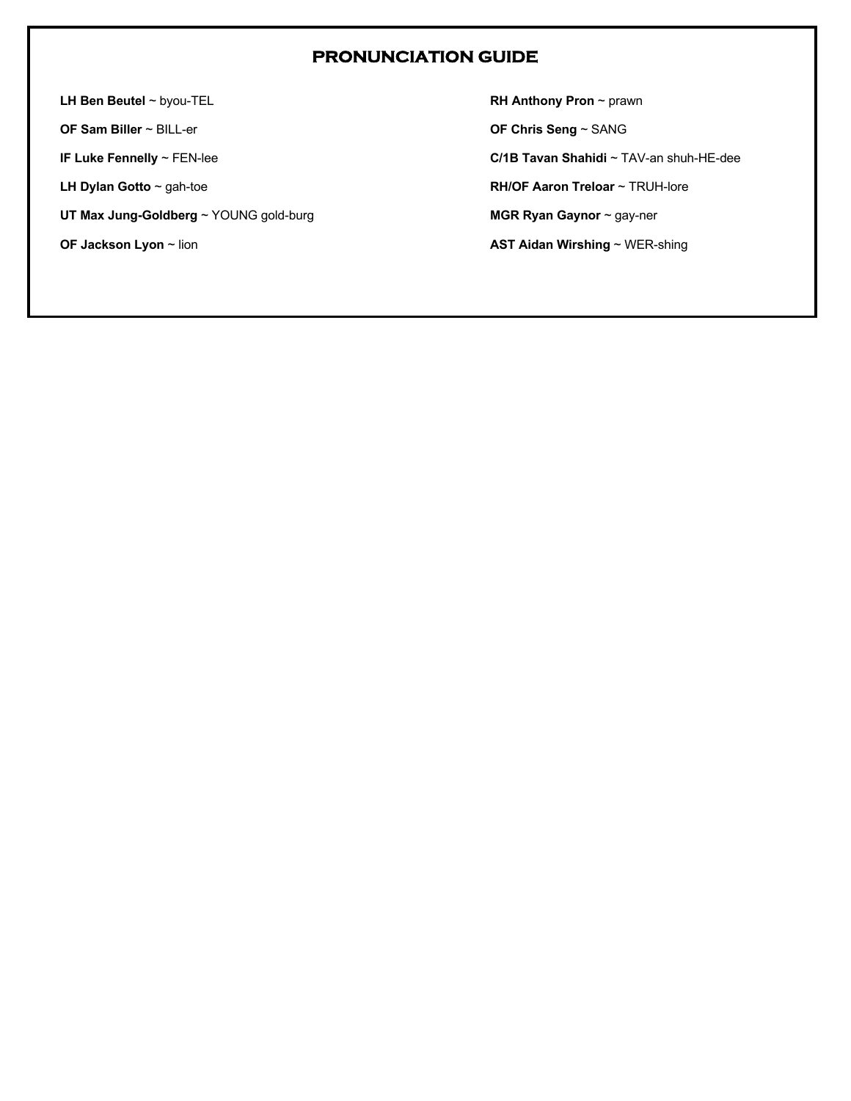### **PRONUNCIATION GUIDE**

**LH Ben Beutel** ~ byou-TEL

**OF Sam Biller** ~ BILL-er

**IF Luke Fennelly** ~ FEN-lee

**LH Dylan Gotto** ~ gah-toe

**UT Max Jung-Goldberg** ~ YOUNG gold-burg

**OF Jackson Lyon** ~ lion

**RH Anthony Pron** ~ prawn

**OF Chris Seng** ~ SANG

**C/1B Tavan Shahidi** ~ TAV-an shuh-HE-dee

**RH/OF Aaron Treloar** ~ TRUH-lore

**MGR Ryan Gaynor** ~ gay-ner

**AST Aidan Wirshing** ~ WER-shing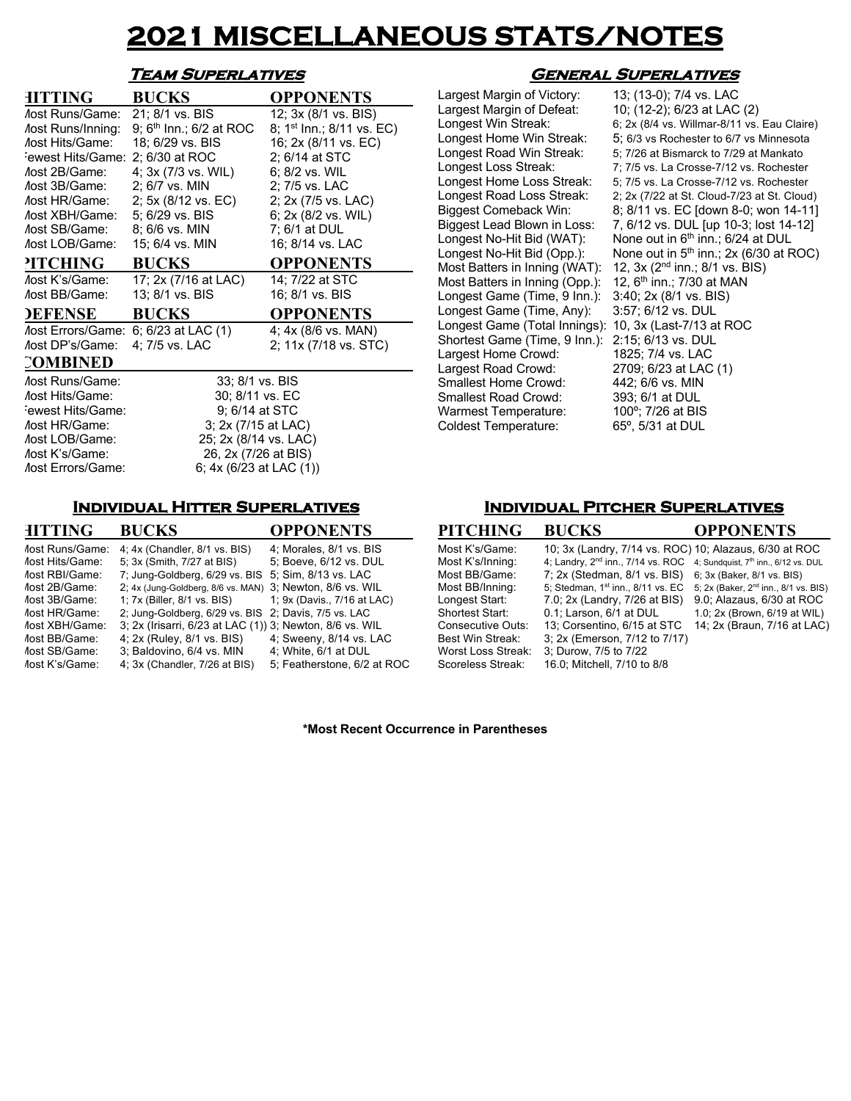## **2021 MISCELLANEOUS STATS/NOTES**

#### **Team Superlatives**

| <b>HITTING</b>                  | <b>BUCKS</b>                        | <b>OPPONENTS</b>                      |  |  |  |  |  |  |
|---------------------------------|-------------------------------------|---------------------------------------|--|--|--|--|--|--|
| Aost Runs/Game:                 | 21; 8/1 vs. BIS                     | 12; 3x (8/1 vs. BIS)                  |  |  |  |  |  |  |
| <b><i>Aost Runs/Inning:</i></b> | 9; 6 <sup>th</sup> Inn.; 6/2 at ROC | 8; 1 <sup>st</sup> Inn.; 8/11 vs. EC) |  |  |  |  |  |  |
| Aost Hits/Game:                 | 18; 6/29 vs. BIS                    | 16; 2x (8/11 vs. EC)                  |  |  |  |  |  |  |
| ewest Hits/Game:                | 2; 6/30 at ROC                      | 2; 6/14 at STC                        |  |  |  |  |  |  |
| lost 2B/Game:                   | 4; 3x (7/3 vs. WIL)                 | 6; 8/2 vs. WIL                        |  |  |  |  |  |  |
| /lost 3B/Game:                  | 2; 6/7 vs. MIN                      | 2; 7/5 vs. LAC                        |  |  |  |  |  |  |
| Aost HR/Game:                   | 2; 5x (8/12 vs. EC)                 | 2; 2x (7/5 vs. LAC)                   |  |  |  |  |  |  |
| /lost XBH/Game:                 | 5; 6/29 vs. BIS                     | 6; 2x (8/2 vs. WIL)                   |  |  |  |  |  |  |
| Aost SB/Game:                   | 8; 6/6 vs. MIN                      | 7; 6/1 at DUL                         |  |  |  |  |  |  |
| <b><i>Aost LOB/Game:</i></b>    | 15; 6/4 vs. MIN                     | 16; 8/14 vs. LAC                      |  |  |  |  |  |  |
| <b>PITCHING</b>                 | <b>BUCKS</b>                        | <b>OPPONENTS</b>                      |  |  |  |  |  |  |
| Aost K's/Game:                  | 17; 2x (7/16 at LAC)                | 14; 7/22 at STC                       |  |  |  |  |  |  |
| <b><i>Aost BB/Game:</i></b>     | 13; 8/1 vs. BIS                     | 16; 8/1 vs. BIS                       |  |  |  |  |  |  |
| <b>DEFENSE</b>                  | <b>BUCKS</b>                        | <b>OPPONENTS</b>                      |  |  |  |  |  |  |
| /lost Errors/Game:              | 6; 6/23 at LAC (1)                  | 4; 4x (8/6 vs. MAN)                   |  |  |  |  |  |  |
| <i>Aost DP's/Game:</i>          | 4; 7/5 vs. LAC                      | 2; 11x (7/18 vs. STC)                 |  |  |  |  |  |  |
| COMBINED                        |                                     |                                       |  |  |  |  |  |  |
| Aost Runs/Game:                 | 33; 8/1 vs. BIS                     |                                       |  |  |  |  |  |  |
| <b><i>Aost Hits/Game:</i></b>   | 30; 8/11 vs. EC                     |                                       |  |  |  |  |  |  |
| ewest Hits/Game:                | 9; 6/14 at STC                      |                                       |  |  |  |  |  |  |
| <b><i>Aost HR/Game:</i></b>     | 3; 2x (7/15 at LAC)                 |                                       |  |  |  |  |  |  |
| <b><i>Aost LOB/Game:</i></b>    | 25; 2x (8/14 vs. LAC)               |                                       |  |  |  |  |  |  |
| Aost K's/Game:                  | 26, 2x (7/26 at BIS)                |                                       |  |  |  |  |  |  |
| <b><i>Aost Errors/Game:</i></b> | 6; $4x (6/23$ at LAC $(1)$ )        |                                       |  |  |  |  |  |  |

#### **Individual Hitter Superlatives**

| <b>HITTING</b>                                                                                                                      | <b>BUCKS</b>                                                                                                                                                                                                                                         | <b>OPPONENTS</b>                                                                                         |
|-------------------------------------------------------------------------------------------------------------------------------------|------------------------------------------------------------------------------------------------------------------------------------------------------------------------------------------------------------------------------------------------------|----------------------------------------------------------------------------------------------------------|
| <b><i>Aost Runs/Game:</i></b><br><b><i>Aost Hits/Game:</i></b><br>lost RBI/Game:<br>lost 2B/Game:<br>lost 3B/Game:<br>lost HR/Game: | $4:4x$ (Chandler, $8/1$ vs. BIS)<br>5; 3x (Smith, 7/27 at BIS)<br>7; Jung-Goldberg, 6/29 vs. BIS<br>2; 4x (Jung-Goldberg, 8/6 vs. MAN) 3; Newton, 8/6 vs. WIL<br>1; 7x (Biller, 8/1 vs. BIS)<br>2; Jung-Goldberg, 6/29 vs. BIS 2; Davis, 7/5 vs. LAC | 4; Morales, 8/1 vs. BIS<br>5; Boeve, 6/12 vs. DUL<br>5; Sim, 8/13 vs. LAC<br>1; 9x (Davis., 7/16 at LAC) |
| lost XBH/Game:<br>lost BB/Game:<br>lost SB/Game:<br>lost K's/Game:                                                                  | 3; 2x (Irisarri, 6/23 at LAC (1)) 3; Newton, 8/6 vs. WIL<br>4; 2x (Ruley, 8/1 vs. BIS)<br>3; Baldovino, 6/4 vs. MIN<br>4; 3x (Chandler, 7/26 at BIS)                                                                                                 | 4; Sweeny, 8/14 vs. LAC<br>4: White, 6/1 at DUL<br>5: Featherstone, 6/2 at ROC                           |

#### **General Superlatives**

Largest Margin of Victory: 13; (13-0); 7/4 vs. LAC Largest Margin of Defeat: 10; (12-2); 6/23 at LAC (2) Most Batters in Inning (WAT):  $12$ ,  $3x$  ( $2<sup>nd</sup>$  inn.; 8/1 vs. B<br>Most Batters in Inning (Opp.):  $12$ ,  $6<sup>th</sup>$  inn.; 7/30 at MAN Most Batters in Inning (Opp.):  $12$ , 6<sup>th</sup> inn.; 7/30 at M<br>Longest Game (Time, 9 Inn.):  $3:40$ ; 2x (8/1 vs. BIS) Longest Game (Time, 9 Inn.): Longest Game (Time, Any): 3:57; 6/12 vs. DUL Longest Game (Total Innings): 10, 3x (Last-7/13 at ROC Shortest Game (Time, 9 Inn.): 2:15; 6/13 vs. DUL Largest Home Crowd: 1825; 7/4 vs. LAC<br>
Largest Road Crowd: 2709; 6/23 at LAC (1) Largest Road Crowd: 2709; 6/23 at LAC<br>Smallest Home Crowd: 442; 6/6 vs. MIN Smallest Home Crowd: 442; 6/6 vs. MIN<br>Smallest Road Crowd: 393; 6/1 at DUL Smallest Road Crowd: 393; 6/1 at DUL<br>Warmest Temperature: 100°; 7/26 at BIS Warmest Temperature: Coldest Temperature: 65º, 5/31 at DUL

Longest Win Streak: 6; 2x (8/4 vs. Willmar-8/11 vs. Eau Claire) Longest Home Win Streak: 5; 6/3 vs Rochester to 6/7 vs Minnesota<br>Longest Road Win Streak: 5; 7/26 at Bismarck to 7/29 at Mankato Longest Road Win Streak: 5; 7/26 at Bismarck to 7/29 at Mankato<br>Longest Loss Streak: 7; 7/5 vs. La Crosse-7/12 vs. Rochester 7; 7/5 vs. La Crosse-7/12 vs. Rochester Longest Home Loss Streak: 5; 7/5 vs. La Crosse-7/12 vs. Rochester Longest Road Loss Streak: 2; 2x (7/22 at St. Cloud-7/23 at St. Cloud) Biggest Comeback Win: 8; 8/11 vs. EC [down 8-0; won 14-11]<br>Biggest Lead Blown in Loss: 7, 6/12 vs. DUL [up 10-3; lost 14-12] Biggest Lead Blown in Loss:  $7, 6/12$  vs. DUL [up 10-3; lost 14-12]<br>Longest No-Hit Bid (WAT): None out in 6<sup>th</sup> inn.; 6/24 at DUL None out in  $6<sup>th</sup>$  inn.; 6/24 at DUL Longest No-Hit Bid  $\overline{(Opp.)}$ : None out in 5<sup>th</sup> inn.; 2x (6/30 at ROC)<br>Most Batters in Inning (WAT): 12, 3x (2<sup>nd</sup> inn.; 8/1 vs. BIS)

#### **Individual Pitcher Superlatives**

| <b>PITCHING</b>         | <b>BUCKS</b>                                           | <b>OPPONENTS</b>                                 |
|-------------------------|--------------------------------------------------------|--------------------------------------------------|
| Most K's/Game:          | 10; 3x (Landry, 7/14 vs. ROC) 10; Alazaus, 6/30 at ROC |                                                  |
| Most K's/Inning:        | 4; Landry, 2 <sup>nd</sup> inn., 7/14 vs. ROC          | 4; Sundquist, 7 <sup>th</sup> inn., 6/12 vs. DUL |
| Most BB/Game:           | 7; 2x (Stedman, 8/1 vs. BIS)                           | 6; 3x (Baker, 8/1 vs. BIS)                       |
| Most BB/Inning:         | 5; Stedman, 1st inn., 8/11 vs. EC                      | 5; 2x (Baker, 2 <sup>nd</sup> inn., 8/1 vs. BIS) |
| Longest Start:          | 7.0; 2x (Landry, 7/26 at BIS)                          | 9.0; Alazaus, 6/30 at ROC                        |
| <b>Shortest Start:</b>  | 0.1: Larson, 6/1 at DUL                                | 1.0; 2x (Brown, 6/19 at WIL)                     |
| Consecutive Outs:       | 13: Corsentino, 6/15 at STC                            | 14; 2x (Braun, 7/16 at LAC)                      |
| <b>Best Win Streak:</b> | 3; 2x (Emerson, 7/12 to 7/17)                          |                                                  |
| Worst Loss Streak:      | 3; Durow, 7/5 to 7/22                                  |                                                  |
| Scoreless Streak:       | 16.0; Mitchell, 7/10 to 8/8                            |                                                  |

**\*Most Recent Occurrence in Parentheses**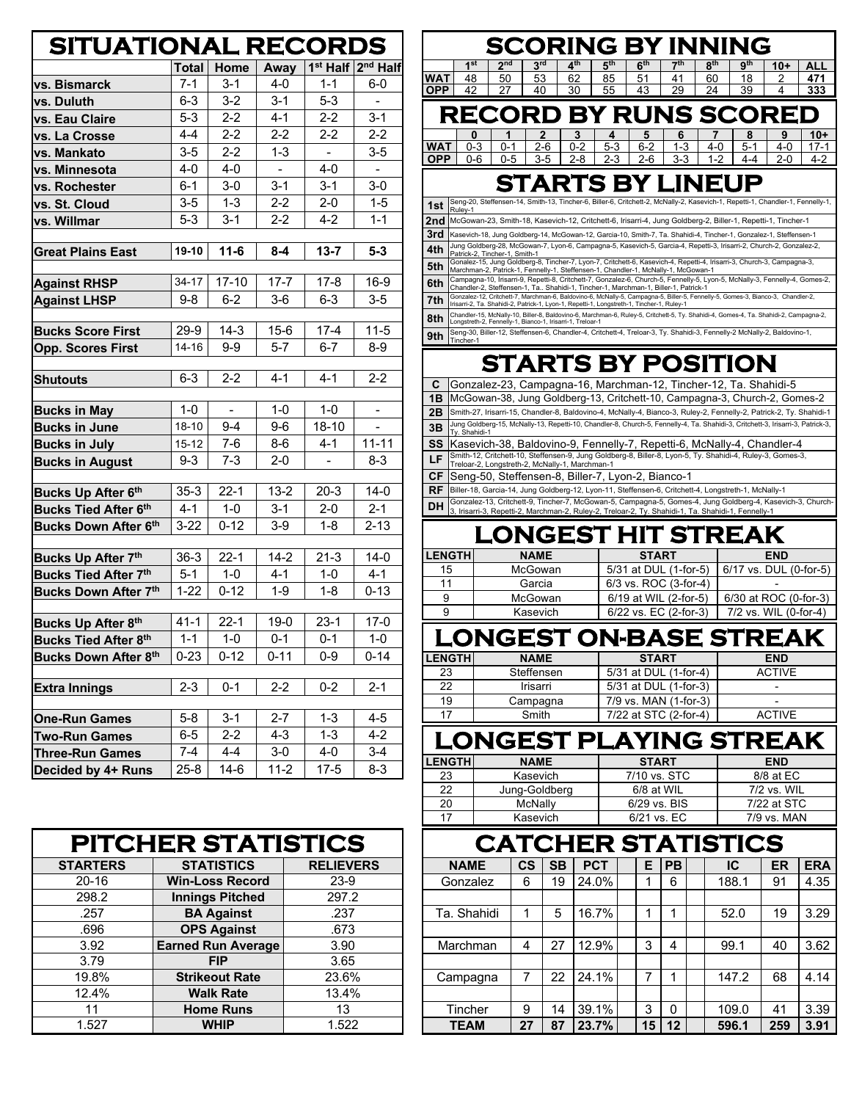| <b>SITUATIONAL RECORDS</b>                        |           |             |                |                      |                      |
|---------------------------------------------------|-----------|-------------|----------------|----------------------|----------------------|
|                                                   | Total     | <b>Home</b> | Away           | 1 <sup>st</sup> Half | 2 <sup>nd</sup> Half |
| vs. Bismarck                                      | $7 - 1$   | $3 - 1$     | 4-0            | $1 - 1$              | $6-0$                |
| vs. Duluth                                        | $6 - 3$   | $3 - 2$     | $3 - 1$        | $5 - 3$              |                      |
| vs. Eau Claire                                    | 5-3       | $2 - 2$     | $4 - 1$        | $2 - 2$              | $3 - 1$              |
| vs. La Crosse                                     | 4-4       | $2 - 2$     | $2 - 2$        | $2 - 2$              | $2 - 2$              |
| vs. Mankato                                       | $3-5$     | $2 - 2$     | $1 - 3$        |                      | $3-5$                |
| vs. Minnesota                                     | $4 - 0$   | $4 - 0$     | $\blacksquare$ | $4 - 0$              | $\blacksquare$       |
| vs. Rochester                                     | 6-1       | $3-0$       | $3 - 1$        | $3 - 1$              | $3-0$                |
| vs. St. Cloud                                     | $3-5$     | $1 - 3$     | $2 - 2$        | $2 - 0$              | $1 - 5$              |
| vs. Willmar                                       | $5 - 3$   | $3 - 1$     | $2 - 2$        | 4-2                  | $1 - 1$              |
|                                                   |           |             |                |                      |                      |
| <b>Great Plains East</b>                          | 19-10     | $11 - 6$    | $8 - 4$        | $13 - 7$             | $5 - 3$              |
|                                                   |           |             |                |                      |                      |
| <b>Against RHSP</b>                               | 34-17     | $17 - 10$   | $17 - 7$       | $17 - 8$             | $16-9$               |
| <b>Against LHSP</b>                               | $9 - 8$   | $6 - 2$     | $3-6$          | $6-3$                | $3-5$                |
| <b>Bucks Score First</b>                          | $29-9$    | $14-3$      | $15-6$         | $17 - 4$             | $11 - 5$             |
| <b>Opp. Scores First</b>                          | $14 - 16$ | 9-9         | $5 - 7$        | $6 - 7$              | 8-9                  |
|                                                   |           |             |                |                      |                      |
| <b>Shutouts</b>                                   | $6 - 3$   | $2 - 2$     | $4 - 1$        | $4 - 1$              | $2 - 2$              |
|                                                   |           |             |                |                      |                      |
| <b>Bucks in May</b>                               | $1 - 0$   |             | $1 - 0$        | $1 - 0$              |                      |
| <b>Bucks in June</b>                              | $18 - 10$ | $9 - 4$     | $9-6$          | 18-10                |                      |
| <b>Bucks in July</b>                              | $15 - 12$ | $7-6$       | $8-6$          | 4-1                  | $11 - 11$            |
| <b>Bucks in August</b>                            | $9 - 3$   | $7 - 3$     | $2 - 0$        |                      | $8-3$                |
|                                                   |           |             |                |                      |                      |
| Bucks Up After 6th                                | $35 - 3$  | $22 - 1$    | $13 - 2$       | $20-3$               | $14-0$               |
| <b>Bucks Tied After 6th</b>                       | $4 - 1$   | 1-0         | $3 - 1$        | $2 - 0$              | $2 - 1$              |
| Bucks Down After 6 <sup>th</sup>                  | $3 - 22$  | $0 - 12$    | $3-9$          | $1 - 8$              | $2 - 13$             |
|                                                   | $36-3$    | $22 - 1$    | $14 - 2$       | $21 - 3$             | $14-0$               |
| Bucks Up After 7th<br><b>Bucks Tied After 7th</b> | $5 - 1$   | $1 - 0$     | 4-1            | $1-0$                | $4 - 1$              |
|                                                   | $1 - 22$  | $0 - 12$    | $1 - 9$        | $1 - 8$              | $0 - 13$             |
| Bucks Down After 7th                              |           |             |                |                      |                      |
| Bucks Up After 8th                                | $41 - 1$  | $22 - 1$    | $19-0$         | $23-1$               | $17-0$               |
| Bucks Tied After 8th                              | $1 - 1$   | $1 - 0$     | $0 - 1$        | $0 - 1$              | $1 - 0$              |
| <b>Bucks Down After 8th</b>                       | $0 - 23$  | $0 - 12$    | $0 - 11$       | $0 - 9$              | $0 - 14$             |
|                                                   |           |             |                |                      |                      |
| Extra Innings                                     | 2-3       | 0-1         | 2-2            | 0-2                  | 2-1                  |
|                                                   |           |             |                |                      |                      |
| <b>One-Run Games</b>                              | 5-8       | 3-1         | $2 - 7$        | $1 - 3$              | 4-5                  |
| <b>Two-Run Games</b>                              | 6-5       | 2-2         | 4-3            | $1 - 3$              | 4-2                  |
| Three-Run Games                                   | 7-4       | 4-4         | 3-0            | 4-0                  | 3-4                  |
| Decided by 4+ Runs                                | $25 - 8$  | 14-6        | 11-2           | $17 - 5$             | $8-3$                |

| <b>PITCHER STATISTICS</b> |                           |                  |  |  |  |  |  |  |  |
|---------------------------|---------------------------|------------------|--|--|--|--|--|--|--|
| <b>STARTERS</b>           | <b>STATISTICS</b>         | <b>RELIEVERS</b> |  |  |  |  |  |  |  |
| $20 - 16$                 | <b>Win-Loss Record</b>    | $23-9$           |  |  |  |  |  |  |  |
| 298.2                     | <b>Innings Pitched</b>    | 297.2            |  |  |  |  |  |  |  |
| .257                      | <b>BA Against</b>         | .237             |  |  |  |  |  |  |  |
| .696                      | <b>OPS Against</b>        | .673             |  |  |  |  |  |  |  |
| 3.92                      | <b>Earned Run Average</b> | 3.90             |  |  |  |  |  |  |  |
| 3.79                      | <b>FIP</b>                | 3.65             |  |  |  |  |  |  |  |
| 19.8%                     | <b>Strikeout Rate</b>     | 23.6%            |  |  |  |  |  |  |  |
| 12.4%                     | <b>Walk Rate</b>          | 13.4%            |  |  |  |  |  |  |  |
| 11                        | <b>Home Runs</b>          | 13               |  |  |  |  |  |  |  |
| 1.527                     | <b>WHIP</b>               | 1.522            |  |  |  |  |  |  |  |

## **SCORING BY INNING**

|            | 4 <sub>st</sub> | ond | 3 <sup>rd</sup>    | $A$ th | 5 <sup>th</sup> | $\mathbf{6}^{\text{th}}$ | 7th                   | oth | $9^{\sf th}$ | ALL<br>A. |
|------------|-----------------|-----|--------------------|--------|-----------------|--------------------------|-----------------------|-----|--------------|-----------|
| WA1        | 48              | 50  | rΩ<br>ხა           | 62     | 85              | 51                       | $\Delta$ <sup>1</sup> | 60  |              |           |
| <b>OPP</b> | 42              |     | $40^{\circ}$<br>тν | 30     | 55              | 43<br>t.                 | 29                    | 24  | 39           | 333       |
|            |                 |     |                    |        |                 |                          |                       |     |              |           |

| <b>RECORD BY RUNS SCORED</b>                                                                                                   |  |  |  |  |  |
|--------------------------------------------------------------------------------------------------------------------------------|--|--|--|--|--|
|                                                                                                                                |  |  |  |  |  |
|                                                                                                                                |  |  |  |  |  |
| 0 1 2 3 4 5 6 7 8 9 10+<br>WAT 0-3 0-1 2-6 0-2 5-3 6-2 1-3 4-0 5-1 4-0 17-1<br>OPP 0-6 0-5 3-5 2-8 2-3 2-6 3-3 1-2 4-4 2-0 4-2 |  |  |  |  |  |

## **STARTS BY LINEUP**

| 1st | Seng-20, Steffensen-14, Smith-13, Tincher-6, Biller-6, Critchett-2, McNally-2, Kasevich-1, Repetti-1, Chandler-1, Fennelly-1,<br>Rulev-1                                                                                    |
|-----|-----------------------------------------------------------------------------------------------------------------------------------------------------------------------------------------------------------------------------|
| 2nd | McGowan-23, Smith-18, Kasevich-12, Critchett-6, Irisarri-4, Jung Goldberg-2, Biller-1, Repetti-1, Tincher-1                                                                                                                 |
| 3rd | Kasevich-18, Jung Goldberg-14, McGowan-12, Garcia-10, Smith-7, Ta. Shahidi-4, Tincher-1, Gonzalez-1, Steffensen-1                                                                                                           |
| 4th | Jung Goldberg-28, McGowan-7, Lyon-6, Campagna-5, Kasevich-5, Garcia-4, Repetti-3, Irisarri-2, Church-2, Gonzalez-2,<br>Patrick-2. Tincher-1. Smith-1                                                                        |
| 5th | Gonalez-15, Jung Goldberg-8, Tincher-7, Lyon-7, Critchett-6, Kasevich-4, Repetti-4, Irisarri-3, Church-3, Campagna-3,<br>Marchman-2, Patrick-1, Fennelly-1, Steffensen-1, Chandler-1, McNally-1, McGowan-1                  |
| 6th | Campagna-10, Irisarri-9, Repetti-8, Critchett-7, Gonzalez-6, Church-5, Fennelly-5, Lyon-5, McNally-3, Fennelly-4, Gomes-2,<br>Chandler-2, Steffensen-1, Ta., Shahidi-1, Tincher-1, Marchman-1, Biller-1, Patrick-1          |
| 7th | Gonzalez-12, Critchett-7, Marchman-6, Baldovino-6, McNally-5, Campagna-5, Biller-5, Fennelly-5, Gomes-3, Bianco-3, Chandler-2,<br>Irisarri-2, Ta. Shahidi-2, Patrick-1, Lyon-1, Repetti-1, Longstreth-1, Tincher-1, Ruley-1 |
| 8th | Chandler-15, McNally-10, Biller-8, Baldovino-6, Marchman-6, Ruley-5, Critchett-5, Tv, Shahidi-4, Gomes-4, Ta, Shahidi-2, Campagna-2,<br>Longstreth-2, Fennelly-1, Bianco-1, Irisarri-1, Treloar-1                           |
| 9th | , Seng-30, Biller-12, Steffensen-6, Chandler-4, Critchett-4, Treloar-3, Ty. Shahidi-3, Fennelly-2 McNally-2, Baldovino-1,<br>Tincher-1                                                                                      |

## **STARTS BY POSITION**

| C.        | Gonzalez-23, Campagna-16, Marchman-12, Tincher-12, Ta. Shahidi-5                                                                                                                                                |
|-----------|-----------------------------------------------------------------------------------------------------------------------------------------------------------------------------------------------------------------|
| 1В        | McGowan-38, Jung Goldberg-13, Critchett-10, Campagna-3, Church-2, Gomes-2                                                                                                                                       |
| 2B        | Smith-27, Irisarri-15, Chandler-8, Baldovino-4, McNally-4, Bianco-3, Ruley-2, Fennelly-2, Patrick-2, Ty. Shahidi-1                                                                                              |
| 3B        | Jung Goldberg-15, McNally-13, Repetti-10, Chandler-8, Church-5, Fennelly-4, Ta. Shahidi-3, Critchett-3, Irisarri-3, Patrick-3,<br>Tv. Shahidi-1                                                                 |
| SS        | Kasevich-38, Baldovino-9, Fennelly-7, Repetti-6, McNally-4, Chandler-4                                                                                                                                          |
| LF        | Smith-12, Critchett-10, Steffensen-9, Jung Goldberg-8, Biller-8, Lyon-5, Ty. Shahidi-4, Ruley-3, Gomes-3, Treloar-2, Longstreth-2, McNally-1, Marchman-1                                                        |
| CF.       | Seng-50, Steffensen-8, Biller-7, Lyon-2, Bianco-1                                                                                                                                                               |
| <b>RF</b> | Biller-18, Garcia-14, Jung Goldberg-12, Lyon-11, Steffensen-6, Critchett-4, Longstreth-1, McNally-1                                                                                                             |
| <b>DH</b> | Gonzalez-13, Critchett-9, Tincher-7, McGowan-5, Campagna-5, Gomes-4, Jung Goldberg-4, Kasevich-3, Church-<br>3, Irisarri-3, Repetti-2, Marchman-2, Ruley-2, Treloar-2, Ty. Shahidi-1, Ta. Shahidi-1, Fennelly-1 |

## **LONGEST HIT STREAK**

| <b>LENGTHI</b> | <b>NAME</b> | <b>START</b>          | <b>END</b>             |
|----------------|-------------|-----------------------|------------------------|
| 15             | McGowan     | 5/31 at DUL (1-for-5) | 6/17 vs. DUL (0-for-5) |
| 11             | Garcia      | 6/3 vs. ROC (3-for-4) | -                      |
| 9              | McGowan     | 6/19 at WIL (2-for-5) | 6/30 at ROC (0-for-3)  |
| 9              | Kasevich    | 6/22 vs. EC (2-for-3) | 7/2 vs. WIL (0-for-4)  |

# **LONGEST ON-BASE STREAK**

| <b>LENGTH</b> | <b>NAME</b> | <b>START</b>          | <b>END</b>    |  |  |  |  |
|---------------|-------------|-----------------------|---------------|--|--|--|--|
| 23            | Steffensen  | 5/31 at DUL (1-for-4) | <b>ACTIVE</b> |  |  |  |  |
| 22            | Irisarri    | 5/31 at DUL (1-for-3) | -             |  |  |  |  |
| 19            | Campagna    | 7/9 vs. MAN (1-for-3) | -             |  |  |  |  |
| 17            | Smith       | 7/22 at STC (2-for-4) | <b>ACTIVE</b> |  |  |  |  |
| _             |             |                       |               |  |  |  |  |

#### **LONGEST PLAYING STREAK LENGTH NAME START END** 23 Kasevich 7/10 vs. STC 8/8 at EC 22 Jung-Goldberg 6/8 at WIL 7/2 vs. WIL 20 McNally | 6/29 vs. BIS | 7/22 at STC 17 | Kasevich | 6/21 vs. EC | 7/9 vs. MAN

| <b>CATCHER STATISTICS</b> |               |           |            |  |    |           |  |       |     |            |
|---------------------------|---------------|-----------|------------|--|----|-----------|--|-------|-----|------------|
| <b>NAME</b>               | $\mathsf{cs}$ | <b>SB</b> | <b>PCT</b> |  | Е  | <b>PB</b> |  | IC    | ER  | <b>ERA</b> |
| Gonzalez                  | 6             | 19        | 24.0%      |  | 1  | 6         |  | 188.1 | 91  | 4.35       |
|                           |               |           |            |  |    |           |  |       |     |            |
| Ta. Shahidi               | 1             | 5         | 16.7%      |  | 1  | 1         |  | 52.0  | 19  | 3.29       |
|                           |               |           |            |  |    |           |  |       |     |            |
| Marchman                  | 4             | 27        | 12.9%      |  | 3  | 4         |  | 99.1  | 40  | 3.62       |
|                           |               |           |            |  |    |           |  |       |     |            |
| Campagna                  | 7             | 22        | 24.1%      |  | 7  | 1         |  | 147.2 | 68  | 4.14       |
|                           |               |           |            |  |    |           |  |       |     |            |
| Tincher                   | 9             | 14        | 39.1%      |  | 3  | O         |  | 109.0 | 41  | 3.39       |
| <b>TEAM</b>               | 27            | 87        | 23.7%      |  | 15 | 12        |  | 596.1 | 259 | 3.91       |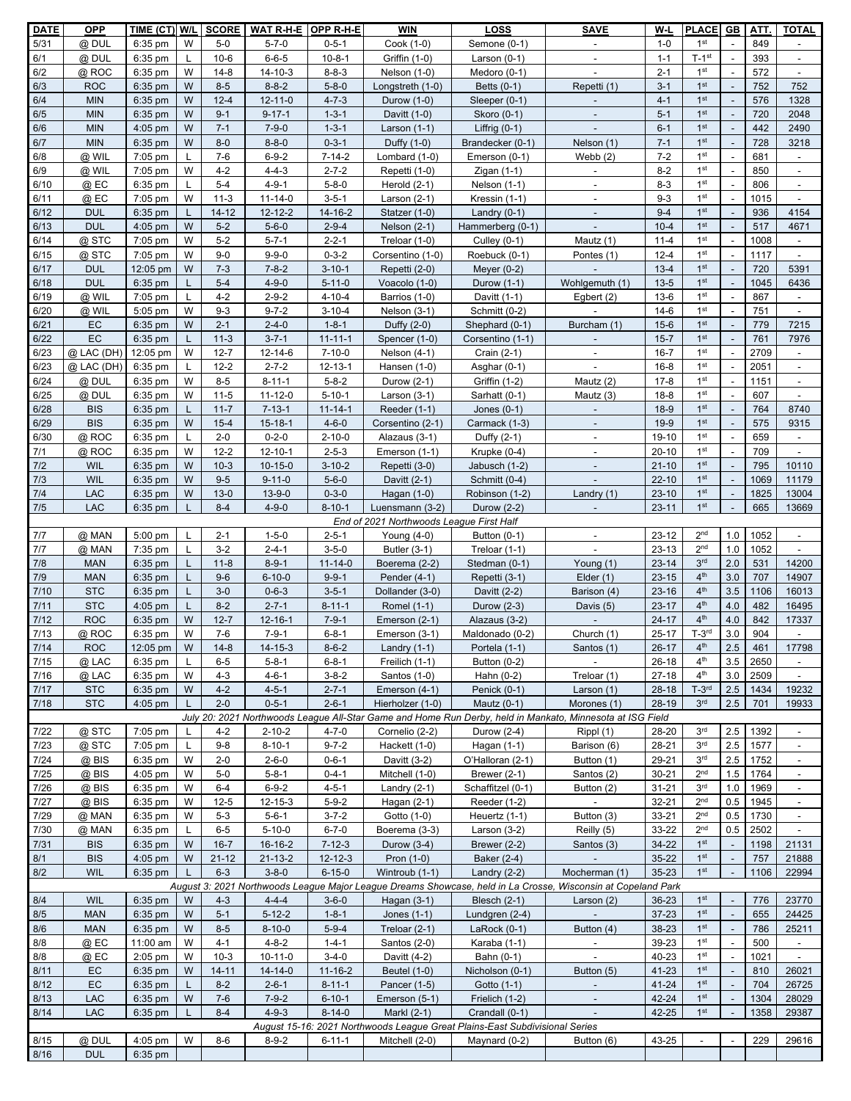| <b>DATE</b>  | <b>OPP</b>               | TIME (CT) W/L          |        | <b>SCORE</b>         | WAT R-H-E OPP R-H-E            |                               | <b>WIN</b>                               | LOSS                                                                        | <b>SAVE</b>                                                                                                            | W-L                    | <b>PLACE</b>                       | GB                               | ATT.         | <b>TOTAL</b>                      |
|--------------|--------------------------|------------------------|--------|----------------------|--------------------------------|-------------------------------|------------------------------------------|-----------------------------------------------------------------------------|------------------------------------------------------------------------------------------------------------------------|------------------------|------------------------------------|----------------------------------|--------------|-----------------------------------|
| 5/31         | @ DUL                    | 6:35 pm                | W      | $5-0$                | $5 - 7 - 0$                    | $0 - 5 - 1$                   | Cook (1-0)                               | Semone (0-1)                                                                | $\overline{\phantom{a}}$                                                                                               | $1 - 0$                | 1 <sup>st</sup>                    | $\sim$                           | 849          | $\blacksquare$                    |
| 6/1          | @ DUL                    | 6:35 pm                | L      | $10-6$               | $6 - 6 - 5$                    | $10 - 8 - 1$                  | Griffin (1-0)                            | Larson $(0-1)$                                                              |                                                                                                                        | $1 - 1$                | $T-1$ st                           | $\sim$                           | 393          |                                   |
| 6/2          | @ ROC                    | $6:35$ pm              | W      | $14-8$               | $14 - 10 - 3$                  | $8 - 8 - 3$                   | Nelson (1-0)                             | Medoro (0-1)                                                                |                                                                                                                        | $2 - 1$                | 1 <sup>st</sup>                    |                                  | 572          |                                   |
| 6/3          | <b>ROC</b>               | 6:35 pm                | W      | $8 - 5$              | $8 - 8 - 2$                    | $5 - 8 - 0$                   | Longstreth (1-0)                         | Betts (0-1)                                                                 | Repetti (1)                                                                                                            | $3 - 1$                | 1 <sup>st</sup>                    | $\mathbb{L}$                     | 752          | 752                               |
| 6/4<br>6/5   | <b>MIN</b><br><b>MIN</b> | $6:35$ pm<br>6:35 pm   | W<br>W | $12 - 4$<br>$9 - 1$  | $12 - 11 - 0$<br>$9 - 17 - 1$  | $4 - 7 - 3$<br>$1 - 3 - 1$    | Durow (1-0)                              | Sleeper (0-1)                                                               |                                                                                                                        | $4 - 1$<br>$5 - 1$     | 1 <sup>st</sup><br>1 <sup>st</sup> | $\mathbb{L}$<br>$\sim$           | 576<br>720   | 1328<br>2048                      |
| 6/6          | <b>MIN</b>               | $4:05$ pm              | W      | $7 - 1$              | $7 - 9 - 0$                    | $1 - 3 - 1$                   | Davitt (1-0)<br>Larson $(1-1)$           | Skoro (0-1)<br>Liffrig $(0-1)$                                              |                                                                                                                        | $6 - 1$                | 1 <sup>st</sup>                    | $\omega$                         | 442          | 2490                              |
| 6/7          | <b>MIN</b>               | $6:35$ pm              | W      | $8-0$                | $8 - 8 - 0$                    | $0 - 3 - 1$                   | Duffy (1-0)                              | Brandecker (0-1)                                                            | Nelson (1)                                                                                                             | $7 - 1$                | 1 <sup>st</sup>                    | $\overline{\phantom{a}}$         | 728          | 3218                              |
| 6/8          | @ WIL                    | 7:05 pm                | L      | $7-6$                | $6 - 9 - 2$                    | 7-14-2                        | Lombard (1-0)                            | Emerson (0-1)                                                               | Webb $(2)$                                                                                                             | $7 - 2$                | 1 <sup>st</sup>                    | $\blacksquare$                   | 681          |                                   |
| 6/9          | @ WIL                    | 7:05 pm                | W      | $4 - 2$              | $4 - 4 - 3$                    | $2 - 7 - 2$                   | Repetti (1-0)                            | Zigan $(1-1)$                                                               | $\blacksquare$                                                                                                         | $8 - 2$                | 1 <sup>st</sup>                    | $\omega$                         | 850          | $\overline{\phantom{a}}$          |
| 6/10         | $@$ EC                   | 6:35 pm                | L      | $5 - 4$              | $4 - 9 - 1$                    | $5 - 8 - 0$                   | Herold $(2-1)$                           | Nelson (1-1)                                                                | $\overline{\phantom{a}}$                                                                                               | $8 - 3$                | 1 <sup>st</sup>                    | $\blacksquare$                   | 806          | $\blacksquare$                    |
| 6/11         | @ EC                     | 7:05 pm                | W      | $11 - 3$             | $11 - 14 - 0$                  | $3 - 5 - 1$                   | Larson $(2-1)$                           | Kressin (1-1)                                                               |                                                                                                                        | $9 - 3$                | 1 <sup>st</sup>                    | $\blacksquare$                   | 1015         | $\blacksquare$                    |
| 6/12         | <b>DUL</b>               | $6:35$ pm              | L      | $14 - 12$            | 12-12-2                        | 14-16-2                       | Statzer (1-0)                            | Landry $(0-1)$                                                              |                                                                                                                        | $9 - 4$                | 1 <sup>st</sup>                    | $\mathcal{L}$                    | 936          | 4154                              |
| 6/13         | <b>DUL</b>               | $4:05$ pm              | W      | $5 - 2$              | $5 - 6 - 0$                    | $2 - 9 - 4$                   | Nelson (2-1)                             | Hammerberg (0-1)                                                            |                                                                                                                        | $10 - 4$               | 1 <sup>st</sup>                    | $\blacksquare$                   | 517          | 4671                              |
| 6/14         | @ STC                    | 7:05 pm                | W      | $5 - 2$              | $5 - 7 - 1$                    | $2 - 2 - 1$                   | Treloar (1-0)                            | Culley (0-1)                                                                | Mautz (1)                                                                                                              | $11 - 4$               | 1 <sup>st</sup>                    | $\blacksquare$                   | 1008         | $\blacksquare$                    |
| 6/15         | @ STC                    | $7:05$ pm              | W      | $9 - 0$              | $9 - 9 - 0$                    | $0 - 3 - 2$                   | Corsentino (1-0)                         | Roebuck (0-1)                                                               | Pontes (1)                                                                                                             | $12 - 4$               | 1 <sup>st</sup>                    | $\mathbb{Z}^2$                   | 1117         |                                   |
| 6/17         | <b>DUL</b>               | 12:05 pm               | W      | $7 - 3$              | $7 - 8 - 2$                    | $3 - 10 - 1$                  | Repetti (2-0)                            | Meyer $(0-2)$                                                               |                                                                                                                        | $13 - 4$               | 1 <sup>st</sup>                    | $\overline{\phantom{a}}$         | 720          | 5391                              |
| 6/18         | <b>DUL</b>               | $6:35$ pm              |        | $5 - 4$              | $4 - 9 - 0$                    | $5 - 11 - 0$                  | Voacolo (1-0)                            | Durow (1-1)<br>Davitt (1-1)                                                 | Wohlgemuth (1)                                                                                                         | $13 - 5$               | 1 <sup>st</sup><br>1 <sup>st</sup> | $\mathcal{L}$                    | 1045<br>867  | 6436                              |
| 6/19<br>6/20 | @ WIL<br>@ WIL           | 7:05 pm<br>5:05 pm     | W      | $4 - 2$<br>$9 - 3$   | $2 - 9 - 2$<br>$9 - 7 - 2$     | $4 - 10 - 4$<br>$3 - 10 - 4$  | Barrios (1-0)<br>Nelson (3-1)            | Schmitt (0-2)                                                               | Egbert $(2)$                                                                                                           | $13-6$<br>$14-6$       | 1 <sup>st</sup>                    | $\blacksquare$<br>$\blacksquare$ | 751          | $\overline{\phantom{a}}$          |
| 6/21         | EC                       | $6:35$ pm              | W      | $2 - 1$              | $2 - 4 - 0$                    | $1 - 8 - 1$                   | Duffy (2-0)                              | Shephard (0-1)                                                              | Burcham (1)                                                                                                            | $15 - 6$               | 1 <sup>st</sup>                    | $\sim$                           | 779          | 7215                              |
| 6/22         | EC                       | 6:35 pm                | L      | $11 - 3$             | $3 - 7 - 1$                    | $11 - 11 - 1$                 | Spencer (1-0)                            | Corsentino (1-1)                                                            |                                                                                                                        | $15 - 7$               | 1 <sup>st</sup>                    |                                  | 761          | 7976                              |
| 6/23         | @ LAC (DH)               | 12:05 pm               | W      | $12 - 7$             | 12-14-6                        | $7 - 10 - 0$                  | Nelson (4-1)                             | Crain (2-1)                                                                 | $\blacksquare$                                                                                                         | $16 - 7$               | 1 <sup>st</sup>                    | $\sim$                           | 2709         | $\sim$                            |
| 6/23         | $@$ LAC (DH)             | $6:35$ pm              | L      | $12 - 2$             | $2 - 7 - 2$                    | 12-13-1                       | Hansen (1-0)                             | Asghar (0-1)                                                                |                                                                                                                        | $16 - 8$               | 1 <sup>st</sup>                    | $\mathcal{L}$                    | 2051         |                                   |
| 6/24         | @ DUL                    | $6:35$ pm              | W      | $8 - 5$              | $8 - 11 - 1$                   | $5 - 8 - 2$                   | Durow (2-1)                              | Griffin (1-2)                                                               | Mautz (2)                                                                                                              | $17 - 8$               | 1 <sup>st</sup>                    | $\blacksquare$                   | 1151         |                                   |
| 6/25         | @ DUL                    | 6:35 pm                | W      | $11 - 5$             | $11 - 12 - 0$                  | $5 - 10 - 1$                  | Larson $(3-1)$                           | Sarhatt (0-1)                                                               | Mautz (3)                                                                                                              | $18 - 8$               | 1 <sup>st</sup>                    | $\blacksquare$                   | 607          | $\overline{\phantom{a}}$          |
| 6/28         | <b>BIS</b>               | 6:35 pm                | L      | $11 - 7$             | $7 - 13 - 1$                   | $11 - 14 - 1$                 | Reeder (1-1)                             | Jones $(0-1)$                                                               |                                                                                                                        | $18-9$                 | 1 <sup>st</sup>                    | $\mathbb{L}$                     | 764          | 8740                              |
| 6/29         | <b>BIS</b>               | 6:35 pm                | W      | $15 - 4$             | $15 - 18 - 1$                  | $4 - 6 - 0$                   | Corsentino (2-1)                         | Carmack (1-3)                                                               |                                                                                                                        | $19-9$                 | 1 <sup>st</sup>                    | $\sim$                           | 575          | 9315                              |
| 6/30         | @ ROC                    | $6:35$ pm              | L      | $2 - 0$              | $0 - 2 - 0$                    | $2 - 10 - 0$                  | Alazaus (3-1)                            | Duffy (2-1)                                                                 | $\blacksquare$                                                                                                         | 19-10                  | 1 <sup>st</sup>                    | $\sim$                           | 659          | $\blacksquare$                    |
| 7/1<br>7/2   | @ ROC                    | 6:35 pm                | W<br>W | $12 - 2$             | $12 - 10 - 1$<br>$10 - 15 - 0$ | $2 - 5 - 3$                   | Emerson (1-1)                            | Krupke (0-4)                                                                |                                                                                                                        | $20 - 10$<br>$21 - 10$ | 1 <sup>st</sup><br>1 <sup>st</sup> | $\blacksquare$<br>$\blacksquare$ | 709<br>795   |                                   |
| 7/3          | <b>WIL</b><br><b>WIL</b> | $6:35$ pm<br>$6:35$ pm | W      | $10-3$<br>$9 - 5$    | $9 - 11 - 0$                   | $3 - 10 - 2$<br>$5 - 6 - 0$   | Repetti (3-0)<br>Davitt (2-1)            | Jabusch (1-2)<br>Schmitt (0-4)                                              |                                                                                                                        | $22 - 10$              | 1 <sup>st</sup>                    | $\mathbb{Z}^2$                   | 1069         | 10110<br>11179                    |
| 7/4          | LAC                      | $6:35$ pm              | W      | $13-0$               | $13 - 9 - 0$                   | $0 - 3 - 0$                   | Hagan (1-0)                              | Robinson (1-2)                                                              | Landry $(1)$                                                                                                           | $23 - 10$              | 1 <sup>st</sup>                    | $\overline{\phantom{a}}$         | 1825         | 13004                             |
| 7/5          | <b>LAC</b>               | $6:35$ pm              | L      | $8 - 4$              | $4 - 9 - 0$                    | $8 - 10 - 1$                  | Luensmann (3-2)                          | Durow (2-2)                                                                 |                                                                                                                        | $23 - 11$              | 1 <sup>st</sup>                    | $\mathbb{Z}^2$                   | 665          | 13669                             |
|              |                          |                        |        |                      |                                |                               | End of 2021 Northwoods League First Half |                                                                             |                                                                                                                        |                        |                                    |                                  |              |                                   |
| 7/7          | @ MAN                    | 5:00 pm                |        | $2 - 1$              | $1 - 5 - 0$                    | $2 - 5 - 1$                   | Young $(4-0)$                            | Button (0-1)                                                                |                                                                                                                        | $23 - 12$              | 2 <sup>nd</sup>                    | 1.0                              | 1052         | $\overline{\phantom{a}}$          |
| 7/7          | @ MAN                    | 7:35 pm                | L      | $3 - 2$              | $2 - 4 - 1$                    | $3 - 5 - 0$                   | Butler (3-1)                             | Treloar (1-1)                                                               |                                                                                                                        | $23 - 13$              | 2 <sub>nd</sub>                    | 1.0                              | 1052         |                                   |
| 7/8          | <b>MAN</b>               | $6:35$ pm              | L      | $11 - 8$             | $8 - 9 - 1$                    | $11 - 14 - 0$                 | Boerema (2-2)                            | Stedman (0-1)                                                               | Young (1)                                                                                                              | $23 - 14$              | 3 <sup>rd</sup>                    | 2.0                              | 531          | 14200                             |
| 7/9          | <b>MAN</b>               | $6:35$ pm              |        | $9-6$                | $6 - 10 - 0$                   | $9 - 9 - 1$                   | Pender $(4-1)$                           | Repetti (3-1)                                                               | Elder $(1)$                                                                                                            | $23 - 15$              | 4 <sup>th</sup><br>4 <sup>th</sup> | 3.0                              | 707          | 14907                             |
| 7/10<br>7/11 | <b>STC</b><br><b>STC</b> | 6:35 pm<br>$4:05$ pm   |        | $3-0$<br>$8 - 2$     | $0 - 6 - 3$<br>$2 - 7 - 1$     | $3 - 5 - 1$<br>$8 - 11 - 1$   | Dollander (3-0)<br>Romel (1-1)           | Davitt (2-2)<br>Durow (2-3)                                                 | Barison (4)<br>Davis (5)                                                                                               | $23 - 16$<br>$23 - 17$ | 4 <sup>th</sup>                    | 3.5<br>4.0                       | 1106<br>482  | 16013<br>16495                    |
| 7/12         | <b>ROC</b>               | 6:35 pm                | W      | $12 - 7$             | $12 - 16 - 1$                  | $7 - 9 - 1$                   | Emerson (2-1)                            | Alazaus (3-2)                                                               |                                                                                                                        | $24 - 17$              | 4 <sup>th</sup>                    | 4.0                              | 842          | 17337                             |
| 7/13         | @ ROC                    | 6:35 pm                | W      | $7-6$                | $7 - 9 - 1$                    | $6 - 8 - 1$                   | Emerson (3-1)                            | Maldonado (0-2)                                                             | Church (1)                                                                                                             | $25 - 17$              | $T-3rd$                            | 3.0                              | 904          |                                   |
| 7/14         | <b>ROC</b>               | 12:05 pm W             |        | $14 - 8$             | $14 - 15 - 3$                  | $8 - 6 - 2$                   | Landry $(1-1)$                           | Portela (1-1)                                                               | Santos (1)                                                                                                             | $26-17$                | $4^{\rm th}$                       | 2.5                              | 461          | 17798                             |
| 7/15         | @ LAC                    | 6:35 pm                | L      | $6-5$                | $5 - 8 - 1$                    | $6 - 8 - 1$                   | Freilich (1-1)                           | Button (0-2)                                                                |                                                                                                                        | $26 - 18$              | 4 <sup>th</sup>                    | 3.5                              | 2650         | $\blacksquare$                    |
| 7/16         | @ LAC                    | 6:35 pm                | W      | $4 - 3$              | $4 - 6 - 1$                    | $3 - 8 - 2$                   | Santos (1-0)                             | Hahn $(0-2)$                                                                | Treloar (1)                                                                                                            | $27 - 18$              | 4 <sup>th</sup>                    | 3.0                              | 2509         |                                   |
| 7/17         | <b>STC</b>               | 6:35 pm                | W      | $4 - 2$              | $4 - 5 - 1$                    | $2 - 7 - 1$                   | Emerson (4-1)                            | Penick (0-1)                                                                | Larson (1)                                                                                                             | $28 - 18$              | $T-3rd$                            | 2.5                              | 1434         | 19232                             |
| 7/18         | <b>STC</b>               | $4:05$ pm              | L.     | $2 - 0$              | $0 - 5 - 1$                    | $2 - 6 - 1$                   | Hierholzer (1-0)                         | Mautz $(0-1)$                                                               | Morones (1)                                                                                                            | 28-19                  | 3 <sup>rd</sup>                    | 2.5                              | 701          | 19933                             |
| 7/22         | @ STC                    | 7:05 pm                |        | $4 - 2$              | $2 - 10 - 2$                   | $4 - 7 - 0$                   | Cornelio (2-2)                           | Durow (2-4)                                                                 | July 20: 2021 Northwoods League All-Star Game and Home Run Derby, held in Mankato, Minnesota at ISG Field<br>Rippl (1) | 28-20                  | 3 <sup>rd</sup>                    | 2.5                              | 1392         |                                   |
| 7/23         | @ STC                    | 7:05 pm                | L.     | $9 - 8$              | $8 - 10 - 1$                   | $9 - 7 - 2$                   | Hackett (1-0)                            | Hagan (1-1)                                                                 | Barison (6)                                                                                                            | 28-21                  | 3 <sup>rd</sup>                    | 2.5                              | 1577         | $\overline{\phantom{a}}$          |
| $7/24$       | $@$ BIS                  | $6:35$ pm              | W      | $2 - 0$              | $2 - 6 - 0$                    | $0 - 6 - 1$                   | Davitt (3-2)                             | O'Halloran (2-1)                                                            | Button (1)                                                                                                             | 29-21                  | 3 <sup>rd</sup>                    | 2.5                              | 1752         | $\blacksquare$                    |
| 7/25         | @ BIS                    | 4:05 pm                | W      | $5-0$                | $5 - 8 - 1$                    | $0 - 4 - 1$                   | Mitchell (1-0)                           | Brewer $(2-1)$                                                              | Santos (2)                                                                                                             | $30 - 21$              | 2 <sup>nd</sup>                    | 1.5                              | 1764         |                                   |
| 7/26         | @ BIS                    | $6:35$ pm              | W      | $6 - 4$              | $6 - 9 - 2$                    | $4 - 5 - 1$                   | Landry $(2-1)$                           | Schaffitzel (0-1)                                                           | Button (2)                                                                                                             | $31 - 21$              | 3 <sup>rd</sup>                    | 1.0                              | 1969         | $\overline{\phantom{a}}$          |
| 7/27         | @ BIS                    | $6:35$ pm              | W      | $12 - 5$             | $12 - 15 - 3$                  | $5 - 9 - 2$                   | Hagan (2-1)                              | Reeder (1-2)                                                                |                                                                                                                        | $32 - 21$              | 2 <sup>nd</sup>                    | 0.5                              | 1945         | $\blacksquare$                    |
| 7/29         | @ MAN                    | $6:35$ pm              | W      | $5-3$                | $5 - 6 - 1$                    | $3 - 7 - 2$                   | Gotto (1-0)                              | Heuertz (1-1)                                                               | Button (3)                                                                                                             | $33 - 21$              | 2 <sub>nd</sub>                    | 0.5                              | 1730         |                                   |
| 7/30<br>7/31 | @ MAN<br><b>BIS</b>      | $6:35$ pm<br>6:35 pm   | L<br>W | $6-5$<br>$16 - 7$    | $5 - 10 - 0$<br>16-16-2        | $6 - 7 - 0$<br>$7 - 12 - 3$   | Boerema (3-3)<br>Durow (3-4)             | Larson $(3-2)$<br>Brewer (2-2)                                              | Reilly (5)<br>Santos (3)                                                                                               | 33-22<br>34-22         | 2 <sub>nd</sub><br>1 <sup>st</sup> | 0.5<br>$\blacksquare$            | 2502<br>1198 | $\overline{\phantom{a}}$<br>21131 |
| 8/1          | <b>BIS</b>               | $4:05$ pm              | W      | $21 - 12$            | $21 - 13 - 2$                  | $12 - 12 - 3$                 | Pron (1-0)                               | Baker (2-4)                                                                 | $\sim$                                                                                                                 | $35 - 22$              | 1 <sup>st</sup>                    | $\overline{\phantom{a}}$         | 757          | 21888                             |
| 8/2          | <b>WIL</b>               | $6:35$ pm              | L      | $6 - 3$              | $3 - 8 - 0$                    | $6 - 15 - 0$                  | Wintroub (1-1)                           | Landry $(2-2)$                                                              | Mocherman (1)                                                                                                          | 35-23                  | 1 <sup>st</sup>                    | $\omega$                         | 1106         | 22994                             |
|              |                          |                        |        |                      |                                |                               |                                          |                                                                             | August 3: 2021 Northwoods League Major League Dreams Showcase, held in La Crosse, Wisconsin at Copeland Park           |                        |                                    |                                  |              |                                   |
| 8/4          | <b>WIL</b>               | 6:35 pm                | W      | $4 - 3$              | $4 - 4 - 4$                    | $3 - 6 - 0$                   | Hagan (3-1)                              | <b>Blesch (2-1)</b>                                                         | Larson (2)                                                                                                             | 36-23                  | 1 <sup>st</sup>                    | $\blacksquare$                   | 776          | 23770                             |
| 8/5          | <b>MAN</b>               | $6:35$ pm              | W      | $5 - 1$              | $5 - 12 - 2$                   | $1 - 8 - 1$                   | Jones $(1-1)$                            | Lundgren (2-4)                                                              |                                                                                                                        | $37 - 23$              | 1 <sup>st</sup>                    | $\blacksquare$                   | 655          | 24425                             |
| 8/6          | <b>MAN</b>               | 6:35 pm                | W      | $8 - 5$              | $8 - 10 - 0$                   | $5 - 9 - 4$                   | Treloar (2-1)                            | LaRoc $k(0-1)$                                                              | Button (4)                                                                                                             | 38-23                  | 1 <sup>st</sup>                    | $\Box$                           | 786          | 25211                             |
| 8/8          | @ EC                     | 11:00 am               | W      | $4 - 1$              | $4 - 8 - 2$                    | $1 - 4 - 1$                   | Santos (2-0)                             | Karaba (1-1)                                                                |                                                                                                                        | 39-23                  | 1 <sup>st</sup>                    | $\blacksquare$                   | 500          |                                   |
| 8/8          | $@$ EC                   | $2:05$ pm              | W      | $10-3$               | $10 - 11 - 0$                  | $3 - 4 - 0$                   | Davitt (4-2)                             | Bahn (0-1)                                                                  |                                                                                                                        | 40-23                  | 1 <sup>st</sup>                    | $\blacksquare$<br>$\mathbb{Z}^2$ | 1021         |                                   |
| 8/11<br>8/12 | EC<br>EC                 | 6:35 pm<br>$6:35$ pm   | W<br>L | $14 - 11$<br>$8 - 2$ | $14 - 14 - 0$<br>$2 - 6 - 1$   | $11 - 16 - 2$<br>$8 - 11 - 1$ | <b>Beutel (1-0)</b><br>Pancer (1-5)      | Nicholson (0-1)<br>Gotto (1-1)                                              | Button (5)                                                                                                             | 41-23<br>41-24         | 1 <sup>st</sup><br>1 <sup>st</sup> | $\overline{\phantom{a}}$         | 810<br>704   | 26021<br>26725                    |
| 8/13         | LAC                      | $6:35$ pm              | W      | $7-6$                | $7 - 9 - 2$                    | $6 - 10 - 1$                  | Emerson (5-1)                            | Frielich (1-2)                                                              |                                                                                                                        | 42-24                  | 1 <sup>st</sup>                    | $\blacksquare$                   | 1304         | 28029                             |
| 8/14         | <b>LAC</b>               | $6:35$ pm              | L      | $8 - 4$              | $4 - 9 - 3$                    | $8 - 14 - 0$                  | Markl (2-1)                              | Crandall (0-1)                                                              | $\overline{\phantom{a}}$                                                                                               | 42-25                  | 1 <sup>st</sup>                    | $\overline{\phantom{a}}$         | 1358         | 29387                             |
|              |                          |                        |        |                      |                                |                               |                                          | August 15-16: 2021 Northwoods League Great Plains-East Subdivisional Series |                                                                                                                        |                        |                                    |                                  |              |                                   |
| 8/15         | @ DUL                    | 4:05 pm                | W      | 8-6                  | $8 - 9 - 2$                    | 6-11-1                        | Mitchell (2-0)                           | Maynard (0-2)                                                               | Button (6)                                                                                                             | 43-25                  | $\overline{\phantom{a}}$           | $\overline{a}$                   | 229          | 29616                             |
| 8/16         | <b>DUL</b>               | $6:35$ pm              |        |                      |                                |                               |                                          |                                                                             |                                                                                                                        |                        |                                    |                                  |              |                                   |